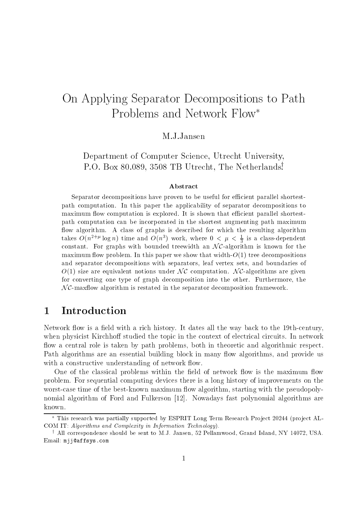# On Applying Separator Decompositions to Path Problems and Network Flow

Department of Computer Science, Utrecht University, P.O. Box 80.089, <sup>3508</sup> TB Utrecht, The Netherlandsy .

#### Abstract

Separator decompositions have proven to be useful for efficient parallel shortestpath computation. In this paper the applicability of separator decompositions to maximum flow computation is explored. It is shown that efficient parallel shortestpath computation can be incorporated in the shortest augmenting path maximum flow algorithm. A class of graphs is described for which the resulting algorithm takes  $O(n^{2+\kappa} \log n)$  time and  $O(n^2)$  work, where  $0 < \mu < \frac{1}{3}$  is a class-dependent constant. For graphs with bounded treewidth an  $N\mathcal{C}$ -algorithm is known for the maximum flow problem. In this paper we show that width- $O(1)$  tree decompositions and separator decompositions with separators, leaf vertex sets, and boundaries of  $O(1)$  size are equivalent notions under NC computation. NC-algorithms are given for converting one type of graph decomposition into the other. Furthermore, the  $N\mathcal{C}$ -maxflow algorithm is restated in the separator decomposition framework.

## 1 Introduction

Network flow is a field with a rich history. It dates all the way back to the 19th-century, when physicist Kirchhoff studied the topic in the context of electrical circuits. In network flow a central role is taken by path problems, both in theoretic and algorithmic respect. Path algorithms are an essential building block in many flow algorithms, and provide us with a constructive understanding of network flow.

One of the classical problems within the field of network flow is the maximum flow problem. For sequential computing devices there is a long history of improvements on the worst-case time of the best-known maximum flow algorithm, starting with the pseudopolynomial algorithm of Ford and Fulkerson [12]. Nowadays fast polynomial algorithms are known.

This research was partially supported by ESPRIT Long Term Research Pro ject 20244 (pro ject AL-COM IT: Algorithms and Complexity in Information Technology).

<sup>y</sup> All correspondence should be sent to M.J. Jansen, 52 Pellamwood, Grand Island, NY 14072, USA. Email: mjj@affsys.com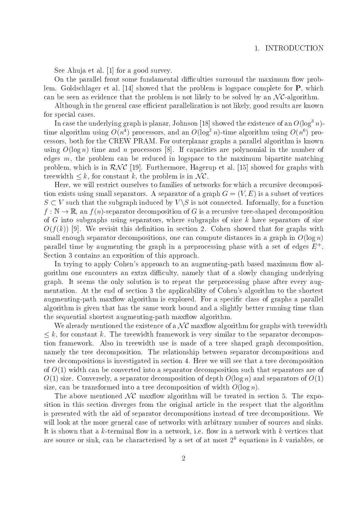See Ahuja et al. [1] for a good survey.

On the parallel front some fundamental difficulties surround the maximum flow problem. Goldschlager et al. [14] showed that the problem is logspace complete for P, which On the parallel front some fundamental difficulties surround the maximum flow problem. Goldschlager et al. [14] showed that the problem is logspace complete for **P**, which can be seen as evidence that the problem is not l

Although in the general case efficient parallelization is not likely, good results are known for special cases.

In case the underlying graph is planar, Johnson [18] showed the existence of an  $O(\log^3 n)$ time algorithm using  $O(n^2)$  processors, and an  $O(\log^2 n)$ -time algorithm using  $O(n^8)$  processors, both for the CREW PRAM. For outerplanar graphs a parallel algorithm is known using O(log n) time and n processors [8]. If capacities are polynomial in the number of edges  $m$ , the problem can be reduced in logspace to the maximum bipartite matching using  $O(\log n)$  time and *n* processors [8]. If capacities are polynomial in the number of edges *m*, the problem can be reduced in logspace to the maximum bipartite matching problem, which is in  $\mathcal{RNC}$  [19]. Furthermore problem, which is in  $\mathcal{RNC}$  [19]. Furthermore, Hagerup et al. [15] showed for graphs with treewidth  $\leq k$ , for constant k, the problem is in  $\mathcal{NC}$ .

Here, we will restrict ourselves to families of networks for which a recursive decomposition exists using small separators. A separator of a graph  $G = (V, E)$  is a subset of vertices  $S \subset V$  such that the subgraph induced by  $V \setminus S$  is not connected. Informally, for a function  $f : \mathbb{N} \to \mathbb{R}$ , an  $f(n)$ -separator decomposition of G is a recursive tree-shaped decomposition of G into subgraphs using separators, where subgraphs of size  $k$  have separators of size  $O(f(k))$  [9]. We revisit this definition in section 2. Cohen showed that for graphs with small enough separator decompositions, one can compute distances in a graph in  $O(\log n)$ parallel time by augmenting the graph in a preprocessing phase with a set of edges  $E^+$ . Section 3 contains an exposition of this approach.

In trying to apply Cohen's approach to an augmenting-path based maximum flow algorithm one encounters an extra difficulty, namely that of a slowly changing underlying graph. It seems the only solution is to repeat the preprocessing phase after every augmentation. At the end of section 3 the applicability of Cohen's algorithm to the shortest augmenting-path maxflow algorithm is explored. For a specific class of graphs a parallel algorithm is given that has the same work bound and a slightly better running time than  $\mathbf{M}$ the sequential shortest augmenting-path maxflow algorithm. bethermorportial shortest augmenting-path maxflow algorithm.<br>We already mentioned the existence of a  $N\mathcal{C}$  maxflow algorithm for graphs with treewidth

 $\leq$   $\kappa$ , for constant  $\kappa$ . The treewidth framework is very similar to the separator decompostion framework. Also in treewidth use is made of a tree shaped graph decomposition, namely the tree decomposition. The relationship between separator decompositions and tree decompositions is investigated in section 4. Here we will see that a tree decomposition of  $O(1)$  width can be converted into a separator decomposition such that separators are of O(1) size. Conversely, a separator decomposition of depth O(log n) and separators of O(1) size, can be transformed into a tree decomposition of width  $O(\log n)$ . 1) size. Conversely, a separator decomposition of depth  $O(\log n)$  and separators of  $O(1)$ , can be transformed into a tree decomposition of width  $O(\log n)$ .<br>The above mentioned  $\mathcal{NC}$  maxflow algorithm will be treated in se

sition in this section diverges from the original article in the respect that the algorithm is presented with the aid of separator decompositions instead of tree decompositions. We will look at the more general case of networks with arbitrary number of sources and sinks. It is shown that a  $k$ -terminal flow in a network, i.e. flow in a network with  $k$  vertices that are source or sink, can be characterised by a set of at most  $2^k$  equations in k variables, or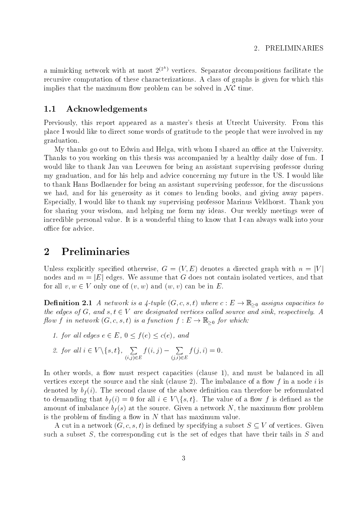a mimicking network with at most  $2^{(2^n)}$  vertices. Separator decompositions facilitate the recursive computation of these characterizations. A class of graphs is given for which this a mimicking network with at most  $2^{(2^n)}$  vertices. Separator decomposition<br>recursive computation of these characterizations. A class of graphs is given<br>implies that the maximum flow problem can be solved in  $\mathcal{NC}$  time

#### 1.1 Acknowledgements

Previously, this report appeared as a master's thesis at Utrecht University. From this place I would like to direct some words of gratitude to the people that were involved in my graduation.

My thanks go out to Edwin and Helga, with whom I shared an office at the University. Thanks to you working on this thesis was accompanied by a healthy daily dose of fun. I would like to thank Jan van Leeuwen for being an assistant supervising professor during my graduation, and for his help and advice concerning my future in the US. I would like to thank Hans Bodlaender for being an assistant supervising professor, for the discussions we had, and for his generosity as it comes to lending books, and giving away papers. Especially, I would like to thank my supervising professor Marinus Veldhorst. Thank you for sharing your wisdom, and helping me form my ideas. Our weekly meetings were of incredible personal value. It is a wonderful thing to know that I can always walk into your office for advice.

## 2 Preliminaries

Unless explicitly specified otherwise,  $G = (V, E)$  denotes a directed graph with  $n = |V|$ nodes and  $m = |E|$  edges. We assume that G does not contain isolated vertices, and that for all  $v, w \in V$  only one of  $(v, w)$  and  $(w, v)$  can be in E.

**Definition 2.1** A network is a 4-tuple  $(G, c, s, t)$  where  $c : E \to \mathbb{R}_{\geq 0}$  assigns capacities to the edges of G, and  $s, t \in V$  are designated vertices called source and sink, respectively. A flow f in network  $(G, c, s, t)$  is a function  $f : E \to \mathbb{R}_{\geq 0}$  for which:

1. for all edges  $e \in E$ ,  $0 \le f(e) \le c(e)$ , and

2. for all 
$$
i \in V \setminus \{s, t\}
$$
,  $\sum_{(i,j) \in E} f(i,j) - \sum_{(j,i) \in E} f(j,i) = 0$ .

In other words, a flow must respect capacities (clause 1), and must be balanced in all vertices except the source and the sink (clause 2). The imbalance of a flow f in a node i is denoted by bf (i). The second clause of the above declines of the above density can the second can the above de to demanding that  $v_f(i) = 0$  for all  $i \in V \setminus \{s, t\}$ . The value of a now f is defined as the amount of impact in the source. Given a network I at the source of the source of the maximum measure. The maximum maximum is the problem of finding a flow in  $N$  that has maximum value.

A cut in a network  $(G, c, s, t)$  is defined by specifying a subset  $S \subseteq V$  of vertices. Given such a subset  $S$ , the corresponding cut is the set of edges that have their tails in  $S$  and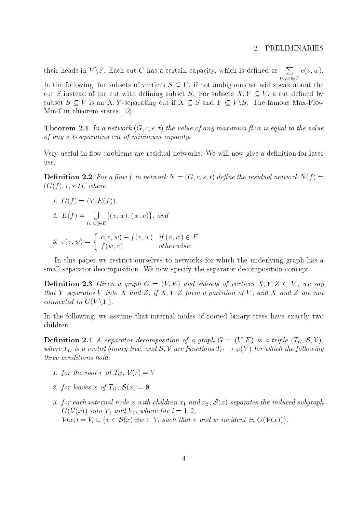#### 2. PRELIMINARIES

their heads in  $V\setminus S$ . Each cut C has a certain capacity, which is defined as  $\sum c(v,w)$ . (v;w)2C  $\sim$   $\sim$   $\sim$   $\sim$   $\sim$   $\sim$ In the following, for subsets of vertices  $S \subseteq V$ , if not ambiguous we will speak about the cut S instead of the cut with defining subset S. For subsets  $X, Y \subseteq V$ , a cut defined by subset  $S \subset V$  is an X, Y-separating cut if  $X \subset S$  and  $Y \subset V \backslash S$ . The famous Max-Flow Min-Cut theorem states [12]:

**Theorem 2.1** In a network  $(G, c, s, t)$  the value of any maximum flow is equal to the value of any s; t-separating cut of minimum capacity.

Very useful in flow problems are residual networks. We will now give a definition for later use.

**Definition 2.2** For a flow f in network  $N = (G, c, s, t)$  define the residual network  $N(f)$  $(G(f), r, s, t)$ , where

1.  $G(f) = (V, E(f))$ , 2.  $E(f) = \bigcup \{(v, w), (w, w)\}$  $\sqrt{2}$  and  $\sqrt{2}$  $\{v, w\}, \{w, v\}$ ; and 3.  $r(v, w) = \begin{cases} c(v, w) - f(v, w) & \text{if } (v, w) \in E \\ g(v, w) & \text{if } (v, w) \in E \end{cases}$  $f(x; v)$  otherwise  $f(x; v)$  or  $f(x; v)$  or  $f(x; v)$  or  $f(x; v)$  or  $f(x; v)$  or  $f(x; v)$  or  $f(x; v)$  or  $f(x; v)$  or  $f(x; v)$  or  $f(x; v)$  or  $f(x; v)$  or  $f(x; v)$  or  $f(x; v)$  or  $f(x; v)$  or  $f(x; v)$  or  $f(x; v)$  or  $f(x; v)$  or  $f(x; v)$  or  $f(x; v$ 

In this paper we restrict ourselves to networks for which the underlying graph has a small separator decomposition. We now specify the separator decomposition concept.

**Definition 2.3** Given a graph  $G = (V, E)$  and subsets of vertices  $X, Y, Z \subset V$ , we say that Y separates V into X and Z, if X, Y, Z form a partition of V, and X and Z are not connected in  $G(V\Y)$ .

In the following, we assume that internal nodes of rooted binary trees have exactly two children.

**Definition 2.4** A separator decomposition of a graph  $G = (V, E)$  is a triple  $(T_G, S, V)$ , where  $1_G$  is a rooted binary tree, and  $\mathcal{S}, V$  are functions  $1_G \to \wp(V)$  for which the following three conditions hold:

- 1. for the root r of  $T_G$ ,  $V(r) = V$
- 2. for leaves x of  $T_G$ ,  $\mathcal{S}(x) = \emptyset$
- 3. for each internal node x with children  $x_1$  and  $x_2$ ,  $S(x)$  separates the induced subgraph<br>  $G(V(x))$  into  $V_1$  and  $V_2$ , where for  $i = 1, 2$ ,<br>  $V(x_i) = V_i \cup \{v \in S(x) | \exists w \in V_i \text{ such that } v \text{ and } w \text{ incident in } G(V(x))\}.$  $G(V(x))$  into  $V_1$  and  $V_2$ , where for  $i = 1, 2,$  $\mathcal{V}(x_i) = V_i \cup \{v \in \mathcal{S}(x) | \exists w \in V_i \text{ such that } v \text{ and } w \text{ incident in } G(\mathcal{V}(x))\}.$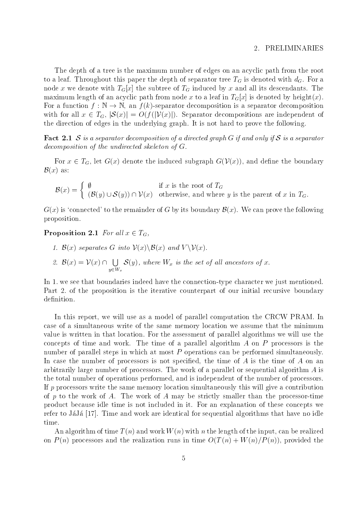#### 2. PRELIMINARIES

The depth of a tree is the maximum number of edges on an acyclic path from the root to a leaf the depth of separator the depth of separator tree TG is denoted with dG. For a separator tree TG. For a separator tree TG is denoted with dG. For a separator tree TG. For a separator tree TG. For a separator tr node x we denote with TGC induced by  $\mathcal{A}$  and all its descendants. The subtree of TG induced by  $\mathcal{A}$ maximum length of an acyclic path from node x to a leaf in  $T_G[x]$  is denoted by height(x). For a function  $f : \mathbb{N} \to \mathbb{N}$ , an  $f(k)$ -separator decomposition is a separator decomposition with for all  $x \in T_G$ ,  $|S(x)| = O(f(|V(x)|))$ . Separator decompositions are independent of the direction of edges in the underlying graph. It is not hard to prove the following.

**Fact 2.1** S is a separator decomposition of a directed graph G if and only if S is a separator decomposition of the undirected skeleton of G.

For  $x \in T_G$ , let  $G(x)$  denote the induced subgraph  $G(\mathcal{V}(x))$ , and define the boundary  $\mathcal{B}(x)$  as:

$$
\mathcal{B}(x) = \begin{cases} \emptyset & \text{if } x \text{ is the root of } T_G \\ (\mathcal{B}(y) \cup \mathcal{S}(y)) \cap \mathcal{V}(x) & \text{otherwise, and where } y \text{ is the parent of } x \text{ in } T_G. \end{cases}
$$

 $G(x)$  is 'connected' to the remainder of G by its boundary  $\mathcal{B}(x)$ . We can prove the following proposition.

**Proposition 2.1** For all  $x \in T_G$ ,

- 1.  $\mathcal{B}(x)$  separates G into  $\mathcal{V}(x)\setminus\mathcal{B}(x)$  and  $V\setminus\mathcal{V}(x)$ .
- 2.  $\mathcal{B}(x) = \mathcal{V}(x) \cap \prod \mathcal{S}(y)$ , where  $\bigcup_{y\in W_x}$   $\mathcal{S}(y)$ , where  $W_x$  is the set of all ancestors of x.

In 1. we see that boundaries indeed have the connection-type character we just mentioned. Part 2. of the proposition is the iterative counterpart of our initial recursive boundary definition.

In this report, we will use as a model of parallel computation the CRCW PRAM. In case of a simultaneous write of the same memory location we assume that the minimum value is written in that location. For the assessment of parallel algorithms we will use the concepts of time and work. The time of a parallel algorithm A on P processors is the number of parallel steps in which at most P operations can be performed simultaneously. In case the number of processors is not specified, the time of  $A$  is the time of  $A$  on an arbitrarily large number of processors. The work of a parallel or sequential algorithm A is the total number of operations performed, and is independent of the number of processors. If  $p$  processors write the same memory location simultaneously this will give a contribution of p to the work of A. The work of A may be strictly smaller than the processor-time product because idle time is not included in it. For an explanation of these concepts we refer to JaJa [17]. Time and work are identical for sequential algorithms that have no idle time.

An algorithm of time  $T(n)$  and work  $W(n)$  with n the length of the input, can be realized on  $P(n)$  processors and the realization runs in time  $O(T(n) + W(n)/P(n))$ , provided the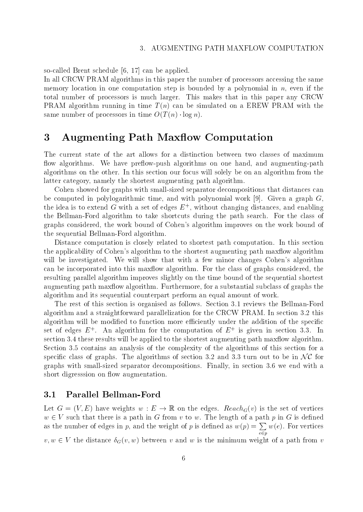so-called Brent schedule [6, 17] can be applied.

In all CRCW PRAM algorithms in this paper the number of processors accessing the same memory location in one computation step is bounded by a polynomial in  $n$ , even if the total number of processors is much larger. This makes that in this paper any CRCW PRAM algorithm running in time  $T(n)$  can be simulated on a EREW PRAM with the same number of processors in time  $O(T(n) \cdot \log n)$ .

## 3 Augmenting Path Maxflow Computation

The current state of the art allows for a distinction between two classes of maximum flow algorithms. We have preflow-push algorithms on one hand, and augmenting-path algorithms on the other. In this section our focus will solely be on an algorithm from the latter category, namely the shortest augmenting path algorithm.

Cohen showed for graphs with small-sized separator decompositions that distances can be computed in polylogarithmic time, and with polynomial work  $[9]$ . Given a graph G, the idea is to extend G with a set of edges  $E^+$ , without changing distances, and enabling the Bellman-Ford algorithm to take shortcuts during the path search. For the class of graphs considered, the work bound of Cohen's algorithm improves on the work bound of the sequential Bellman-Ford algorithm.

Distance computation is closely related to shortest path computation. In this section the applicability of Cohen's algorithm to the shortest augmenting path maxilow algorithm will be investigated. We will show that with a few minor changes Cohen's algorithm can be incorporated into this maxflow algorithm. For the class of graphs considered, the resulting parallel algorithm improves slightly on the time bound of the sequential shortest augmenting path maxflow algorithm. Furthermore, for a substantial subclass of graphs the algorithm and its sequential counterpart perform an equalamount of work.

The rest of this section is organised as follows. Section 3.1 reviews the Bellman-Ford algorithm and a straightforward parallelization for the CRCW PRAM. In section 3.2 this algorithm will be modified to function more efficiently under the addition of the specific set of edges  $E$  . An algorithm for the computation of  $E+$  is given in section 3.3. In  $\,$ section 3.4 these results will be applied to the shortest augmenting path maxflow algorithm.  $S$  . Section 3.5 contains and analysis of the complexity of the algorithms of the section for all  $\alpha$ section 3.4 these results will be applied to the shortest augmenting path maxflow algorithm.<br>Section 3.5 contains an analysis of the complexity of the algorithms of this section for a<br>specific class of graphs. The algorit graphs with small-sized separator decompositions. Finally, in section 3.6 we end with a short digresssion on flow augmentation.

### 3.1 Parallel Bellman-Ford

Let  $G = (V, E)$  have weights  $w : E \to \mathbb{R}$  on the edges. Reach<sub>G</sub>(v) is the set of vertices  $w \in V$  such that there is a path in G from v to w. The length of a path p in G is defined as the number of edges in p, and the weight of p is defined as  $w(p) = \sum w(e)$ . For vertices e version and the contract of the contract of the contract of the contract of the contract of the contract of the contract of the contract of the contract of the contract of the contract of the contract of the contract of  $v, w \in V$  the distance  $\delta_G(v, w)$  between v and w is the minimum weight of a path from v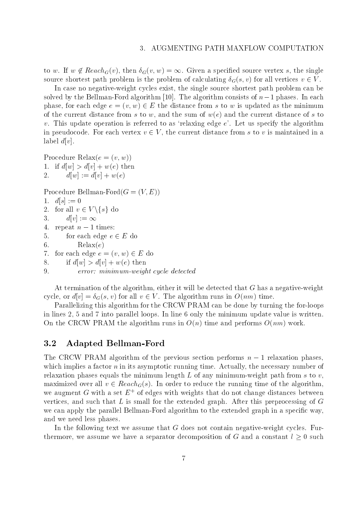to w. If  $w \notin Reach_G(v)$ , then  $\delta_G(v, w) = \infty$ . Given a specified source vertex s, the single source shortest path problem is the problem of calculating  $\delta_G(s, v)$  for all vertices  $v \in V$ .

In case no negative-weight cycles exist, the single source shortest path problem can be solved by the Bellman-Ford algorithm [10]. The algorithm consists of  $n-1$  phases. In each phase, for each edge  $e = (v, w) \in E$  the distance from s to w is updated as the minimum of the current distance from s to w, and the sum of  $w(e)$  and the current distance of s to  $v$ . This update operation is referred to as 'relaxing edge  $e$ '. Let us specify the algorithm in pseudocode. For each vertex  $v \in V$ , the current distance from s to v is maintained in a label  $d[v]$ .

Procedure Relax $(e = (v, w))$ 1. if  $d[w] > d[v] + w(e)$  then 2.  $d[w] := d[v] + w(e)$ 

Procedure Bellman-Ford $(G = (V, E))$ 

```
1. d[s] := 02. for all v \in V \backslash \{s\} do
3. d[v] := \infty4. repeat n-1 times:
5. for each edge e \in E do
6. Relax(e)7. for each edge e = (v, w) \in E do
8. if d[w] > d[v] + w(e) then
9. error: minimum-weight cycle detected
```
At termination of the algorithm, either it will be detected that  $G$  has a negative-weight cycle, or  $d[v] = \delta_G(s, v)$  for all  $v \in V$ . The algorithm runs in  $O(nm)$  time.

Parallelizing this algorithm for the CRCW PRAM can be done by turning the for-loops in lines 2, 5 and 7 into parallel loops. In line 6 only the minimum update value is written. On the CRCW PRAM the algorithm runs in  $O(n)$  time and performs  $O(nm)$  work.

### 3.2 Adapted Bellman-Ford

The CRCW PRAM algorithm of the previous section performs  $n-1$  relaxation phases, which implies a factor  $n$  in its asymptotic running time. Actually, the necessary number of relaxation phases equals the minimum length  $L$  of any minimum-weight path from  $s$  to  $v$ , maximized over all  $v \in Reach_G(s)$ . In order to reduce the running time of the algorithm, we augment  $G$  with a set  $E+$  of edges with weights that do not change distances between  $\blacksquare$ vertices, and such that  $L$  is small for the extended graph. After this preprocessing of  $G$ we can apply the parallel Bellman-Ford algorithm to the extended graph in a specific way, and we need less phases.

In the following text we assume that G does not contain negative-weight cycles. Furthermore, we assume we have a separator decomposition of G and a constant  $l \geq 0$  such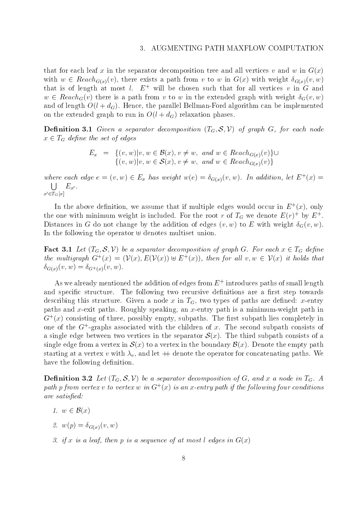#### AUGMENTING PATH MAXFLOW COMPUTATION  $\mathcal{R}$

that for each leaf x in the separator decomposition tree and all vertices v and w in  $G(x)$ with  $w \in Reach_{G(x)}(v)$ , there exists a path from v to w in  $G(x)$  with weight  $\delta_{G(x)}(v, w)$ that is of length at most l.  $E^+$  will be chosen such that for all vertices v in G and  $w \in Reach_G(v)$  there is a path from v to w in the extended graph with weight  $\delta_G(v, w)$ and of length  $O(l + d_G)$ . Hence, the parallel Bellman-Ford algorithm can be implemented on the extended graph to run in  $O(l + d_G)$  relaxation phases.

**Definition 3.1** Given a separator decomposition  $(T_G, \mathcal{S}, \mathcal{V})$  of graph G, for each node  $x \in I_G$  depine the set of edges et of edges<br>=  $\{(v, w)|v, w \in \mathcal{B}(x), v \neq w, \text{ and } w \in Reach_{G(x)}(v)\}$ 

$$
E_x = \begin{cases} (v, w)|v, w \in \mathcal{B}(x), v \neq w, \text{ and } w \in \text{Reach}_{G(x)}(v) \} \cup \\ (v, w)|v, w \in \mathcal{S}(x), v \neq w, \text{ and } w \in \text{Reach}_{G(x)}(v) \} \end{cases}
$$

where each eage  $e = (v, w) \in E_x$  has weight  $w(e) = o_{G(x)}(v, w)$ . In addition, let  $E^+(x) =$  $\blacksquare$  Section 2.1 and 2.1 and 2.1 and 2.1 and 2.1 and 2.1 and 2.1 and 2.1 and 2.1 and 2.1 and 2.1 and 2.1 and 2.1 and 2.1 and 2.1 and 2.1 and 2.1 and 2.1 and 2.1 and 2.1 and 2.1 and 2.1 and 2.1 and 2.1 and 2.1 and 2.1 an  $x'\in \overline{T}_G[x]$  $E = 1$ 

In the above definition, we assume that if multiple edges would occur in  $E^+(x)$ , only the one with minimum weight is included. For the root  $r$  of  $I_G$  we denote  $E(r)^\perp$  by  $E^\perp$ . Distances in G do not change by the addition of edges  $(v, w)$  to E with weight  $\delta_G(v, w)$ . In the following the operator  $\Theta$  denotes multiset union.

**Fact 3.1** Let  $(I_G, \mathcal{S}, V)$  be a separator aecomposition of graph  $G$ . For each  $x \in I_G$  define the multigraph  $G^+(x) = (V(x), E(V(x)) \oplus E^+(x))$ , then for all  $v, w \in V(x)$  it holds that  $\delta_{G(x)}(v, w) = \delta_{G^+(x)}(v, w).$ 

As we already mentioned the addition of edges from  $E+$  introduces paths of small length and specific structure. The following two recursive definitions are a first step towards describing this structure. Given a node x in  $T<sub>G</sub>$ , two types of paths are defined: x-entry paths and x-exit paths. Roughly speaking, an x-entry path is a minimum-weight path in  $G^+(x)$  consisting of three, possibly empty, subpaths. The first subpath lies completely in  $\,$ one of the  $G$ +-graphs associated with the children of  $x$ . The second subpath consists of a single edge between two vertices in the separator  $\mathcal{S}(x)$ . The third subpath consists of a single edge from a vertex in  $\mathcal{S}(x)$  to a vertex in the boundary  $\mathcal{B}(x)$ . Denote the empty path starting at a vertex v with v , denote the operator for concatenating paths. We concern the operator in concat have the following definition.

**Definition 3.2** Let  $(T_G, \mathcal{S}, \mathcal{V})$  be a separator decomposition of G, and x a node in  $T_G$ . A  $\emph{p}$ ath  $\emph{p}$  from vertex  $v$  to vertex  $w$  in  $\mathbf{G}^+(x)$  is an x-entry path if the following four conditions are satisfied:

- 1.  $w \in \mathcal{B}(x)$
- 2.  $w(p) = \delta_{G(x)}(v, w)$
- 3. if x is a leaf, then p is a sequence of at most l edges in  $G(x)$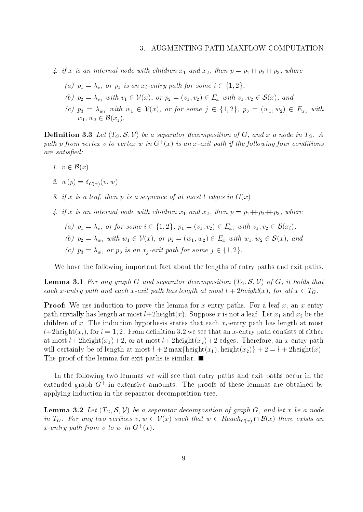#### AUGMENTING PATH MAXFLOW COMPUTATION  $\mathcal{R}$

- $\mathcal{I}^*$  is an internal node with children and  $\mathcal{I}^*$  and  $\mathcal{I}^*$  and  $\mathcal{I}^*$  ,  $p$  is particle with  $p$ orthermal node with children  $x_1$  and  $x_2$ , then  $p = p_1 + p_2 +$ <br>=  $\lambda_v$ , or  $p_1$  is an  $x_i$ -entry path for some  $i \in \{1, 2\}$ ,
	- (a)  $p_1 = \lambda_v$ , or  $p_1$  is an  $x_i$ -entry path for some  $i \in \{1, 2\}$ ,
	- (a)  $p_1 = \lambda_v$ , or  $p_1$  is an  $x_i$ -entry path for some  $i \in \{1, 2\}$ ,<br>
	(b)  $p_2 = \lambda_{v_1}$  with  $v_1 \in V(x)$ , or  $p_2 = (v_1, v_2) \in E_x$  with  $v_1, v_2 \in S(x)$ , and
	- $(c)$   $p_3 = \lambda_{w_1}$  with  $w_1 \in V(x)$ , or for some  $j \in \{1, 2\}$ ,  $p_3 = (w_1, w_2) \in E_{x_i}$  with  $w_1, w_2 \in \mathcal{B}(x_i).$  $\begin{aligned} \sum_{y_1} w u_1 & v_1 \in V(x), \\ \sum_{y_1} w u_1 & h \ w_1 \in V(x), \\ \in \mathcal{B}(x_i). \end{aligned}$

**Definition 3.3** Let  $(T_G, \mathcal{S}, \mathcal{V})$  be a separator decomposition of G, and x a node in  $T_G$ . A  $\emph{p}$ ath  $p$  from vertex  $v$  to vertex  $w$  in  $\mathbf{G}^+(x)$  is an x-exit path if the following four conditions are satisfied:

- 1.  $v \in \mathcal{B}(x)$
- 2.  $w(p) = \delta_{G(x)}(v, w)$
- 3. if x is a leaf, then p is a sequence of at most l edges in  $G(x)$
- $\mathcal{A}$  is an internal node with children x1 and  $\mathcal{A}$  and  $\mathcal{A}$ , where  $p$  is p2++p3, where  $\mathcal{A}$
- f x is an internal node with children  $x_1$  and  $x_2$ , then  $p = p_1 + p_2 + p_3$ , where<br>(a)  $p_1 = \lambda_v$ , or for some  $i \in \{1, 2\}$ ,  $p_1 = (v_1, v_2) \in E_{x_i}$  with  $v_1, v_2 \in \mathcal{B}(x_i)$ , (a)  $p_1 = \lambda_v$ , or for some  $i \in \{1, 2\}$ ,  $p_1 = (v_1, v_2) \in E_{x_i}$  with  $v_1, v_2 \in \mathcal{B}(x_i)$ ,<br>
(b)  $p_2 = \lambda_{w_1}$  with  $w_1 \in \mathcal{V}(x)$ , or  $p_2 = (w_1, w_2) \in E_x$  with  $w_1, w_2 \in \mathcal{S}(x)$ , and
	- $=\lambda_{w_1}$  with  $w_1 \in V(x)$ , or  $p_2 = (w_1, w_2) \in E_x$  with  $w_1, w_2 \in$ <br> $=\lambda_w$ , or  $p_3$  is an  $x_i$ -exit path for some  $j \in \{1, 2\}$ .
	- (c)  $p_3 = \lambda_w$ , or  $p_3$  is an  $x_i$ -exit path for some  $j \in \{1, 2\}$ .

We have the following important fact about the lengths of entry paths and exit paths.

**Lemma 3.1** For any graph G and separator decomposition  $(T_G, \mathcal{S}, \mathcal{V})$  of G, it holds that each x-entry path and each x-exit path has length at most  $l + 2height(x)$ , for all  $x \in T_G$ .

**Proof:** We use induction to prove the lemma for x-entry paths. For a leaf x, an x-entry path trivially has length at most length at  $\sim$  is not alleged  $\sim$  is not alleged  $\sim$  . In and  $\sim$   $\sim$   $\sim$   $\sim$   $\sim$   $\sim$ children of x. The induction hypothesis states that each  $x_i$ -entry path has length at most  $l+2$ height $(x_i)$ , for  $i=1,2$ . From definition 3.2 we see that an x-entry path consists of either at most  $l + 2$ height $(x_1) + 2$ , or at most  $l + 2$ height $(x_2) + 2$  edges. Therefore, an x-entry path will certainly be of length at most  $l+2 \max\{\text{height}(x_1), \text{height}(x_2)\} + 2 = l + 2 \text{height}(x)$ . The proof of the lemma for exit paths is similar.  $\blacksquare$ 

In the following two lemmas we will see that entry paths and exit paths occur in the extended graph G+ in extensive amounts. The proofs of these lemmas are obtained by applying induction in the separator decomposition tree.

**Lemma 3.2** Let  $(T_G, \mathcal{S}, V)$  be a separator aecomposition of graph  $\mathcal{G}$ , and let x be a node in  $T_G$ . For any two vertices  $v, w \in V(x)$  such that  $w \in Reach_{G(x)} \cap B(x)$  there exists an  $\, G, \, \, and \,\, let \, x \, \, be \,\, a \,\, node \, \cap \, \mathcal{B}(x) \,\, there \,\, exists \,\, an \,\, \,$  $x$ -entry path from v to w in  $\mathbf{G}^+(x)$ .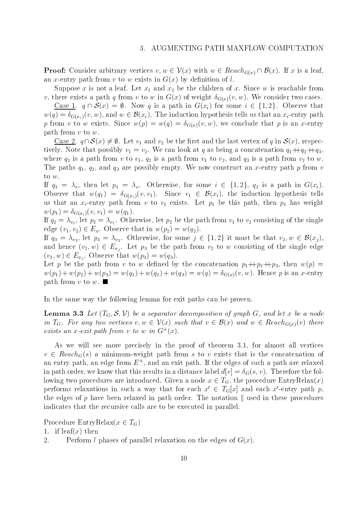Proof: Consider arbitrary vertices  $v, w \in V(x)$  with  $w \in Reach_{G(x)} \cap B(x)$ . If x is a leaf,

Suppose x is not a leaf. Let  $x_1$  and  $x_2$  be the children of x. Since w is reachable from v, there exists a path q from v to w in  $G(x)$  of weight  $\delta_{G(x)}(v, w)$ . We consider two cases. Suppose x is not a leaf. Let  $x_1$  and  $x_2$  be the children of x. Since w is reachable from<br>here exists a path q from v to w in  $G(x)$  of weight  $\delta_{G(x)}(v, w)$ . We consider two cases.<br>Case 1.  $q \cap S(x) = \emptyset$ . Now q is a path

 $w(q) = \delta_{G(x_i)}(v, w)$ , and  $w \in \mathcal{B}(x_i)$ . The induction hypothesis tells us that an  $x_i$ -entry path <u>Case 1</u>.  $q \cap \mathcal{S}(x) = \emptyset$ . Now q is a path in  $G(x_i)$  for some  $i \in \{1,2\}$ . Observe that proposed with a since we conclude that we conclude that  $\mathcal{V}$  and  $\mathcal{V}$ path from  $v$  to  $w$ . com v to w exists. Since  $w(p) =$ <br>h from v to w.<br>Case 2.  $q \cap S(x) \neq \emptyset$ . Let  $v_1$  and

<u>Case 2</u>.  $q \cap S(x) \neq \emptyset$ . Let  $v_1$  and  $v_2$  be the first and the last vertex of q in  $S(x)$ , respectively. Note that possibly v1  $\pm$  v2. We can can look at  $\alpha$  as being a concernation concatenation  $q$ 1++ $q$ 2++q3, where  $\sim$  1,  $\sim$  1,  $\sim$  1, and  $\sim$  1, and  $\sim$  1, and  $\sim$  1, and  $\sim$  1, and  $\sim$  1, and  $\sim$  1, and  $\sim$  1, and  $\sim$  1, and  $\sim$  1, and  $\sim$  1, and  $\sim$  1, and  $\sim$  1, and  $\sim$  1, and  $\sim$  1, and  $\sim$  1, and  $\sim$  1, The paths q1, q2, and q3 are possibly empty. We now construct an x-entry path <sup>p</sup> from <sup>v</sup> to w.

If  $q_1 = \lambda_v$ , then let  $p_1 = \lambda_v$ . Otherwise, for some  $i \in \{1, 2\}$ ,  $q_1$  is a path in  $G(x_i)$ . Observe that  $w(q_1) = o_{G(x_i)}(v, v_1)$ . Since  $v_1 \in \mathcal{B}(x_i)$ , the induction hypothesis tells us that an xi-entry path from v to view path from v to view  $\mu$  be this path, then p1 has weight  $\mu$  has weight  $\mu$  $\langle T_1, T_2, \ldots, T_n \rangle = \langle T_1, T_2, \ldots, T_n \rangle$ 

. The  $\mathcal{I}_2$  is value to  $\mathcal{I}_1$  to vertex the path from value  $\mathcal{I}_2$  in the singlet of the singlet of the singlet of the singlet of the singlet of the singlet of the singlet of the singlet of the singlet of the s edge  $(v_1, v_2) \in E_x$ . Observe that in  $w(p_2) = w(q_2)$ .

If  $q_3 = \lambda_{v_2}$ , let  $p_3 = \lambda_{v_2}$ . Otherwise, for some  $j \in \{1, 2\}$  it must be that  $v_2, w \in \mathcal{D}(x_j)$ , and hence  $(v_2, w) \in E_{x_i}$ . Let  $p_3$  be the path from  $v_2$  to w consisting of the single edge  $(v_2, w) \in E_{x_i}$ . Observe that  $w(p_3) = w(q_3)$ .

Let p be the path from v to w defined by the concatenation  $p_1 + p_2 + p_3$ , then  $w(p)$  $w(p_1) + w(p_2) + w(p_3) = w(q_1) + w(q_2) + w(q_3) = w(q) = \delta_{G(x)}(v, w)$ . Hence p is an x-entry path from v to w.  $\blacksquare$ 

In the same way the following lemma for exit paths can be proven.

**Lemma 3.3** Let  $(T_G, \mathcal{S}, V)$  be a separator decomposition of graph G, and let x be a node in  $T_G$ . For any two vertices  $v, w \in V(x)$  such that  $v \in \mathcal{B}(x)$  and  $w \in Reach_{G(x)}(v)$  there exists an x-exit path from v to w in  $G^+(x)$ .

As we will see more precisely in the proof of theorem 3.1, for almost all vertices  $v \in Reach_G(s)$  a minimum-weight path from s to v exists that is the concatenation of an entry path, an edge from  $E^+$ , and an exit path. If the edges of such a path are relaxed  $\,$ in path order, we know that this results in a distance label  $d[v] = \delta_G(s, v)$ . Therefore the following two procedures are introduced. Given a node  $x \in T_G$ , the procedure EntryRelax $(x)$ performs relaxations in such a way that for each  $x' \in T_G[x]$  and each x'-entry path p, the edges of p have been relaxed in path order. The notation  $\parallel$  used in these procedures indicates that the recursive calls are to be executed in parallel.

Procedure EntryRelax( $x \in T_G$ )

1. if  $\text{leaf}(x)$  then

2. Perform *l* phases of parallel relaxation on the edges of  $G(x)$ .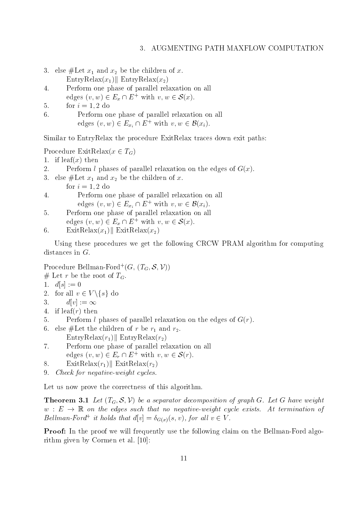#### AUGMENTING PATH MAXFLOW COMPUTATION  $\mathcal{E}$

- 3. else  $\mu$  and  $\alpha$  and  $\alpha$  be the children of  $\alpha$ .  $\text{EntryRelax}(x_1)$ ||  $\text{EntryRelax}(x_2)$
- 4. Perform one phase of parallel relaxation on all edges  $(v, w) \in E_x \cap E^+$  with  $v, w \in \mathcal{S}(x)$ . EntryRelax( $x_2$ )<br>e of parallel relaxation on all<br> $\cap E^+$  with  $v, w \in \mathcal{S}(x)$ .
- 5. for  $i = 1, 2$  do
- 6. Perform one phase of parallel relaxation on all edges  $(v, w) \in E_{x_i} \cap E^+$  with  $v, w \in \mathcal{B}(x_i)$ . of parallel relaxation on all<br>  $\cap E^+$  with  $v, w \in \mathcal{B}(x_i)$ .

Similar to EntryRelax the procedure ExitRelax traces down exit paths:

Procedure ExitRelax $(x \in T_G)$ 

- 1. if  $\text{leaf}(x)$  then
- 2. Perform l phases of parallel relaxation on the edges of  $G(x)$ .
- 3. else #Let x1 and x2 be the children of x. be the children of x. for  $i = 1, 2$  do
- 4. Perform one phase of parallel relaxation on all of parallel relaxation on all<br>  $\cap E^+$  with  $v, w \in \mathcal{B}(x_i)$ .
- edges  $(v, w) \in E_{x_i} \cap E^+$  with  $v, w \in \mathcal{B}(x_i)$ .<br>form one phase of parallel relaxation on all<br>es  $(v, w) \in E_x \cap E^+$  with  $v, w \in \mathcal{S}(x)$ . 5. Perform one phase of parallel relaxation on all edges  $(v, w) \in E_x \cap E^+$  with  $v, w \in \mathcal{S}(x)$ .

6. 
$$
\text{ExitRelax}(x_1) \parallel \text{ExitRelax}(x_2)
$$

Using these procedures we get the following CRCW PRAM algorithm for computing distances in G.

Procedure Bellman-Ford  $(G, (I_G, S, V))$ 

- # Let r be the root of  $T_G$ .
- 1.  $d[s] := 0$
- 2. for all  $v \in V \backslash \{s\}$  do
- 3.  $d[v] := \infty$
- 4. if  $\text{leaf}(r)$  then
- 5. Perform *l* phases of parallel relaxation on the edges of  $G(r)$ .
- 6. else #Let the children of r be r1 and r2. EntryRelax $(r_1)$ || EntryRelax $(r_2)$
- 7. Perform one phase of parallel relaxation on all edges  $(v, w) \in E_r \cap E^+$  with  $v, w \in \mathcal{S}(r)$ . EntryRelax $(r_2)$ <br>e of parallel relaxation on all<br> $\cap E^+$  with  $v, w \in \mathcal{S}(r)$ .
- 8. ExitRelax $(r_1)$ || ExitRelax $(r_2)$
- 9. Check for negative-weight cycles.

Let us now prove the correctness of this algorithm.

**Theorem 3.1** Let  $(T_G, \mathcal{S}, \mathcal{V})$  be a separator decomposition of graph G. Let G have weight  $w : E \to \mathbb{R}$  on the edges such that no negative-weight cycle exists. At termination of Bettman-Ford to holds that  $a|v| = o_{G(x)}(s, v)$ , for all  $v \in V$ .

**Proof:** In the proof we will frequently use the following claim on the Bellman-Ford algorithm given by Cormen etal. [10]: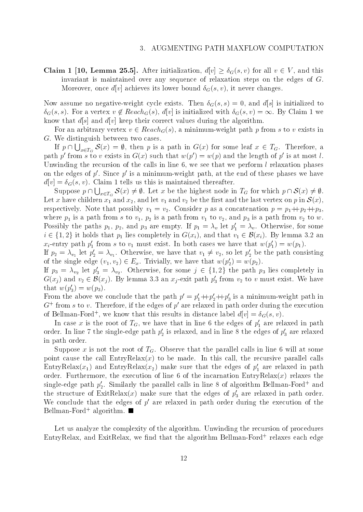**Claim 1 [10, Lemma 25.5].** After initialization,  $d[v] \ge \delta_G(s, v)$  for all  $v \in V$ , and this invariant is maintained over any sequence of relaxation steps on the edges of G. Moreover, once  $d[v]$  achieves its lower bound  $\delta_G(s, v)$ , it never changes.

Now assume no negative-weight cycle exists. Then  $\delta_G(s, s) = 0$ , and  $d[s]$  is initialized to  $\delta_G(s, s)$ . For a vertex  $v \notin Reach_G(s)$ ,  $d[v]$  is initialized with  $\delta_G(s, v) = \infty$ . By Claim 1 we know that  $d[s]$  and  $d[v]$  keep their correct values during the algorithm.

For an arbitrary vertex  $v \in Reach_G(s)$ , a minimum-weight path p from s to v exists in G. We distinguish between two cases.

If  $p \cap \bigcup_{x \in T_G} S(x) = \emptyset$ , then p is a path in  $G(x)$  for some leaf  $x \in T_G$ . Therefore, a path p' from s to v exists in  $G(x)$  such that  $w(p') = w(p)$  and the length of p' is at most l. Unwinding the recursion of the calls in line 6, we see that we perform  $l$  relaxation phases on the edges of  $p'$ . Since  $p'$  is a minimum-weight path, at the end of these phases we have  $d[v] = \delta_G(s, v)$ . Claim 1 tells us this is maintained thereafter. the edges of p'. Since p' is a minimum-weight path, at the end of these phases we have  $= \delta_G(s, v)$ . Claim 1 tells us this is maintained thereafter.<br>Suppose  $p \cap \bigcup_{x \in T_G} S(x) \neq \emptyset$ . Let x be the highest node in  $T_G$  for wh

Let x have children  $x_1$  and  $x_2$ , and let  $v_1$  and  $v_2$  be the first and the last vertex on  $p$  in  $\mathcal{S}(x),$ respectively. Note that possibly v1 <sup>=</sup> v2. Consider <sup>p</sup> as <sup>a</sup> concatenation <sup>p</sup> <sup>=</sup> p1++p2++p3, where  $p$  is a path from stress to v1,  $p$   $\Delta$  is a path from v1 to v2, and p3 is a path from v2 tow. Possibly the paths  $p_1, p_2$ , and  $p_3$  are empty. If  $p_1 = \lambda_v$  let  $p_1 = \lambda_v$ . Otherwise, for some where  $p_1$  is a path from s to  $v_1$ ,  $p_2$  is a path from  $v_1$  to  $v_2$ , and  $p_3$  is a path from  $v_2$  to  $w$ .<br>Possibly the paths  $p_1$ ,  $p_2$ , and  $p_3$  are empty. If  $p_1 = \lambda_v$  let  $p'_1 = \lambda_v$ . Otherwise, for some  $i \in$  $x_i$ -entry path  $p_1$  from s to  $v_1$  must exist. In both cases we have that  $w(p_1) = w(p_1)$ .

If  $p_2 = \lambda_{v_1}$  let  $p_2 = \lambda_{v_1}$ . Otherwise, we have that  $v_1 \neq v_2$ , so let  $p_2$  be the path consisting of the single edge  $(v_1, v_2) \in E_x$ . Trivially, we have that  $w(p'_2) = w(p_2)$ .

If  $p_3 = \lambda_{v_2}$  let  $p_3 = \lambda_{v_2}$ . Otherwise, for some  $j \in \{1, 2\}$  the path  $p_3$  lies completely in  $\mathbf{G}(x_j)$  and  $v_2 \in \mathcal{B}(x_j)$ . By lemma 5.5 an  $x_j$ -exit path  $p_3$  from  $v_2$  to v must exist. We have e single edge  $(v_1, v_2) \in E_x$ . Trivially, we have that  $w(p'_2) = \lambda_{v_2}$  let  $p'_3 = \lambda_{v_2}$ . Otherwise, for some  $j \in \{1, 2\}$  the ) and  $v_2 \in \mathcal{B}(x_i)$ . By lemma 3.3 an  $x_i$ -exit path  $p'_3$  from  $v_i$ . that  $w(p_3') = w(p_3)$ .

From the above we conclude that the path  $p_1 = p_1 + p_2 + p_3$  is a minimum-weight path in G  $^+$  from  $s$  to  $v$  . Therefore, if the edges of  $p^\circ$  are relaxed in path order during the execution of Bellman-Ford+, we know that this results in distance label  $a[v] = o_G(s,v)$ .

In case x is the root of  $I_G$ , we have that in line 6 the edges of  $p_1$  are relaxed in path order. In line 7 the single-edge path  $p_2$  is relaxed, and in line 8 the edges of  $p_3^{}$  are relaxed in path order.

Suppose x is not the root of  $T<sub>G</sub>$ . Observe that the parallel calls in line 6 will at some point cause the call  $EntryRelax(x)$  to be made. In this call, the recursive parallel calls EntryRelax( $x_1$ ) and EntryRelax( $x_2$ ) make sure that the edges of  $p_1$  are relaxed in path order. Furthermore, the execution of line 6 of the incarnation  $\text{EntryRelax}(x)$  relaxes the single-edge path  $p_2$ . Similarly the parallel calls in line 8 of algorithm Bellman-Ford+ and the structure of ExitRelax(x) make sure that the edges of  $p_3$  are relaxed in path order. We conclude that the edges of  $p'$  are relaxed in path order during the execution of the Bellman-Ford+ algorithm. ■

Let us analyze the complexity of the algorithm. Unwinding the recursion of procedures EntryRelax, and ExitRelax, we nd that the algorithm Bellman-Ford+ relaxes each edge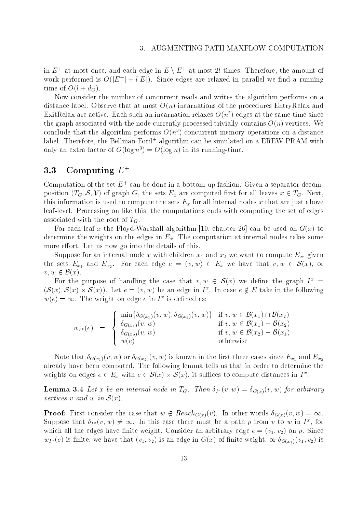in  $E^+$  at most once, and each edge in  $E\setminus E^+$  at most  $2l$  times. Therefore, the amount of work periormed is  $O(|E|+l|E|)$ . Since edges are relaxed in parallel we find a running time of  $O(l + d_G)$ .

Now consider the number of concurrent reads and writes the algorithm performs on a distance label. Observe that at most  $O(n)$  incarnations of the procedures EntryRelax and ExitRelax are active. Each such an incarnation relaxes  $O(n^2)$  edges at the same time since the graph associated with the node currently processed trivially contains  $O(n)$  vertices. We conclude that the algorithm performs  $O(n^3)$  concurrent memory operations on a distance label. Therefore, the Bellman-Ford+ algorithm can be simulated on a EREW PRAM with only an extra factor of  $O(\log n^3) = O(\log n)$  in its running-time.

## 3.3 Computing  $E^+$

Computation of the set  $E^+$  can be done in a bottom-up fashion. Given a separator decomposition  $(T_G, \mathcal{S}, V)$  of graph G, the sets  $E_x$  are computed first for all leaves  $x \in T_G$ . Next, this information is used to compute the sets Ex for all internal nodes  $\mu$ leaf-level. Processing on like this, the computations ends with computing the set of edges associated with the root of  $T_G$ .

For each leaf x the Floyd-Warshall algorithm [10, chapter 26] can be used on  $G(x)$  to determine the weights on the edges in  $E_x$ . The computation at internal nodes takes some more effort. Let us now go into the details of this.

Suppose for any internal node  $\alpha$  with children x2 with  $\alpha$  with  $\alpha$  with  $\alpha$  with  $\alpha$  with  $\alpha$   $\alpha$ the sets  $E_{x_1}$  and  $E_{x_2}$ . For each edge  $e = (v, w) \in E_x$  we have that  $v, w \in S(x)$ , or Suppose for an int<br>the sets  $E_{x_1}$  and  $E_{x_2}$ <br> $v, w \in \mathcal{B}(x)$ .

For the purpose of handling the case that  $v,w \in \mathcal{S}(x)$  we define the graph  $I^* =$  $\{\mathcal{S}(x), \mathcal{S}(x) \times \mathcal{S}(x)\}$ . Let  $e = (v, w)$  be an edge in  $I^*$ . In case  $e \notin E$  take in the following The urpose of handling the case that  $v, w \in S(x)$ .<br>
S(x)). Let  $e = (v, w)$  be an edge in  $I^x$ . In case  $w(e) = \infty$ . The weight on edge e in  $I^*$  is defined as: n edge e in  $I^x$  is defined as:<br>  $\min{\{\delta_{G(x_1)}(v, w), \delta_{G(x_2)}(v, w)\}}$  if  $v, w \in \mathcal{B}(x_1) \cap \mathcal{B}(x_2)$ 

$$
w_{I^x}(e) = \begin{cases} \min\{\delta_{G(x_1)}(v, w), \delta_{G(x_2)}(v, w)\} & \text{if } v, w \in \mathcal{B}(x_1) \cap \mathcal{B}(x_2) \\ \delta_{G(x_1)}(v, w) & \text{if } v, w \in \mathcal{B}(x_1) - \mathcal{B}(x_2) \\ \delta_{G(x_2)}(v, w) & \text{if } v, w \in \mathcal{B}(x_2) - \mathcal{B}(x_1) \\ w(e) & \text{otherwise} \end{cases}
$$

 $N(x,y)$  or G(x2)(v; w) is known in the cases since  $x_1$  and  $x_2$ already have been computed. The following lemma tells us that in order to determine the Note that  $\delta_{G(x_1)}(v, w)$  or  $\delta_{G(x_2)}(v, w)$  is known in the first three cases since  $E_{x_1}$  and already have been computed. The following lemma tells us that in order to determine weights on edges  $e \in E_x$  with  $e \in S(x) \times$ known in the first three cases since  $E_{x_1}$  and  $E_{x_2}$ <br>ng lemma tells us that in order to determine the<br> $S(x)$ , it suffices to compute distances in  $I^x$ .

**Lemma 3.4** Let x be an internal node in  $T_G$ . Then  $\delta_{I^x}(v, w) = \delta_{G(x)}(v, w)$  for arbitrary vertices v and w in  $S(x)$ .

**Proof:** First consider the case that  $w \notin Reach_{G(x)}(v)$ . In other words  $\delta_{G(x)}(v, w) = \infty$ . Suppose that  $\vartheta_{I^x}(v,w) \neq \infty$ . In this case there must be a path p from v to w in I<sup>-</sup>, for which all the edges have finite weight. Consider an arbitrary edge  $e = (v_1, v_2)$  on p. Since  $w_{I^x}(e)$  is finite, we have that  $(v_1, v_2)$  is an edge in  $G(x)$  of finite weight, or  $\delta_{G(x_1)}(v_1, v_2)$  is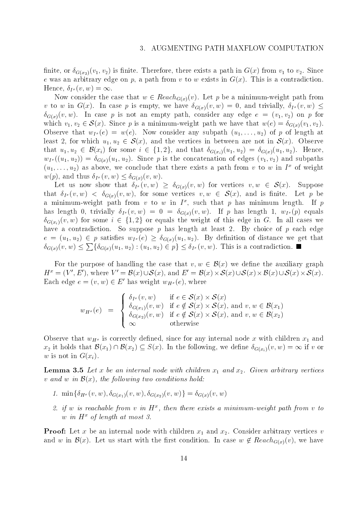finite, or  $\delta_{G(x_2)}(v_1, v_2)$  is finite. Therefore, there exists a path in  $G(x)$  from  $v_1$  to  $v_2$ . Since e was an arbitrary edge on p, a path from v to w exists in  $G(x)$ . This is a contradiction. Hence,  $\delta_{I^x}(v, w) = \infty$ .

Now consider the case that  $w \in Reach_{G(x)}(v)$ . Let p be a minimum-weight path from v to w in  $G(x)$ . In case p is empty, we have  $\delta_{G(x)}(v, w) = 0$ , and trivially,  $\delta_{I^x}(v, w) \leq$ G(x)(v; w). In case p is not an empty path, consider any edge e = (v1; v2) on p for which  $v_1, v_2 \in \mathcal{S}(x)$ . Since p is a minimum-weight path we have that  $w(e) = \delta_{G(x)}(v_1, v_2)$ . (*x*). In case *p* is empty, we have  $\delta_{G(x)}(v, w) = 0$ , and trivially,  $\delta_{I^x}(v, w) \le$ <br>In case *p* is not an empty path, consider any edge  $e = (v_1, v_2)$  on *p* for  $\in \mathcal{S}(x)$ . Since *p* is a minimum-weight path we have t Observe that  $w_{I^x}(e) = w(e)$ . Now consider any subpath  $(u_1,\ldots,u_2)$  of p of length at least 2, for which  $u_1, u_2 \in \mathcal{S}(x)$ , and the vertices in between are not in  $\mathcal{S}(x)$ . Observe that  $u_1, u_2 \in \mathcal{D}(x_i)$  for some  $i \in \{1, 2\}$ , and that  $o_{G(x_i)}(u_1, u_2) = o_{G(x)}(u_1, u_2)$ . Hence,  $w_{I^x}((u_1, u_2)) = \delta_{G(x)}(u_1, u_2)$ . Since p is the concatenation of edges  $(v_1, v_2)$  and subpaths  $(u_1,\ldots,u_2)$  as above, we conclude that there exists a path from v to w in I of weight  $w(p)$ , and thus  $\delta_{I^x}(v, w) \leq \delta_{G(x)}(v, w)$ .

Let us now show that  $\delta_{I^x}(v, w) \geq \delta_{G(x)}(v, w)$  for vertices  $v, w \in S(x)$ . Suppose that  $\delta_{I^x}(v, w) < \delta_{G(x)}(v, w)$ , for some vertices  $v, w \in S(x)$ , and is finite. Let p be a minimum-weight path from  $v$  to  $w$  in  $I^+$ , such that  $p$  has minimum length. If  $p$ has length 0, trivially  $\delta_{I^x}(v, w) = 0 = \delta_{G(x)}(v, w)$ . If p has length 1,  $w_{I^x}(p)$  equals  $\theta_{G(x_i)}(v, w)$  for some  $i \in \{1, 2\}$  or equals the weight of this edge in G. In all cases we have a contradiction. So suppose  $p$  has length at least 2. By choice of  $p$  each edge  $e = (u_1, u_2) \in p$  satisfies  $w_{I^x}(e) \geq o_{G(x)}(u_1, u_2)$ . By definition of distance we get that  $\delta_{G(x)}(v, w) \leq \sum \{ \delta_{G(x)}(u_1, u_2) : (u_1, u_2) \in p \} \leq \delta_{I^x}(v, w)$ . This is a contradiction. ction. So suppose *p* has length at least 2. By choice of *p* each edge *p* satisfies  $w_{I^x}(e) \ge \delta_{G(x)}(u_1, u_2)$ . By definition of distance we get that  $\{\delta_{G(x)}(u_1, u_2) : (u_1, u_2) \in p\} \le \delta_{I^x}(v, w)$ . This is a contradict

For the purpose of handling the case that  $v, w \in \mathcal{B}(x)$  we define the auxiliary graph  $H^x = (V', E'),$  where  $V' = \mathcal{B}(x) \cup \mathcal{S}(x)$ , and  $E' = \mathcal{B}(x) \times \mathcal{S}(x) \cup \mathcal{S}(x) \times \mathcal{B}(x) \cup \mathcal{S}(x) \times \mathcal{S}(x)$ . x) we define the auxiliary graph<br> $S(x) \cup S(x) \times B(x) \cup S(x) \times S(x)$ .  $\operatorname*{graph}\limits_{\mathcal{S}(x)}$ Each edge  $e = (v, w) \in E$  has weight  $w_{H^x}(e)$ , where  $\begin{aligned} \text{has weight }& w_{H^x}(e), \text{ where} \ & \delta_{I^x}(v, w) & \text{if } e \in \mathcal{S}(x) \times \mathcal{S}(x) \end{aligned}$  $S(x)$ 

$$
w_{H^x}(e) = \begin{cases} \n\delta_{I^x}(v, w) & \text{if } e \in \mathcal{S}(x) \times \mathcal{S}(x) \\
\delta_{G(x_1)}(v, w) & \text{if } e \notin \mathcal{S}(x) \times \mathcal{S}(x), \text{ and } v, w \in \mathcal{B}(x_1) \\
\delta_{G(x_2)}(v, w) & \text{if } e \notin \mathcal{S}(x) \times \mathcal{S}(x), \text{ and } v, w \in \mathcal{B}(x_2) \\
\infty & \text{otherwise}\n\end{cases}
$$

Observe that wH<sup>x</sup> is correctly dened, since for any internal node x with children x1 and Observe that  $w_{H^x}$  is correctly defined, since for any internal node x with children  $x_1$  and  $x_2$  it holds that  $\mathcal{B}(x_1) \cap \mathcal{B}(x_2) \subseteq S(x)$ . In the following, we define  $\delta_{G(x_i)}(v, w) = \infty$  if v or w is not in  $G(x_i)$ .

 $\blacksquare$  . The and  $\blacksquare$  and  $\blacksquare$  and  $\blacksquare$  and  $\blacksquare$  and  $\blacksquare$  and  $\blacksquare$  and  $\blacksquare$  arbitrary vertices arbitrary vertices arbitrary vertices arbitrary vertices arbitrary vertices arbitrary vertices arbitrary vertice v and w in  $\mathcal{B}(x)$ , the following two conditions hold:

- 1.  $\min\{\delta_{H^x}(v, w), \delta_{G(x_1)}(v, w), \delta_{G(x_2)}(v, w)\} = \delta_{G(x)}(v, w)$
- $z$ .  $\eta$  w is reachable from v in  $\bm{\Pi}$  , then there exists a minimum-weight path from v to w in  $H^x$  of length at most 3.

 $\mathbf{P} = \mathbf{P}$ and w in  $\mathcal{B}(x)$ . Let us start with the first condition. In case  $w \notin Reach_{G(x)}(v)$ , we have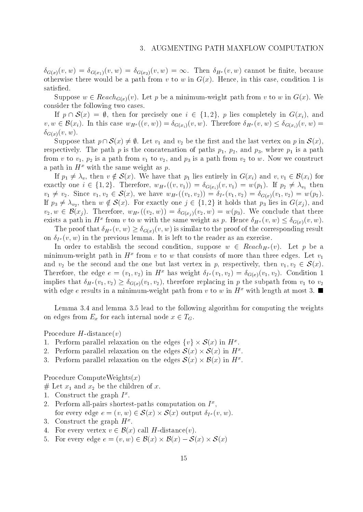$\delta_{G(x)}(v, w) = \delta_{G(x_1)}(v, w) = \delta_{G(x_2)}(v, w) = \infty$ . Then  $\delta_{H^x}(v, w)$  cannot be finite, because otherwise there would be a path from v to w in  $G(x)$ . Hence, in this case, condition 1 is satisfied.

Suppose  $w \in Reach_{G(x)}(v)$ . Let p be a minimum-weight path from v to w in  $G(x)$ . We sider the following two cases.<br>If  $p \cap S(x) = \emptyset$ , then for precisely one  $i \in \{1, 2\}$ , p lies completely in  $G(x_i)$ , and consider the following two cases.

consider the following two cases.<br>
If  $p \cap \mathcal{S}(x) = \emptyset$ , then for precisely one  $i \in \{1, 2\}$ , p lies completely in  $G(x_i)$ , and<br>  $v, w \in \mathcal{B}(x_i)$ . In this case  $w_{H^x}((v, w)) = \delta_{G(x_i)}(v, w)$ . Therefore  $\delta_{H^x}(v, w) \leq \delta_{G(x_i)}($  $\delta_{G(x)}(v, w)$ .  $v \in \mathcal{B}(x_i)$ . In this case  $w_{H^x}((v, w)) = c$ <br>  $v(x, w)$ .<br>
Suppose that  $p \cap \mathcal{S}(x) \neq \emptyset$ . Let  $v_1$  and

Suppose that  $p \cap \mathcal{S}(x) \neq \emptyset$ . Let  $v_1$  and  $v_2$  be the first and the last vertex on p in  $\mathcal{S}(x)$ , respectively. The protective concatenation of path protectively. It paths p2, where p3, where p1 is a paths pat from v to v2, and p2 is a path from v2 to v2, and p3 is a path from v2 tow. Now we construct the path from v2 tow. Now we construct the set of  $2$ a path in  $H^x$  with the same weight as p. If p<sub>1</sub>  $v$  to  $v_1$ ,  $p_2$  is a path from  $v_1$  to  $v_2$ , and  $p_3$  is a path from  $v_2$  to  $w$ . Now we construct ath in  $H^x$  with the same weight as  $p$ .<br>If  $p_1 \neq \lambda_v$ , then  $v \notin \mathcal{S}(x)$ . We have that  $p_1$  lies enti

exactly one  $i \in \{1, 2\}$ . Therefore,  $w_{H^x}((v, v_1)) = o_{G(x_i)}(v, v_1) = w(p_1)$ . If  $p_2 \neq \lambda_{v_1}$  then  $v_1 \neq v_2$ . Since  $v_1, v_2 \in \mathcal{S}(x)$ , we have  $w_{H^x}((v_1, v_2)) = o_{I^x}(v_1, v_2) = o_{G(x)}(v_1, v_2) = w(p_2)$ . If  $p_3 \neq \lambda_{v_2}$ , then  $w \notin \mathcal{S}(x)$ . For exactly one  $j \in \{1,2\}$  it holds that  $p_3$  hes in  $\mathbf{G}(x_j)$ , and  $e \ i \in \{1,2\}$ . Therefore,  $w_{H^x}((v,v_1)) = \delta_{G(x_i)}(v,v_1) = w(p_1)$ . If<br>ince  $v_1, v_2 \in \mathcal{S}(x)$ , we have  $w_{H^x}((v_1, v_2)) = \delta_{I^x}(v_1, v_2) = \delta_{G(x)}(v_1, v_2)$ , then  $w \notin \mathcal{S}(x)$ . For exactly one  $j \in \{1,2\}$  it holds that  $p_3$  l  $v_2, w \in \mathcal{B}(x_j)$ . Therefore,  $w_{H^x}(v_2, w)) = o_{G(x_j)}(v_2, w) = w(p_3)$ . We conclude that there exists a path in H  $\tilde{x}$  from v to w with the same weight as p. Hence  $\theta_{H^x}(v,w) \leq \theta_{G(x)}(v,w)$ .

The proof that  $\delta_{H^x}(v, w) \geq \delta_{G(x)}(v, w)$  is similar to the proof of the corresponding result on  $\delta_{I^x}(v, w)$  in the previous lemma. It is left to the reader as an exercise.

In order to establish the second condition, suppose  $w \in Reach_{H^x}(v)$ . Let p be a minimum-weight path in  $H^*$  from  $v$  to  $w$  that consists of more than three edges. Let  $v_1$ and  $v_2$  be the second and the one but last vertex in  $p$ , respectively, then  $v_1, v_2 \in \mathcal{S}(x)$ . Therefore, the edge  $e = (v_1, v_2)$  in  $H^x$  has weight  $\delta_{I^x}(v_1, v_2) = \delta_{G(x)}(v_1, v_2)$ . Condition 1 implies that  $\theta_{H^{x}}(v_{1}, v_{2}) \geq \theta_{G(x)}(v_{1}, v_{2}),$  therefore replacing in p the subpath from  $v_{1}$  to  $v_{2}$ with edge e results in a minimum-weight path from v to w in  $H^x$  with length at most 3.

Lemma 3.4 and lemma 3.5 lead to the following algorithm for computing the weights on edges from  $E_x$  for each internal node  $x \in I_G$ .

Procedure  $H$ -distance $(v)$ 

- 1. Perform parafiel relaxation on the edges  $\{v\}\times\mathcal{S}(x)$  in  $H^{\infty}$ .
- Procedure H-distance(v)<br>1. Perform parallel relaxation on the edges  $\{v\} \times S(x)$  in  $H^x$ .<br>2. Perform parallel relaxation on the edges  $S(x) \times S(x)$  in  $H^x$ .  $S(x)$  in  $H^x$ .<br>  $S(x)$  in  $H^x$ .<br>  $B(x)$  in  $H^x$ .
- 3. Perform parallel relaxation on the edges  $\mathcal{S}(x) \times \mathcal{B}(x)$  in  $H^x$ .

Procedure ComputeWeights $(x)$ 

# Let x1 and x2 be the children of x.

- 1. Construct the graph I<sup>-</sup>.
- 2. Perform all-pairs shortest-paths computation on  $I^*$ , Construct the graph  $I^x$ .<br>Perform all-pairs shortest-paths computati<br>for every edge  $e = (v, w) \in \mathcal{S}(x) \times \mathcal{S}(x)$  ou mputation on  $I^x$ ,<br> $\mathcal{S}(x)$  output  $\delta_{I^x}(v,w)$ . for every edge  $e = (v, w) \in \mathcal{S}(x) \times \mathcal{S}(x)$  output  $\delta_{I^2}$ <br>3. Construct the graph  $H^x$ .<br>4. For every vertex  $v \in \mathcal{B}(x)$  call H-distance(v).
- 3. Construct the graph  $H^{\pm}$ .
- 
- 3. Construct the graph  $H^x$ .<br>4. For every vertex  $v \in \mathcal{B}(x)$  call H-distance(v).<br>5. For every edge  $e = (v, w) \in \mathcal{B}(x) \times \mathcal{B}(x) \mathcal{S}(x) \times \mathcal{S}(x)$  $S(x)$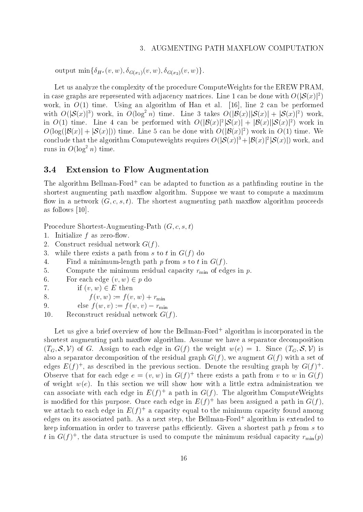output  $\min\{\delta_{H^x}(v, w), \delta_{G(x_1)}(v, w), \delta_{G(x_2)}(v, w)\}.$ 

Let us analyze the complexity of the procedure ComputeWeights for the EREW PRAM, in case graphs are represented with adjacency matrices. Line 1 can be done with  $O(|\mathcal{S}(x)|^2)$ work, in  $O(1)$  time. Using an algorithm of Han et al. [16], line 2 can be performed with  $O(|\mathcal{S}(x)|^3)$  work, in  $O(\log^2 n)$  time. Line 3 takes  $O(|\mathcal{B}(x)||\mathcal{S}(x)| + |\mathcal{S}(x)|^2)$  work, in  $O(1)$  time. Line 4 can be performed with  $O(|D(x)|^2)S(x)$  +  $|D(x)|S(x)|^2$  work in  $O(\log(|\mathcal{B}(x)| + |\mathcal{S}(x)|))$  time. Line 5 can be done with  $O(|\mathcal{B}(x)|^2)$  work in  $O(1)$  time. We conclude that the algorithm Computeweights requires  $O(|\mathcal{S}(x)|^2 + |\mathcal{B}(x)|^2 |\mathcal{S}(x)|)$  work, and runs in  $O(\log^2 n)$  time.

### 3.4 Extension to Flow Augmentation

The algorithm Bellman-Ford<sup>+</sup> can be adapted to function asa pathnding routine in the shortest augmenting path maxflow algorithm. Suppose we want to compute a maximum flow in a network  $(G, c, s, t)$ . The shortest augmenting path maxilow algorithm proceeds as follows [10].

Procedure Shortest-Augmenting-Path  $(G, c, s, t)$ 

- 1. Initialize  $f$  as zero-flow.
- 2. Construct residual network  $G(f)$ .
- 3. while there exists a path from s to t in  $G(f)$  do
- 4. Find a minimum-length path p from s to t in  $G(f)$ .
- 5. Compute the minimum residual capacity rmin of edges in p.
- 6. For each edge  $(v, w) \in p$  do
- 7. if  $(v, w) \in E$  then
- 8.  $f(v, w) := f(v, w) + r_{\min}$

9. else 
$$
f(w, v) := f(w, v) - r_{\min}
$$

10. Reconstruct residual network  $G(f)$ .

Let us give a brief overview of how the Bellman-Ford+ algorithm is incorporated in the shortest augmenting path maxflow algorithm. Assume we have a separator decomposition  $(T_G, \mathcal{S}, \mathcal{V})$  of G. Assign to each edge in  $G(f)$  the weight  $w(e) = 1$ . Since  $(T_G, \mathcal{S}, \mathcal{V})$  is also a separator decomposition of the residual graph  $G(f)$ , we augment  $G(f)$  with a set of edges  $E(T)$  , as described in the previous section. Denote the resulting graph by  $G(T)$  , Observe that for each edge  $e = (v, w)$  in  $G(f)$  there exists a path from v to w in  $G(f)$ of weight  $w(e)$ . In this section we will show how with a little extra administration we can associate with each edge in  $E(f)$  a path in G(f). The algorithm Compute weights is modified for this purpose. Once each edge in  $E(f)$  has been assigned a path in  $G(f)$ , we attach to each edge in E(f )+ a capacity equal to the minimum capacity found among edges on its associated path. As a next step, the Bellman-Ford+ algorithm is extended to keep information in order to traverse paths efficiently. Given a shortest path  $p$  from  $s$  to t in  $G(f)$  , the data structure is used to compute the minimum residual capacity  $r_{\min}(p)$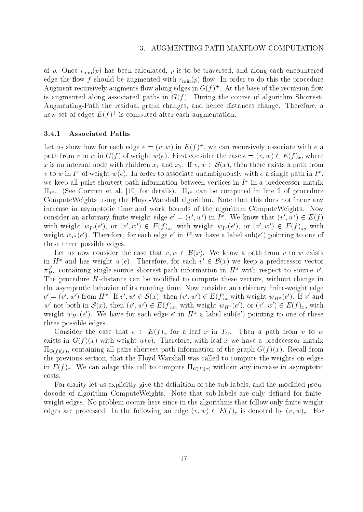of p. Once  $r_{\text{min}}(p)$  has been calculated, p is to be traversed, and along each encountered edge the flow f should be augmented with  $r_{\min}(p)$  flow. In order to do this the procedure Augment recursively augments now along edges in  $G(f)^\circ$  . At the base of the recursion now is augmented along associated paths in  $G(f)$ . During the course of algorithm Shortest-Augmenting-Path the residual graph changes, and hence distances change. Therefore, a new set of edges  $E(T)$  is computed after each augmentation.

#### 3.4.1 Associated Paths

Let us show now for each edge  $e = (v, w)$  in  $E(f)$  , we can recursively associate with  $e$  a path from v to w in  $G(f)$  of weight  $w(e)$ . First consider the case  $e = (v, w) \in E(f)_x$ , where x is an internal node with children  $x_1$  and  $x_2$ . If  $v, w \in S(x)$ , then there exists a path from  $(a, w)$  in  $E(f)^+$ , we can recursively associate with e a<br>e). First consider the case  $e = (v, w) \in E(f)_x$ , where<br>and  $x_2$ . If  $v, w \in S(x)$ , then there exists a path from  $v$  to  $w$  in  $I^-$  of weight  $w(e)$ . In order to associate unambiguously with  $e$  a single path in  $I^-,$ we keep all-pairs shortest-path information between vertices in 1° in a predecessor matrix  $\Pi_{I^x}$ . (See Cormen et al. [10] for details).  $\Pi_{I^x}$  can be computed in line 2 of procedure ComputeWeights using the Floyd-Warshall algorithm. Note that this does not incur any increase in asymptotic time and work bounds of the algorithm ComputeWeights. Now consider an arbitrary nnite-weight edge  $e^- = (v_+, w_-)$  in I<sup>th</sup>. We know that  $(v_-, w_-) \in E(f)$ with weight  $w_{I^x}(\ell)$ , or  $(v, w) \in E(f)_{x_1}$  with weight  $w_{I^x}(\ell)$ , or  $(v, w) \in E(f)_{x_2}$  with weight  $w_{I^x}(e)$ . Therefore, for each edge e in  $I^*$  we have a label sub(e) pointing to one of these three possible edges.

Let us now consider the case that  $v, w \in \mathcal{B}(x)$ . We know a path from v to w exists in  $H^+$  and has weight  $w(e)$ . Therefore, for each  $v$   $\in$   $\mathcal{D}(x)$  we keep a predecessor vector  $\pi^v_{H^x}$  containing single-source shortest-path information in  $H^x$  with respect to source v'. The procedure  $H$ -distance can be modified to compute these vectors, without change in the asymptotic behavior of its running time. Now consider an arbitrary  $\mathbf{M}$  is run  $\mathbf{M}$  $e = (v, w)$  from  $H^{\pm}$ . If  $v, w \in S(x)$ , then  $(v, w) \in E(f)_x$  with weight  $w_{H^x}(e)$ . If v and e can be modified to compus<br>of its running time. Now con<br> $y', w' \in \mathcal{S}(x)$ , then  $(v', w') \in \mathcal{S}(x)$ w not both in  $S(x)$ , then  $(v', w') \in E(f)_{x_1}$  with weight  $w_{H^x}(e')$ , or  $(v', w') \in E(f)_{x_2}$  with weight  $w_{H^x}$ (e). We have for each edge e in  $H^+$  a label sub(e) pointing to one of these three possible edges.

Consider the case that  $e \in E(f)_x$  for a leaf x in  $I_G$ . Then a path from v to w exists in  $G(f)(x)$  with weight  $w(e)$ . Therefore, with leaf x we have a predecessor matrix GC(f)(f) , containing all-pairs shortest-path into the shortest-path in the graph G(f)(f )), Recall from the G the previous section, that the Floyd-Warshall was called to compute the weights on edges in E(f )x. We can add to compute G(f ) with compute G(f ) without any increase in asymptotic increase in asymptotic increase in a symptotic computation of  $\mathcal{S}$ costs.

For clarity let us explicitly give the definition of the sub-labels, and the modified pseudocode of algorithm ComputeWeights. Note that sub-labels are only defined for finiteweight edges. No problem occurs here since in the algorithms that follow only finite-weight edges are processed. In the following an edge  $(v, w) \in E(f)_x$  is denoted by  $(v, w)_x$ . For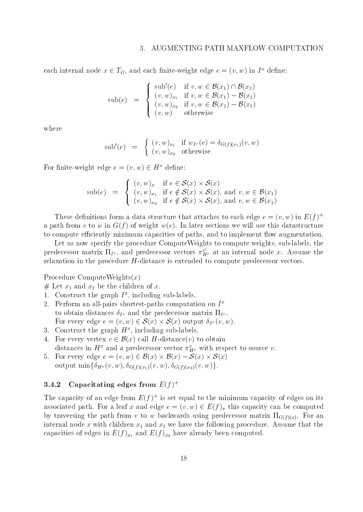#### AUGMENTING PATH MAXFLOW COMPUTATION  $\mathcal{E}$

each internal hode  $x \in I_G,$  and each finite-weight edge  $e = (v,w)$  in  $I^+$  define: i finite-weight edge  $e = (v, w)$  in  $I^x$  define<br>sub'(e) if  $v, w \in \mathcal{B}(x_1) \cap \mathcal{B}(x_2)$ 

$$
\text{sub}(e) = \begin{cases} \text{sub}'(e) & \text{if } v, w \in \mathcal{B}(x_1) \cap \mathcal{B}(x_2) \\ (v, w)_{x_1} & \text{if } v, w \in \mathcal{B}(x_1) - \mathcal{B}(x_2) \\ (v, w)_{x_2} & \text{if } v, w \in \mathcal{B}(x_2) - \mathcal{B}(x_1) \\ (v, w) & \text{otherwise} \end{cases}
$$

where

$$
sub'(e) = \begin{cases} (v, w)_{x_1} & \text{if } w_{I^x}(e) = \delta_{G(f)(x_1)}(v, w) \\ (v, w)_{x_2} & \text{otherwise} \end{cases}
$$

For finite-weight edge  $e = (v, w) \in H^x$  define:

\n
$$
\text{ght edge } e = (v, w) \in H^x \text{ define:}
$$
\n

\n\n $\text{sub}(e) =\n \begin{cases}\n (v, w)_x & \text{if } e \in \mathcal{S}(x) \times \mathcal{S}(x) \\
 (v, w)_{x_1} & \text{if } e \notin \mathcal{S}(x) \times \mathcal{S}(x), \text{ and } v, w \in \mathcal{B}(x_1) \\
 (v, w)_{x_2} & \text{if } e \notin \mathcal{S}(x) \times \mathcal{S}(x), \text{ and } v, w \in \mathcal{B}(x_2)\n \end{cases}$ \n

These definitions form a data structure that attaches to each edge  $e = (v, w)$  in  $E(f)^+$ a path from v to w in  $G(f)$  of weight  $w(e)$ . In later sections we will use this datastructure to compute efficiently minimum capacities of paths, and to implement flow augmentation.

Let us now specify the procedure ComputeWeights to compute weights, sub-labels, the predecessor matrix  $\Pi_{I^x}$ , and predecessor vectors  $\pi^v_{H^x}$  at an internal node x. Assume the relaxation in the procedure H-distance is extended to compute predecessor vectors.

Procedure ComputeWeights $(x)$ 

- $\mu$  is an and  $\mu$
- 1. Construct the graph  $I^*$ , including sub-labels.
- 2. Perform an all-pairs shortest-paths computation on I xto obtain distances of and the predecession material in . Perform an all-pairs shortest-paths comput<br>to obtain distances  $\delta_{I^x}$  and the predecessor<br>For every edge  $e = (v, w) \in \mathcal{S}(x) \times \mathcal{S}(x)$  ou  $\begin{array}{l} \textrm{computation on}\,\, I^x \ \textrm{lecessor}\,\, \textrm{matrix}\,\, \Pi_{I^x}. \ \mathcal{S}(x)\,\, \textrm{output}\,\, \delta_{I^x}(v,w). \end{array}$ For every edge  $e = (v, w) \in S(x) \times S(x)$  output  $\delta_{I^x}(v, w)$ .<br>3. Construct the graph  $H^x$ , including sub-labels.<br>4. For every vertex  $v \in \mathcal{B}(x)$  call H-distance(v) to obtain
- $\sigma$ . Construct the graph  $H^*$ , including sub-labels.
- distances in  $H^*$  and a predecessor vector  $\pi^*_{H^x}$  with respect to source v. 4. For every vertex  $v \in \mathcal{B}(x)$  call H-distance(v) to obtain<br>distances in  $H^x$  and a predecessor vector  $\pi_{H^x}^v$  with respect to sour<br>5. For every edge  $e = (v, w) \in \mathcal{B}(x) \times \mathcal{B}(x) - \mathcal{S}(x) \times \mathcal{S}(x)$
- output  $\min\{o_{H^x}(v, w), o_{G(f)(x_1)}(v, w), o_{G(f)(x_2)}(v, w)\}.$

#### 3.4.2 Capacitating edges from  $E(f)^+$

The capacity of an edge from  $E(f)$  is set equal to the minimum capacity of edges on its associated path. For a leaf x and edge  $e = (v, w) \in E(f)_x$  this capacity can be computed by traversing the path from v to w backwards using predecessor matrix  $\alpha$  . For any  $\alpha$ internal node  $\frac{1}{2}$  and  $\frac{2}{2}$  with children x<sub>2</sub> we have the following procedure. Assume that the following procedure. Assume that the following procedure. Assume that the following procedure. Assume that the foll capacities of edges in  $E(f)_{x_1}$  and  $E(f)_{x_2}$  have already been computed.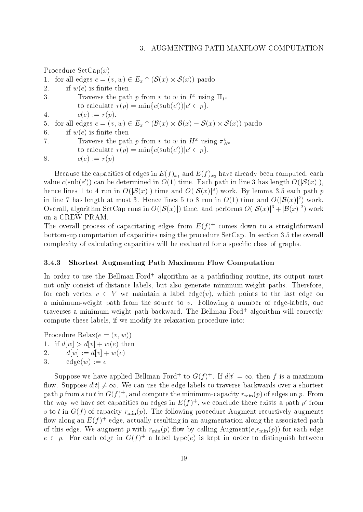Procedure  $SetCap(x)$ Procedure SetCap $(x)$ <br>1. for all edges  $e = (v, w) \in E_x \cap (\mathcal{S}(x) \times \mathcal{S}(x))$  pardo 2. if  $w(e)$  is finite then 3. Traverse the path p from v to w in  $I^+$  using  $\Pi_{I^x}$ to calculate  $r(p) = \min\{c(\sup(e)) | e \in p\}$ . 4.  $c(e) := r(p)$ . to calculate  $r(p) = \min\{c(\text{sub}(e'))|e' \in p\}.$ <br>
4.  $c(e) := r(p).$ <br>
5. for all edges  $e = (v, w) \in E_x \cap (\mathcal{B}(x) \times \mathcal{B}(x) - \mathcal{S}(x) \times \mathcal{S}(x))$  pardo 6. if  $w(e)$  is finite then 7. Traverse the path p from v to w in  $H^x$  using  $\pi^v_{H^x}$ to calculate  $r(p) = \min\{c(\sup(e)) | e \in p\}$ . 8.  $c(e) := r(p)$ 

Because the capacities of edges in  $E(f)_{x_1}$  and  $E(f)_{x_2}$  have already been computed, each value c(sub(e)) can be determined in  $O(1)$  time. Each path in line 3 has length  $O(|O(x)|)$ , hence lines 1 to 4 run in  $O(|\mathcal{S}(x)|)$  time and  $O(|\mathcal{S}(x)|^3)$  work. By lemma 3.5 each path p in line 7 has length at most 3. Hence lines 5 to 8 run in  $O(1)$  time and  $O(|\mathcal{B}(x)|^2)$  work. Overall, algorithm SetCap runs in  $O(|\mathcal{S}(x)|)$  time, and performs  $O(|\mathcal{S}(x)|^3 + |\mathcal{B}(x)|^2)$  work on a CREW PRAM.

The overall process of capacitating edges from  $E(f)$  – comes down to a straightforward bottom-up computation of capacities using the procedure SetCap. In section 3.5 the overall complexity of calculating capacities will be evaluated for a specic class of graphs.

#### 3.4.3 Shortest Augmenting Path Maximum Flow Computation

In order to use the Bellman-Ford+ algorithm as a pathnding routine, its output must not only consist of distance labels, but also generate minimum-weight paths. Therefore, for each vertex  $v \in V$  we maintain a label edge(v), which points to the last edge on a minimum-weight path from the source to v. Following a number of edge-labels, one traverses a minimum-weight path backward. The Bellman-Ford+ algorithm will correctly compute these labels, if we modify its relaxation procedure into:

Procedure Relax $(e = (v, w))$ 1. if  $d[w] > d[v] + w(e)$  then 2.  $d[w] := d[v] + w(e)$ 3.  $\text{edge}(w) := e$ 

Suppose we have applied Bellman-Ford+ to G(f) . If  $a[t] = \infty$ , then f is a maximum flow. Suppose  $d[t] \neq \infty$ . We can use the edge-labels to traverse backwards over a shortest path  $p$  from  $s$  to  $t$  in  $G(f)^+$  , and compute the minimum-capacity  $r_{\min}(p)$  of edges on  $p$  . From the way we have set capacities on edges in  $E(T)$  , we conclude there exists a path  $p$  from s to t in  $G(f)$  of capacity  $r_{\min}(p)$ . The following procedure Augment recursively augments now along an  $E(T)$  -edge, actually resulting in an augmentation along the associated path of this edge. We augment p with  $r_{\min}(p)$  flow by calling Augment $(e, r_{\min}(p))$  for each edge  $e\,\in\, p_+$  for each edge in  $\mathbf{G}(f)$  a label type( $e$ ) is kept in order to distinguish between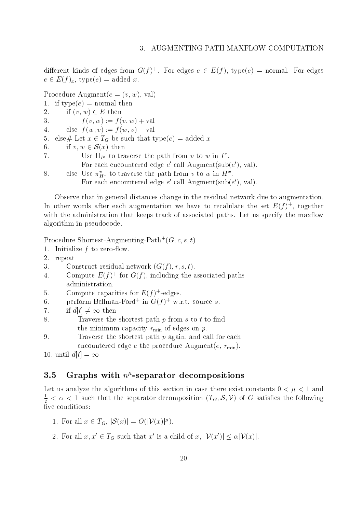different kinds of edges from G(f) . For edges  $e \in E$ (f), type( $e$ )  $\equiv$  normal. For edges  $e \in E(f)_x$ , type $(e) =$  added x.

Procedure Augment $(e = (v, w), \text{val})$ 

- 1. if  $type(e) = normal then$
- 2. if  $(v, w) \in E$  then

3.  $f(v, w) := f(v, w) + val$ 

- 4. else  $f(w, v) := f(w, v) val$ 4. else  $f(w, v) := f(w, v) - \text{val}$ <br>5. else# Let  $x \in T_G$  be such that then<br>6. if  $v, w \in \mathcal{S}(x)$  then
- 5. else $\#$  Let  $x \in I_G$  be such that type(e)  $=$  added x
- 

 $\alpha$ . Use  $\prod_{I} x$  to traverse the path from v to w in  $I^{\infty}$ . For each encountered edge e <sup>0</sup> call Augment(sub(e 0), val).

8. else Use  $\pi^v_{H^x}$  to traverse the path from v to w in  $H^x$ . For each encountered edge e <sup>0</sup> call Augment(sub(e 0), val).

Observe that in general distances change in the residual network due to augmentation. In other words after each augmentation we have to recalulate the set  $E(f)$  , together with the administration that keeps track of associated paths. Let us specify the maxilow algorithm in pseudocode.

Procedure Shortest-Augmenting-Path+  $(G, c, s, t)$ 

- 1. Initialize  $f$  to zero-flow.
- 2. repeat

3. Construct residual network  $(G(f), r, s, t)$ .

- 4. Compute  $E(T)$  for G(f), including the associated-paths administration.
- $\mathcal{S}$ . Compute capacities for  $E(T)$  -edges.
- $\mathfrak{b}. \qquad$  perform Bellman-Ford+ in G(f)+ w.r.t. source  $s.$
- 7. if  $d[t] \neq \infty$  then
- 8. Traverse the shortest path  $p$  from  $s$  to  $t$  to find the minimum-capacity respectively. The minimum-capacity results in the control of edges of edges on p. 200 and

9. Traverse the shortest path  $p$  again, and call for each encountered edge  $e$  the procedure Augment $(e, r_{\min})$ .

10. until  $d[t] = \infty$ 

### $3.5$  Graphs with  $n<sup>c</sup>$ -separator decompositions

Let us analyze the algorithms of this section in case there exist constants  $0 < \mu < 1$  and 1  $\frac{1}{2} < \alpha < 1$  such that the separator decomposition  $(T_G, S, V)$  of G satisfies the following five conditions:

- 1. For all  $x \in I_G$ ,  $|\mathcal{S}(x)| = O(|V(x)|^p)$ .
- 1. For all  $x \in T_G$ ,  $|\mathcal{S}(x)| = O(|\mathcal{V}(x)|^{\mu})$ .<br>2. For all  $x, x' \in T_G$  such that  $x'$  is a child of  $x, |\mathcal{V}(x')| \leq \alpha |\mathcal{V}(x)|$ .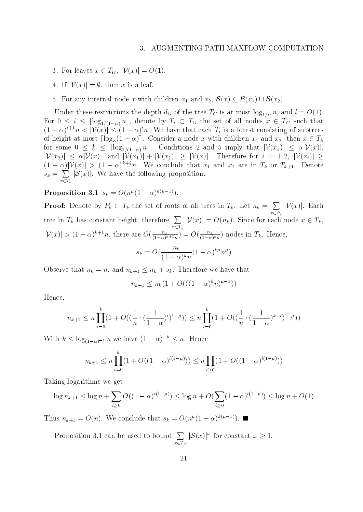- 3. For leaves  $x \in T_G$ ,  $|\mathcal{V}(x)| = O(1)$ .
- 4. If  $|\mathcal{V}(x)| = \emptyset$ , then x is a leaf.
- 4. If  $|\mathcal{V}(x)| = \emptyset$ , then x is a leaf.<br>5. For any internal node x with children  $x_1$  and  $x_2$ ,  $\mathcal{S}(x) \subseteq \mathcal{B}(x_1) \cup \mathcal{B}(x_2)$ .

Under these restrictions that depth dG of the tree TG is at most log1( $\alpha$  is) and at  $\langle \sigma \rangle$ . For  $0 \leq i \leq |\log_{1/(1-\alpha)} n|$ , denote by  $T_i \subset T_G$  the set of all nodes  $x \in T_G$  such that Under these restrictions the depth  $d_G$  of the tree  $T_G$  is at most  $\log_{1/\alpha} n$ , and  $l = O(1)$ .<br>For  $0 \le i \le \lfloor \log_{1/(1-\alpha)} n \rfloor$ , denote by  $T_i \subset T_G$  the set of all nodes  $x \in T_G$  such that  $(1-\alpha)^{i+1}n < |\mathcal{V}(x)| \le (1-\alpha)^i n$ . We hav of height at most  $\lceil \log_{\alpha}(1 - \alpha) \rceil$ . Consider a node x with children  $x_1$  and  $x_2$ , then  $x \in T_k$ for some  $0 \leq k \leq \lfloor \log_{1/(1-\alpha)} n \rfloor$ . Conditions 2 and 5 imply that  $|\mathcal{V}(x_1)| \leq \alpha |\mathcal{V}(x)|$ ,  $|\mathcal{V}(x_2)| \leq \alpha |\mathcal{V}(x)|$ , and  $|\mathcal{V}(x_1)| + |\mathcal{V}(x_2)| \geq |\mathcal{V}(x)|$ . Therefore for  $i = 1, 2, |\mathcal{V}(x_i)| \geq$  $(1 - \alpha)|V(x)| > (1 - \alpha)^{n+1}n$ , we conclude that  $x_1$  and  $x_2$  are in  $I_k$  or  $I_{k+1}$ . Denote  $s_k = \sum |\mathcal{S}(x)|$ . We have  $\mathsf{I}\mathsf{S}(x)$ i. We have the following proposition.

**Proposition 3.1**  $s_k = O(n^{\mu}(1 - \alpha)^{N(\mu-1)})$ .

 $x^2 - k$ 

**Proof:** Denote by  $P_k \subset T_k$  the set of roots of all trees in  $T_k$ . Let  $n_k = \sum |\mathcal{V}(x)|$ . Each  $x^2 - k$  $|V(x)|$ . Each tree in  $T_k$  has constant height, therefore  $\sum |\mathcal{V}(x)| = O(n_k)$ .  $x = k$  $|\mathcal{V}(x)| = \mathcal{O}(n_k)$ . Since for each node  $x \in I_k$ ,  $|\mathcal{V}(x)| \geq (1-\alpha)^{n+1}n$ , there are  $O(\frac{1-\alpha}{(1-\alpha)^{k+1}n}) = O(\frac{1-\alpha}{(1-\alpha)^{k}n})$  nodes in  $I_k$ . Hence,  $s_k = O(\frac{1-\alpha}{\sigma^2})^{k\mu} n^{\mu})$ 

$$
(1 - \alpha)^k n
$$

Observe that  $n_0 = n$ , and  $n_{k+1} \leq n_k + s_k$ . Therefore we have that

$$
n_{k+1} \le n_k (1 + O(((1 - \alpha)^k n)^{\mu - 1}))
$$

Hence,

$$
n_{k+1} \le n \prod_{i=0}^{k} \left(1 + O\left((\frac{1}{n} \cdot (\frac{1}{1-\alpha})^{i})^{1-\mu}\right)\right) \le n \prod_{i=0}^{k} \left(1 + O\left((\frac{1}{n} \cdot (\frac{1}{1-\alpha})^{k-i})^{1-\mu}\right)\right)
$$

With  $k \leq \log_{(1-\alpha)^{-1}} n$  we have  $(1-\alpha)^{-k} \leq n$ . Hence

$$
n_{k+1} \le n \prod_{i=0}^{k} (1 + O((1 - \alpha)^{i(1-\mu)})) \le n \prod_{i \ge 0} (1 + O((1 - \alpha)^{i(1-\mu)}))
$$

Taking logarithms we get

$$
\log n_{k+1} \le \log n + \sum_{i \ge 0} O((1 - \alpha)^{i(1 - \mu)}) \le \log n + O(\sum_{i \ge 0} (1 - \alpha)^{i(1 - \mu)}) \le \log n + O(1)
$$

Thus  $n_{k+1} = O(n)$ , we conclude that  $s_k = O(n^2(1-\alpha)^{1/(2-\epsilon)})$ .

Proposition 3.1 can be used to bound  $\sum |\mathcal{S}(x)|^{\omega}$  for const.  $\sim$   $\sim$   $\sim$   $\sim$   $\sim$  $|\mathcal{O}(x)|^2$  for constant  $\omega \geq 1$ .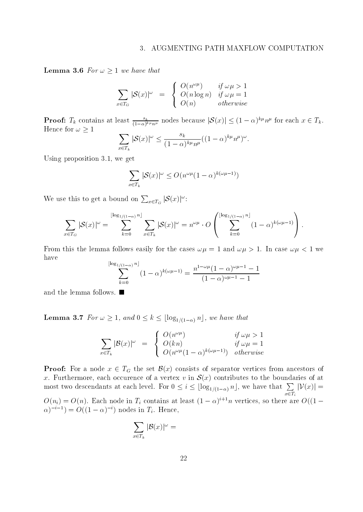**Lemma 3.6** For  $\omega \geq 1$  we have that

$$
\sum_{x \in T_G} |\mathcal{S}(x)|^{\omega} = \begin{cases} O(n^{\omega \mu}) & \text{if } \omega \mu > 1 \\ O(n \log n) & \text{if } \omega \mu = 1 \\ O(n) & \text{otherwise} \end{cases}
$$

**Proof:**  $T_k$  contains at least  $\frac{s_k}{(1-\alpha)^{k\mu}n^{\mu}}$  nodes because  $|\mathcal{S}(x)| \leq (1-\alpha)^{k\mu}n^{\mu}$  for each  $x \in T_k$ . Hence for  $\omega \geq 1$  $\sim$  X  $\sim$  X  $\sim$  X  $\sim$  X  $\sim$  X  $\sim$  X  $\sim$  X  $\sim$  X  $\sim$  X  $\sim$  X  $\sim$  X  $\sim$  X  $\sim$  X  $\sim$  X  $\sim$  X  $\sim$  X  $\sim$  X  $\sim$  X  $\sim$  X  $\sim$  X  $\sim$  X  $\sim$  X  $\sim$  X  $\sim$  X  $\sim$  X  $\sim$  X  $\sim$  X  $\sim$  X  $\sim$  X  $\sim$  X  $\sim$  X  $\sim$ 

$$
\sum_{x \in T_k} |\mathcal{S}(x)|^{\omega} \le \frac{s_k}{(1-\alpha)^{k\mu}n^{\mu}}((1-\alpha)^{k\mu}n^{\mu})^{\omega}.
$$

Using proposition 3.1, we get

$$
\sum_{x \in T_k} |\mathcal{S}(x)|^\omega \le O(n^{\omega \mu} (1 - \alpha)^{k(\omega \mu - 1)})
$$

We use this to get a bound on  $\sum_{x \in T_G} |\mathcal{S}(x)|^{\omega}$ :

$$
\sum_{x\in T_G}|\mathcal{S}(x)|^{\omega}=\sum_{k=0}^{\lfloor \log_{1/(1-\alpha)} n\rfloor}\sum_{x\in T_k}|\mathcal{S}(x)|^{\omega}=n^{\omega\mu}\cdot O\left(\sum_{k=0}^{\lfloor \log_{1/(1-\alpha)} n\rfloor}(1-\alpha)^{k(\omega\mu-1)}\right).
$$

From this the lemma follows easily for the cases  $\omega\mu = 1$  and  $\omega\mu > 1$ . In case  $\omega\mu < 1$  we have

$$
\sum_{k=0}^{\lfloor \log_1/(1-\alpha)^{n} \rfloor} (1-\alpha)^{k(\omega\mu-1)} = \frac{n^{1-\omega\mu}(1-\alpha)^{\omega\mu-1}-1}{(1-\alpha)^{\omega\mu-1}-1}
$$

and the lemma follows.  $\blacksquare$ 

**Lemma 3.7** For  $\omega \geq 1$ , and  $0 \leq k \leq \lfloor \log_{1/(1-\alpha)} n \rfloor$ , we have that

$$
\sum_{x \in T_k} |\mathcal{B}(x)|^{\omega} = \begin{cases} O(n^{\omega \mu}) & \text{if } \omega \mu > 1 \\ O(kn) & \text{if } \omega \mu = 1 \\ O(n^{\omega \mu}(1-\alpha)^{k(\omega \mu - 1)}) & \text{otherwise} \end{cases}
$$

**Proof:** For a node  $x \in I_G$  the set  $\mathcal{D}(x)$  consists of separator vertices from ancestors of x. Furthermore, each occurence of a vertex v in  $\mathcal{S}(x)$  contributes to the boundaries of at **Proof:** For a node  $x \in T_G$  the set  $\mathcal{B}(x)$  consists of separator vertices from ancestors of  $x$ . Furthermore, each occurence of a vertex  $v$  in  $\mathcal{S}(x)$  contributes to the boundaries of at most two descendants at ea  $\sum_{x\in T_i}$   $|\mathcal{V}(x)| =$  $O(n_i) = O(n)$ . Each node in  $T_i$  contains at least  $(1 - \alpha)^{n_i + n}$  vertices, so there are  $O((1 - \alpha)^n)$  $(\alpha)^{-i-1}$ ) =  $O((1 - \alpha)^{-i})$  nodes in  $T_i$ . Hence,

$$
\sum_{x\in T_k}|\mathcal{B}(x)|^\omega =
$$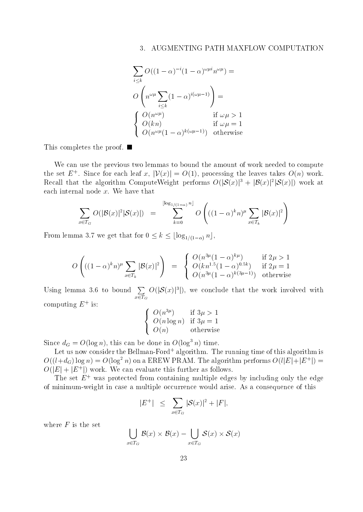$$
\sum_{i \leq k} O((1 - \alpha)^{-i} (1 - \alpha)^{\omega \mu i} n^{\omega \mu}) =
$$
\n
$$
O\left(n^{\omega \mu} \sum_{i \leq k} (1 - \alpha)^{i(\omega \mu - 1)}\right) =
$$
\n
$$
\begin{cases}\nO(n^{\omega \mu}) & \text{if } \omega \mu > 1 \\
O(kn) & \text{if } \omega \mu = 1 \\
O(n^{\omega \mu} (1 - \alpha)^{k(\omega \mu - 1)}) & \text{otherwise}\n\end{cases}
$$

This completes the proof. ■

We can use the previous two lemmas to bound the amount of work needed to compute the set  $E_+$ . Since for each leaf  $x$ ,  $\psi(x) = O(1)$ , processing the leaves takes  $O(n)$  work. Recall that the algorithm ComputeWeight performs  $O(|\mathcal{S}(x)|^2 + |\mathcal{B}(x)|^2) \mathcal{S}(x))$  work at each internal node  $x$ . We have that

$$
\sum_{x \in T_G} O(|\mathcal{B}(x)|^2 |\mathcal{S}(x)|) = \sum_{k=0}^{\lfloor \log_{1/(1-\alpha)} n \rfloor} O\left(((1-\alpha)^k n)^{\mu} \sum_{x \in T_k} |\mathcal{B}(x)|^2\right)
$$

From lemma 3.7 we get that for  $0 \leq k \leq \lfloor \log_{1/(1-\alpha)} n \rfloor$ ,

$$
O\left(((1-\alpha)^{k}n)^{\mu}\sum_{x\in T_{k}}|\mathcal{B}(x)|^{2}\right) = \begin{cases} O(n^{3\mu}(1-\alpha)^{k\mu}) & \text{if } 2\mu > 1\\ O(kn^{1.5}(1-\alpha)^{0.5k}) & \text{if } 2\mu = 1\\ O(n^{3\mu}(1-\alpha)^{k(3\mu-1)}) & \text{otherwise} \end{cases}
$$

Using lemma 3.6 to bound  $\sum O(|\mathcal{S}(x)|^3|)$ , we  $\sum_{x \in T_G} O(|O(x)|^2)$ , we conclude that the work involved with computing  $E + \text{is}:$ 

$$
\begin{cases}\nO(n^{3\mu}) & \text{if } 3\mu > 1 \\
O(n \log n) & \text{if } 3\mu = 1 \\
O(n) & \text{otherwise}\n\end{cases}
$$

Since  $a_G = O(\log n)$ , this can be done in  $O(\log^2 n)$  time.

Let us now consider the Bellman-Ford+ algorithm. The running time of this algorithm is  $O((l+d_G)\log n) = O(\log^2 n)$  on a EREW PRAM. The algorithm performs  $O(l|E|+|E^+|) =$  $O(|E| + |E^+|)$  work. We can evaluate this further as follows.

The set  $E^+$  was protected from containing multiple edges by including only the edge of minimum-weight in case a multiple occurrence would arise. As a consequence of this

$$
|E^+| \leq \sum_{x \in T_G} |\mathcal{S}(x)|^2 + |F|,
$$

where  $F$  is the set

$$
\bigcup_{x \in T_G} \mathcal{B}(x) \times \mathcal{B}(x) - \bigcup_{x \in T_G} \mathcal{S}(x) \times \mathcal{S}(x)
$$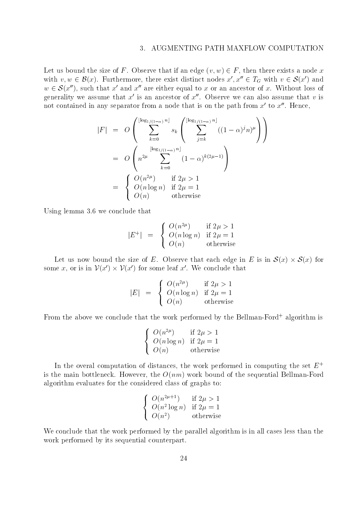Let us bound the size of F. Observe that if an edge  $(v, w) \in F$ , then there exists a node x Let us bound the size of F. Observe that if an edge  $(v, w) \in F$ , then there exists a node x with  $v, w \in \mathcal{B}(x)$ . Furthermore, there exist distinct nodes  $x', x'' \in T_G$  with  $v \in \mathcal{S}(x')$  and Let us bound the size of F. Observe that if an edge  $(v, w) \in F$ , then there exists a node x<br>with  $v, w \in \mathcal{B}(x)$ . Furthermore, there exist distinct nodes  $x', x'' \in T_G$  with  $v \in \mathcal{S}(x')$  and<br> $w \in \mathcal{S}(x'')$ , such that x' and x' generality we assume that  $x<sup>'</sup>$  is an ancestor of  $x<sup>''</sup>$ . Observe we can also assume that v is not contained in any separator from a node that is on the path from  $x'$  to  $x''$ . Hence,

$$
|F| = O\left(\sum_{k=0}^{\lfloor \log_{1/(1-\alpha)} n \rfloor} s_k \left(\sum_{j=k}^{\lfloor \log_{1/(1-\alpha)} n \rfloor} ((1-\alpha)^j n)^{\mu}\right)\right)
$$
  
= 
$$
O\left(n^{2\mu} \sum_{k=0}^{\lfloor \log_{1/(1-\alpha)} n \rfloor} (1-\alpha)^{k(2\mu-1)}\right)
$$
  
= 
$$
\begin{cases} O(n^{2\mu}) & \text{if } 2\mu > 1 \\ O(n \log n) & \text{if } 2\mu = 1 \\ O(n) & \text{otherwise} \end{cases}
$$

Using lemma 3.6 we conclude that

$$
|E^+| = \begin{cases} O(n^{2\mu}) & \text{if } 2\mu > 1\\ O(n \log n) & \text{if } 2\mu = 1\\ O(n) & \text{otherwise} \end{cases}
$$

 $\bigcup \overrightarrow{O(n)}$  otherwise<br>Let us now bound the size of E. Observe that each edge in E is in  $S(x) \times S(x)$  for some x, or is in  $V(x') \times V(x')$  for some leaf x'. We conclude that The size of E. Observe that each edge in E is i<br> $\mathcal{V}(x')$  for some leaf x'. We conclude that

$$
|E| = \begin{cases} O(n^{2\mu}) & \text{if } 2\mu > 1 \\ O(n \log n) & \text{if } 2\mu = 1 \\ O(n) & \text{otherwise} \end{cases}
$$

From the above we conclude that the work performed by the Bellman-Ford+ algorithm is

$$
\begin{cases}\nO(n^{2\mu}) & \text{if } 2\mu > 1 \\
O(n \log n) & \text{if } 2\mu = 1 \\
O(n) & \text{otherwise}\n\end{cases}
$$

In the overal computation of distances, the work performed in computing the set  $E^+$ is the main bottleneck. However, the  $O(nm)$  work bound of the sequential Bellman-Ford algorithm evaluates for the considered class of graphs to:

$$
\begin{cases}\nO(n^{2\mu+1}) & \text{if } 2\mu > 1 \\
O(n^2 \log n) & \text{if } 2\mu = 1 \\
O(n^2) & \text{otherwise}\n\end{cases}
$$

We conclude that the work performed by the parallel algorithm is in all cases less than the work performed by its sequential counterpart.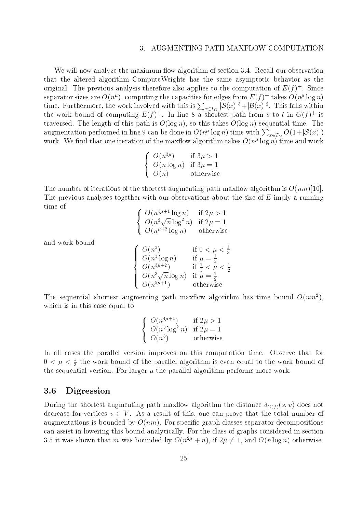We will now analyze the maximum flow algorithm of section 3.4. Recall our observation that the altered algorithm ComputeWeights has the same asymptotic behavior as the original. The previous analysis therefore also applies to the computation of  $E(\bar{f})^+$  . Since separator sizes are  $O(n^2)$ , computing the capacities for edges from  $E(T)$  -takes  $O(n^2 \log n)$ time. Furthermore, the work involved with this is  $\sum_{x\in T_G}|\mathcal{S}(x)|^3+|\mathcal{B}(x)|^2.$  This falls within the work bound of computing  $E(f)$  . In line 8 a shortest path from s to t in  $G(f)$  is traversed. The length of this path is  $O(\log n)$ , so this takes  $O(\log n)$  sequential time. The augmentation performed in line 9 can be done in  $O(n^{\mu}\log n)$  time with  $\sum_{x\in T_G}O(1+|\mathcal{S}(x)|)$ work. We find that one iteration of the maxflow algorithm takes  $O(n^{\mu} \log n)$  time and work

$$
\begin{cases}\nO(n^{3\mu}) & \text{if } 3\mu > 1 \\
O(n \log n) & \text{if } 3\mu = 1 \\
O(n) & \text{otherwise}\n\end{cases}
$$

The number of iterations of the shortest augmenting path maxflow algorithm is  $O(nm)[10]$ . The previous analyses together with our observations about the size of  $E$  imply a running time of

$$
\begin{cases}\nO(n^{3\mu+1} \log n) & \text{if } 2\mu > 1 \\
O(n^2 \sqrt{n} \log^2 n) & \text{if } 2\mu = 1 \\
O(n^{\mu+2} \log n) & \text{otherwise}\n\end{cases}
$$

8

and work bound

$$
\begin{cases}\nO(n^3) & \text{if } 0 < \mu < \frac{1}{3} \\
O(n^3 \log n) & \text{if } \mu = \frac{1}{3} \\
O(n^{3\mu+2}) & \text{if } \frac{1}{3} < \mu < \frac{1}{2} \\
O(n^3 \sqrt{n} \log n) & \text{if } \mu = \frac{1}{2} \\
O(n^{5\mu+1}) & \text{otherwise}\n\end{cases}
$$

The sequential shortest augmenting path maxflow algorithm has time bound  $O(nm^2)$ . which is in this case equal to

$$
\begin{cases}\nO(n^{4\mu+1}) & \text{if } 2\mu > 1 \\
O(n^3 \log^2 n) & \text{if } 2\mu = 1 \\
O(n^3) & \text{otherwise}\n\end{cases}
$$

In all cases the parallel version improves on this computation time. Observe that for  $0 < \mu < \frac{2}{3}$  the work bound of the parallel algorithm is even equal to the work bound of the sequential version. For larger  $\mu$  the parallel algorithm performs more work.

### 3.6 Digression

During the shortest augmenting path max
ow algorithm the distance G(f )(s; v) does not decrease for vertices  $v \in V$ . As a result of this, one can prove that the total number of augmentations is bounded by  $O(nm)$ . For specific graph classes separator decompositions can assist in lowering this bound analytically. For the class of graphs considered in section 3.5 it was shown that m was bounded by  $O(n^{2\mu}+n)$ , if  $2\mu \neq 1$ , and  $O(n \log n)$  otherwise.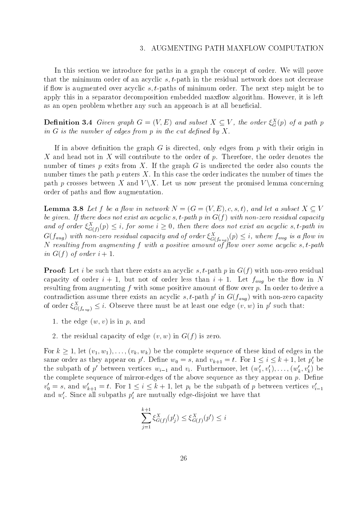#### AUGMENTING PATH MAXFLOW COMPUTATION  $\mathcal{E}$

In this section we introduce for paths in a graph the concept of order. We will prove that the minimum order of an acyclic  $s, t$ -path in the residual network does not decrease if flow is augmented over acyclic  $s, t$ -paths of minimum order. The next step might be to apply this in a separator decomposition embedded max flow algorithm. However, it is left as an open problem whether any such an approach is at all beneficial.

**Dennition 3.4** Given graph  $G = (V, E)$  and subset  $X \subseteq V$ , the order  $\xi_{G}^{\pi}(p)$  of a path p  $$ in  $G$  is the number of edges from p in the cut defined by  $X$ .

If in above definition the graph  $G$  is directed, only edges from p with their origin in X and head not in X will contribute to the order of  $p$ . Therefore, the order denotes the number of times  $p$  exits from  $X$ . If the graph  $G$  is undirected the order also counts the number times the path  $p$  enters  $X$ . In this case the order indicates the number of times the path p crosses between X and  $V \backslash X$ . Let us now present the promised lemma concerning order of paths and flow augmentation.

**Lemma 3.8** Let f be a flow in network  $N = (G = (V, E), c, s, t)$ , and let a subset  $X \subseteq V$ be given. If there does not exist an acyclic s, t-path p in  $G(f)$  with non-zero residual capacity and of order  $\zeta_{G(f)}^{\gamma}(p) \leq i$ , for some  $i \geq 0$ , then there does not exist an acyclic s, t-path in  $G(J_{aug})$  with non-zero restauat capacity and of order  $\xi_{G(f_{aug})}^{-}(p) \leq i,$  where  $J_{aug}$  is a flow in N resulting from augmenting f with a positive amount of ow over some acyclic s; t-path in  $G(f)$  of order  $i+1$ .

**Proof:** Let i be such that there exists an acyclic s, t-path p in  $G(f)$  with non-zero residual capacity of order i + 1, but not of order less than i + 1. Let faug be the ow in <sup>N</sup> resulting from augmenting  $f$  with some positive amount of flow over  $p$ . In order to derive a contradiction assume there exists an acyclic  $s,$  t-path  $p$  -in  $\mathrm{G}(\mathcal{J}_{aug})$  with non-zero capacity of order  $\xi_{G(f_{aug})}^2 \leq i$ . Observe there must be at least one edge  $(v, w)$  in p such that:

- 1. the edge  $(w, v)$  is in p, and
- 2. the residual capacity of edge  $(v, w)$  in  $G(f)$  is zero.

For  $k \geq 1$ , let  $(v_1, w_1), \ldots, (v_k, w_k)$  be the complete sequence of these kind of edges in the same order as they appear on  $p$  . Define  $w_0 = s$ , and  $v_{k+1} = t$ . For  $1 \leq i \leq \kappa + 1$ , let  $p_i$  be the subpath of p' between vertices  $w_{i-1}$  and  $v_i$ . Furthermore, let  $(w'_1, v'_1), \ldots, (w'_k, v'_k)$  be the complete sequence of mirror-edges of the above sequence as they appear on  $p$ . Define  $v_0 = s$ , and  $w_{k+1} = t$ . For  $1 \leq i \leq k+1$ , let  $p_i$  be the subpath of p between vertices  $v_{i-1}$ and  $w_i$ . Since all subpaths  $p_i$  are mutually edge-disjoint we have that

$$
\sum_{j=1}^{k+1} \xi_{G(f)}^X(p'_j) \le \xi_{G(f)}^X(p') \le i
$$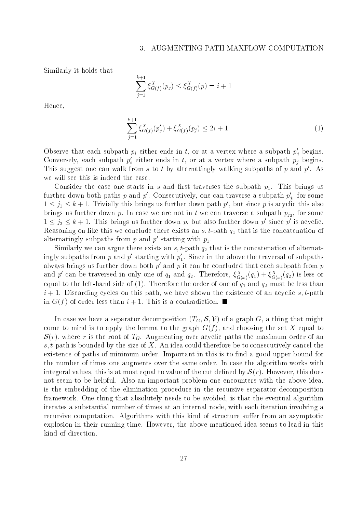#### AUGMENTING PATH MAXFLOW COMPUTATION  $\mathcal{E}$

Similarly it holds that

$$
\sum_{j=1}^{k+1} \xi_{G(f)}^X(p_j) \le \xi_{G(f)}^X(p) = i + 1
$$

Hence,

$$
\sum_{j=1}^{k+1} \xi_{G(f)}^X(p'_j) + \xi_{G(f)}^X(p_j) \le 2i + 1 \tag{1}
$$

Observe that each subpath  $p_i$  either ends in  $i$ , or at a vertex where a subpath  $p_j$  begins. Conversely, each subpath  $p_i$  either ends in t, or at a vertex where a subpath  $p_j$  begins. This suggest one can walk from s to t by alternatingly walking subpaths of p and  $p'$ . As we will see this is indeed the case.

Consider the case one starts in s and first traverses the subpath  $p_1$ . This brings us further down both paths  $p$  and  $p$  . Consecutively, one can traverse a subpath  $p_{j_1}$  for some  $1 \leq j_1 \leq \kappa + 1$ . Trivially this brings us further down path p , but since p is acyclic this also  $\mathcal{L}$  is further down p. In case we are not in the some are not in the substitution of  $\mathcal{L}$  ,  $\mathcal{L}$  ,  $\mathcal{L}$  ,  $\mathcal{L}$  ,  $\mathcal{L}$  ,  $\mathcal{L}$  ,  $\mathcal{L}$  ,  $\mathcal{L}$  ,  $\mathcal{L}$  ,  $\mathcal{L}$  ,  $\mathcal{L}$  ,  $\mathcal{L}$  ,  $1 \leq j_2 \leq \kappa + 1$ . This brings us further down p, but also further down p since p is acyclic. Reasoning on like this we conclude there exists an s; t-path q1 that is the concatenation of alternatingly subpaths from  $p$  and  $p$  starting with  $p_1$ .

 $S$ imilarly we can argue there exists an s; t-path q2 that is the concatenation of alternation of alternation of alternation of alternation of alternation of alternation of alternation of alternation of alternation of alt ingly subpaths from p and p' starting with  $p_1'$ . Since in the above the traversal of subpaths always brings us further down both  $p'$  and  $p$  it can be concluded that each subpath from  $p$ and p can be traversed in only one of  $q_1$  and  $q_2$ . Therefore,  $\xi_{G(x)}^-(q_1) + \xi_{G(x)}^-(q_2)$  is less or equal to the first hand side of  $\mathcal{L}_1$ . Therefore the order of one of one of  $\mathcal{U}_1$  and  $\mathcal{U}_2$  must be less than the less than  $i + 1$ . Discarding cycles on this path, we have shown the existence of an acyclic s, t-path in  $G(f)$  of order less than  $i + 1$ . This is a contradiction.

In case we have a separator decomposition  $(T_G, \mathcal{S}, \mathcal{V})$  of a graph G, a thing that might come to mind is to apply the lemma to the graph  $G(f)$ , and choosing the set X equal to  $\mathcal{S}(r)$ , where r is the root of  $T_G$ . Augmenting over acyclic paths the maximum order of an s, t-path is bounded by the size of X. An idea could therefore be to consecutively cancel the existence of paths of minimum order. Important in this is to find a good upper bound for the number of times one augments over the same order. In case the algorithm works with integeral values, this is at most equal to value of the cut defined by  $\mathcal{S}(r)$ . However, this does not seem to be helpful. Also an important problem one encounters with the above idea, is the embedding of the elimination procedure in the recursive separator decomposition framework. One thing that absolutely needs to be avoided, is that the eventual algorithm iterates a substantial number of times at an internal node, with each iteration involving a recursive computation. Algorithms with this kind of structure suffer from an asymptotic explosion in their running time. However, the above mentioned idea seems to lead in this kind of direction.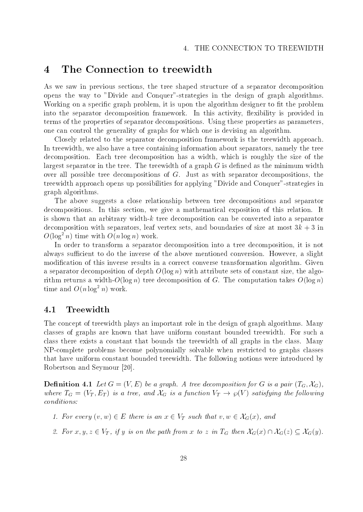#### $\overline{\mathbf{4}}$ The Connection to treewidth

As we saw in previous sections, the tree shaped structure of a separator decomposition opens the way to "Divide and Conquer"-strategies in the design of graph algorithms. Working on a specific graph problem, it is upon the algorithm designer to fit the problem into the separator decomposition framework. In this activity, flexibility is provided in terms of the properties of separator decompositions. Using these properties as parameters, one can control the generality of graphs for which one is devising an algorithm.

Closely related to the separator decomposition framework is the treewidth approach. In treewidth, we also have a tree containing information about separators, namely the tree decomposition. Each tree decomposition has a width, which is roughly the size of the largest separator in the tree. The treewidth of a graph  $G$  is defined as the minimum width over all possible tree decompositions of G. Just as with separator decompositions, the treewidth approach opens up possibilities for applying "Divide and Conquer"-strategies in graph algorithms.

The above suggests a close relationship between tree decompositions and separator decompositions. In this section, we give a mathematical exposition of this relation. It is shown that an arbitrary width-k tree decomposition can be converted into a separator decomposition with separators, leaf vertex sets, and boundaries of size at most  $3k + 3$  in  $O(\log^2 n)$  time with  $O(n \log n)$  work.

In order to transform a separator decomposition into a tree decomposition, it is not always sufficient to do the inverse of the above mentioned conversion. However, a slight modification of this inverse results in a correct converse transformation algorithm. Given a separator decomposition of depth  $O(\log n)$  with attribute sets of constant size, the algorithm returns a width- $O(\log n)$  tree decomposition of G. The computation takes  $O(\log n)$ time and  $O(n \log^2 n)$  work.

### 4.1 Treewidth

The concept of treewidth plays an important role in the design of graph algorithms. Many classes of graphs are known that have uniform constant bounded treewidth. For such a class there exists a constant that bounds the treewidth of all graphs in the class. Many NP-complete problems become polynomially solvable when restricted to graphs classes that have uniform constant bounded treewidth. The following notions were introduced by Robertson and Seymour [20].

**Definition 4.1** Let  $G = (V, E)$  be a graph. A tree decomposition for G is a pair  $(T_G, \mathcal{X}_G)$ , where  $T_G = (V_T, E_T)$  is a tree, and  $A_G$  is a function  $V_T \to \wp(V)$  satisfying the following conditions: nditions:<br>
1. For every  $(v, w) \in E$  there is an  $x \in V_T$  such that  $v, w \in \mathcal{X}_G(x)$ , and

- 
- 1. For every  $(v, w) \in E$  there is an  $x \in V_T$  such that  $v, w \in \mathcal{X}_G(x)$ , and<br>2. For  $x, y, z \in V_T$ , if y is on the path from x to z in  $T_G$  then  $\mathcal{X}_G(x) \cap \mathcal{X}_G(z) \subseteq \mathcal{X}_G(y)$ .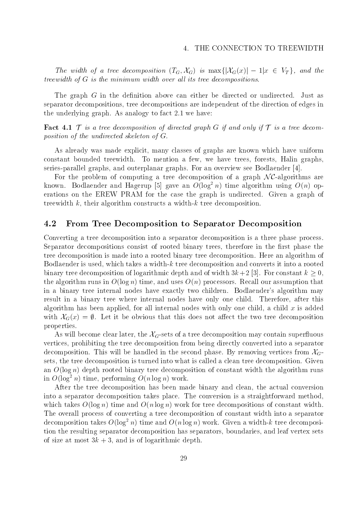The width of a tree decomposition  $(T_G, \Lambda_G)$  is max $\{\vert \Lambda_G(x) \vert = 1 | x \in V_T \}$ , and the treewidth of  $G$  is the minimum width over all its tree decompositions.

The graph  $G$  in the definition above can either be directed or undirected. Just as separator decompositions, tree decompositions are independent of the direction of edges in the underlying graph. As analogy to fact 2.1 we have:

**Fact 4.1** T is a tree decomposition of directed graph G if and only if T is a tree decomposition of the undirected skeleton of G.

As already was made explicit, many classes of graphs are known which have uniform constant bounded treewidth. To mention a few, we have trees, forests, Halin graphs, series-parallel graphs, and outerplanar graphs. For an overview see Bodlaender [4]. stant bounded treewidth. To mention a few, we have trees, forests, Halin graphs,<br>es-parallel graphs, and outerplanar graphs. For an overview see Bodlaender [4].<br>For the problem of computing a tree decomposition of a graph

known. Bodlaender and Hagerup [5] gave an  $O(\log^2 n)$  time algorithm using  $O(n)$  operations on the EREW PRAM for the case the graph is undirected. Given a graph of treewidth  $k$ , their algorithm constructs a width- $k$  tree decomposition.

### 4.2 From Tree Decomposition to Separator Decomposition

Converting a tree decomposition into a separator decomposition is a three phase process. Separator decompositions consist of rooted binary trees, therefore in the first phase the tree decomposition is made into a rooted binary tree decomposition. Here an algorithm of Bodlaender is used, which takes a width-k tree decomposition and converts it into a rooted binary tree decomposition of logarithmic depth and of width  $3k+2$  [3]. For constant  $k \geq 0$ , the algorithm runs in  $O(\log n)$  time, and uses  $O(n)$  processors. Recall our assumption that in a binary tree internal nodes have exactly two children. Bodlaender's algorithm may result in a binary tree where internal nodes have only one child. Therefore, after this algorithm has been applied, for all internal nodes with only one child, a child  $x$  is added with  $\mathcal{X}_G(x) = \emptyset$ . Let it be obvious that this does not affect the two tree decomposition properties.

As will become clear later, the  $\mathcal{X}_G$ -sets of a tree decomposition may contain superfluous vertices, prohibiting the tree decomposition from being directly converted into a separator decomposition. This will be handled in the second phase. By removing vertices from  $\mathcal{X}_G$ sets, the tree decomposition is turned into what is called a clean tree decomposition. Given an  $O(\log n)$  depth rooted binary tree decomposition of constant width the algorithm runs in  $O(\log^2 n)$  time, performing  $O(n \log n)$  work.

After the tree decomposition has been made binary and clean, the actual conversion into a separator decomposition takes place. The conversion is a straightforward method, which takes  $O(\log n)$  time and  $O(n \log n)$  work for tree decompositions of constant width. The overall process of converting a tree decomposition of constant width into a separator decomposition takes  $O(\log^2 n)$  time and  $O(n \log n)$  work. Given a width-k tree decomposition the resulting separator decomposition has separators, boundaries, and leaf vertex sets of size at most  $3k + 3$ , and is of logarithmic depth.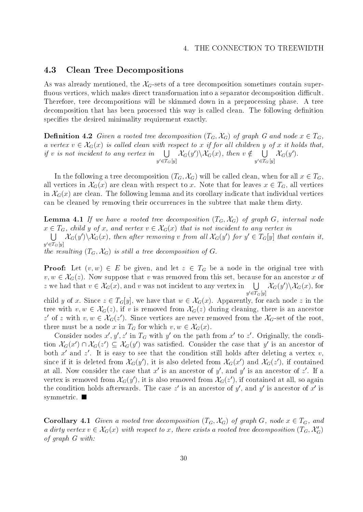#### 4.3 Clean Tree Decompositions

 $\mathbf u$ 

As was already mentioned, the  $\mathcal{X}_G$ -sets of a tree decomposition sometimes contain superfluous vertices, which makes direct transformation into a separator decomposition difficult. Therefore, tree decompositions will be skimmed down in a preprocessing phase. A tree decomposition that has been processed this way is called clean. The following definition specifies the desired minimality requirement exactly.

**Definition 4.2** Given a rooted tree aecomposition ( $I_G, \mathcal{A}_G$ ) of graph G and node  $x \in I_G$ , **Definition 4.2** Given a rooted tree decomposition  $(T_G, \mathcal{X}_G)$  of graph G and node  $x \in T_G$ ,<br>a vertex  $v \in \mathcal{X}_G(x)$  is called clean with respect to x if for all children y of x it holds that, if v is not incident to any vertex in  $\Box$   $\mathcal{X}_{\alpha}(y)\setminus\mathcal{X}_{\alpha}(y)$  $y \in I$   $G[y]$  $\mathcal{X}_G(y')\backslash \mathcal{X}_G(x)$ , then  $v \notin \bigcup \mathcal{X}_G(y')$ .  $y \in I$   $G[y]$  $\mathcal{A}_G(y)$ .

In the following a tree decomposition  $(T_G, \mathcal{X}_G)$  will be called clean, when for all  $x \in T_G$ , all vertices in  $\mathcal{X}_G(x)$  are clean with respect to x. Note that for leaves  $x \in T_G$ , all vertices in  $\mathcal{X}_G(x)$  are clean. The following lemma and its corollary indicate that individual vertices can be cleaned by removing their occurrences in the subtree that make them dirty.

**Lemma 4.1** If we have a rooted tree decomposition  $(\textbf{1}_G, \textbf{A}_G)$  of graph  $\textbf{G}$ , internal node **Lemma 4.1** If we have a rooted tree decomposition  $(T_G, \mathcal{X}_G)$  of graph G, internal nod  $x \in T_G$ , child y of x, and vertex  $v \in \mathcal{X}_G(x)$  that is not incident to any vertex in  $\bigcup$   $\mathcal{X}_G(y')\backslash\mathcal{X}_G(x)$ , then after removing v from all  $\mathcal{X}_G(y')$  for  $y' \in T_G[y]$  that contain it,  $y'\!\in\!T_G\left[y\right]$ the resulting  $(T_G, \mathcal{X}_G)$  is still a tree decomposition of G.

**Proof:** Let  $(v, w) \in E$  be given, and let  $z \in I_G$  be a node in the original tree with **Proof:** Let  $(v, w) \in E$  be given, and let  $z \in T_G$  be a node in the original tree with  $v, w \in \mathcal{X}_G(z)$ . Now suppose that v was removed from this set, because for an ancestor x of **Proof:** Let  $(v, w) \in E$  be given, and let  $z \in T_G$  be a node in the original tree  $v, w \in \mathcal{X}_G(z)$ . Now suppose that v was removed from this set, because for an anceste z we had that  $v \in \mathcal{X}_G(x)$ , and v was not incident t  $y' \in T_G[y]$  $\bigcup \mathcal{X}_G(y')\backslash \mathcal{X}_G(x)$ , for  $v, w \in \mathcal{X}_G(z)$ . Now suppose that v was removed from this set, because for an ancestor x of z we had that  $v \in \mathcal{X}_G(x)$ , and v was not incident to any vertex in  $\bigcup_{y' \in T_G[y]} \mathcal{X}_G(y') \setminus \mathcal{X}_G(x)$ , for child y of x. Sin tree with  $v, w \in \mathcal{X}_G(z)$ , if v is removed from  $\mathcal{X}_G(z)$  during cleaning, there is an ancestor  $z$  of  $z$  with  $v,w \in \mathcal{A}_G(z)$ . Since vertices are never removed from the  $\mathcal{A}_G$ -set of the root, removed from  $\mathcal{X}_G(z)$  during close vertices are never removed for which  $v, w \in \mathcal{X}_G(x)$ .

Consider nodes  $x$ ,  $y$ ,  $z$  in  $T_G$  with  $y$  on the path from  $x$  to  $z$ . Originally, the condithere must be a node x in  $T_G$ <br>Consider nodes  $x', y', z'$  in<br>tion  $\mathcal{X}_G(x') \cap \mathcal{X}_G(z') \subseteq \mathcal{X}_G(y)$ tion  $\mathcal{X}_G(x') \cap \mathcal{X}_G(z') \subseteq \mathcal{X}_G(y')$  was satisfied. Consider the case that y' is an ancestor of both  $x$  and  $z$  . It is easy to see that the condition still holds after deleting a vertex  $v,$ since if it is defeted from  $\mathcal{A}_G(y)$ , it is also defeted from  $\mathcal{A}_G(x)$  and  $\mathcal{A}_G(z)$ , if contained at all. Now consider the case that  $x$  is an ancestor of  $y$  , and  $y$  is an ancestor of  $z$  . If a vertex is removed from  $\lambda_G(y)$ , it is also removed from  $\lambda_G(z)$ , if contained at all, so again the condition holds afterwards. The case  $z$  is an ancestor of  $y$  , and  $y$  is ancestor of  $x$  is symmetric.  $\blacksquare$ 

**Corollary 4.1** Given a rooted tree decomposition ( $I_G, \Lambda_G$ ) of graph G, node  $x \in I_G$ , and **Corollary 4.1** Given a rooted tree decomposition  $(T_G, \mathcal{X}_G)$  of graph  $G$ , node  $x \in T_G$ , and a dirty vertex  $v \in \mathcal{X}_G(x)$  with respect to x, there exists a rooted tree decomposition  $(T_G, \mathcal{X}'_G)$ of graph G with: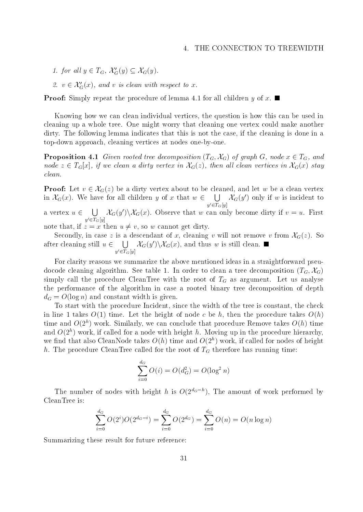1. for all  $y \in T_G$ ,  $\mathcal{X}'_G(y) \subseteq \mathcal{X}_G(y)$ .

2.  $v \in \mathcal{X}'_G(x)$ , and v is clean with respect to x.

**Proof:** Simply repeat the procedure of lemma 4.1 for all children y of x.

Knowing how we can clean individual vertices, the question is how this can be used in cleaning up a whole tree. One might worry that cleaning one vertex could make another dirty. The following lemma indicates that this is not the case, if the cleaning is done in a top-down approach, cleaning vertices at nodes one-by-one.

**Proposition 4.1** Given rooted tree decomposition  $(T_G, \mathcal{X}_G)$  of graph G, node  $x \in T_G$ , and node  $z \in T_G[x]$ , if we clean a dirty vertex in  $\mathcal{X}_G(z)$ , then all clean vertices in  $\mathcal{X}_G(x)$  stay clean.

**Proof:** Let  $v \in \mathcal{X}_G(z)$  be a dirty vertex about to be cleaned, and let w be a clean vertex in  $\mathcal{X}_G(x)$ . We have for all children y of x that  $w \in \bigcup \mathcal{X}_G(y')$  only  $y \in I$   $\{f | g\}$  $\Lambda_G(y)$  only if w is incident to a vertex  $u \in \Box \Box$   $\mathcal{X}_{G}(u') \setminus \mathcal{X}_{G}$  $y \in I$   $G[y]$  $\mathcal{A}_G(y) \setminus \mathcal{A}_G(x)$ . Observe that w can only become dirty if  $v = u$ . First note that, if  $z = x$  then  $u \neq v$ , so w cannot get dirty.

Secondly, in case z is a descendant of x, cleaning v will not remove v from  $\mathcal{X}_G(z)$ . So after cleaning still  $u \in \bigcup \mathcal{X}_G(y') \setminus \mathcal{X}_G(x)$ , and thus w is still clean.  $y \in I$   $G[y]$ 

For clarity reasons we summarize the above mentioned ideas in a straightforward pseudocode cleaning algorithm. See table 1. In order to clean a tree decomposition  $(T_G, \mathcal{X}_G)$ simply called the procedure  $C$  as argument. Let us an argument  $C$  as argument. Let us analyse argument. Let us analyse analyse and  $C$ the performance of the algorithm in case a rooted binary tree decomposition of depth  $\mathbf{u}$  and  $\mathbf{u}$  and  $\mathbf{u}$ 

To start with the procedure Incident, since the width of the tree is constant, the check in line 1 takes  $O(1)$  time. Let the height of node c be h, then the procedure takes  $O(h)$ time and  $O(Z^*)$  work. Similarly, we can conclude that procedure Remove takes  $O(n)$  time and  $O(Z^*)$  work, if called for a node with height h. Moving up in the procedure hierarchy, we find that also CleanNode takes  $O(n)$  time and  $O(Z^*)$  work, if called for nodes of height h. The procedure CleanTree called for the root of TG the root of TG the root of  $\alpha$  the running time:

$$
\sum_{i=0}^{d_G} O(i) = O(d_G^2) = O(\log^2 n)
$$

The number of nodes with height h is  $O(Z^{\omega-1})$ , The amount of work performed by CleanTree is:

$$
\sum_{i=0}^{d_G} O(2^i)O(2^{d_G-i}) = \sum_{i=0}^{d_G} O(2^{d_G}) = \sum_{i=0}^{d_G} O(n) = O(n \log n)
$$

Summarizing these result for future reference: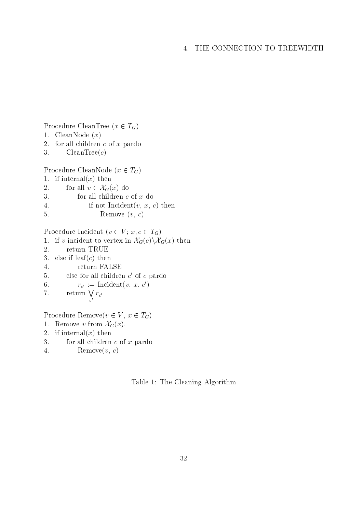2. for all children  $c$  of  $x$  pardo 3. CleanTree $(c)$ Procedure CleanNode  $(x \in T_G)$ <br>
1. if internal $(x)$  then<br>
2. for all  $v \in \mathcal{X}_G(x)$  do 1. if internal(x) then 3. for all children c of x do 4. if not Incident $(v, x, c)$  then 5. Remove  $(v, c)$ 

Procedure CleanTree  $(x \in T_G)$ 

1. CleanNode  $(x)$ 

Procedure Incident  $(v \in V; x, c \in T_G)$ 

- 1. if v incident to vertex in  $\mathcal{X}_G(c)\backslash\mathcal{X}_G(x)$  then
- 2. return TRUE
- 3. else if  $\text{leaf}(c)$  then
- 4. return FALSE
- 5. else for all children c <sup>0</sup> of c pardo
- 0.  $T_{c'} := \text{inci}(\mathbf{v}, x, c)$
- 7. return  $\bigvee r_{c'}$  $\frac{v}{c}$  rc

Procedure Remove $(v \in V, x \in T_G)$ 

- 1. Remove v from  $\mathcal{X}_G(x)$ .
- 2. if internal(x) then
- 3. for all children  $c$  of  $x$  pardo
- 4. Remove $(v, c)$

Table 1: The Cleaning Algorithm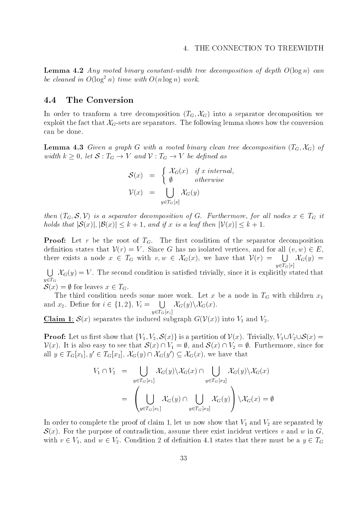**Lemma 4.2** Any rooted binary constant-width tree decomposition of depth  $O(\log n)$  can be cleaned in  $O(\log^2 n)$  time with  $O(n \log n)$  work.

### 4.4 The Conversion

In order to tranform a tree decomposition  $(T_G, \mathcal{X}_G)$  into a separator decomposition we exploit the fact that  $\mathcal{X}_G$ -sets are separators. The following lemma shows how the conversion can be done.

**Lemma 4.3** Given a graph G with a rooted binary clean tree decomposition  $(T_G, \mathcal{X}_G)$  of width  $\kappa \geq 0$ , let  $\mathcal{S}: I_G \to V$  and  $V: I_G \to V$  be defined as

$$
\mathcal{S}(x) = \begin{cases} \mathcal{X}_G(x) & \text{if } x \text{ internal,} \\ \emptyset & \text{otherwise} \end{cases}
$$
  

$$
\mathcal{V}(x) = \bigcup_{y \in T_G[x]} \mathcal{X}_G(y)
$$

then  $(T_G, \mathcal{S}, V)$  is a separator decomposition of  $G$ . Furthermore, for all nodes  $x \in T_G$  it then  $(T_G, S, V)$  is a separator decomposition of G. Furthermore, for all node<br>holds that  $|S(x)|, |B(x)| \leq k + 1$ , and if x is a leaf then  $|V(x)| \leq k + 1$ .

**Proof:** Let r be the root of  $T<sub>G</sub>$ . The first condition of the separator decomposition definition states that  $V(r) = V$ . Since G has no isolated vertices, and for all  $(v, w) \in E$ , there exists a node  $x \in T_G$  with  $v, w \in \mathcal{X}_G(x)$ , we have that  $\mathcal{V}(r) = \bigcup \mathcal{X}_G(y) =$  $y \in \widetilde{T_G}[r]$  $\bigcup \mathcal{X}_G(y) =$ 

 $\bigcup_{\in T_G} \mathcal{X}_G(y) = V$ . The second condition is satisfied trivially, since it is explicitly stated that  $y \in T_G$  $\mathcal{S}(x) = \emptyset$  for leaves  $x \in T_G$ .

 $T$  third condition needs some more work. Let  $\mathcal{L}$  be a node in TG with children x1  $S(x) = \emptyset$  for leaves  $x \in T_G$ .<br>The third condition needs some n<br>and  $x_2$ . Define for  $i \in \{1, 2\}$ ,  $V_i =$  [  $=$   $\bigcup$   $\mathcal{X}_G(y)\backslash\mathcal{X}_G(x)$ .

Claim 1:  $\mathcal{S}(x)$  separates the induced subgraph  $G(V(x))$  into  $V_1$  and  $V_2$ .

 $\sigma$   $\sim$   $\sim$   $\sim$   $\sim$   $\sim$   $\sim$   $\sim$ 

**Proof:** Let us first show that  $\{V_1, V_2, S(x)\}$  is a partition of  $V(x)$ . Trivially,  $V_1 \cup V_2 \cup S(x) =$  $V(x)$ . It is also easy to see that  $S(x) \cap V_1 = \emptyset$ , and  $S(x) \cap V_2 = \emptyset$ . Furthermore, since for all  $y \in T_G[x_1], y' \in T_G[x_2], \ \mathcal{X}_G(y) \cap \mathcal{X}_G(y') \subseteq \mathcal{X}_G(x)$ , we have that

$$
V_1 \cap V_2 = \bigcup_{y \in T_G[x_1]} \chi_G(y) \backslash \chi_G(x) \cap \bigcup_{y \in T_G[x_2]} \chi_G(y) \backslash \chi_G(x)
$$
  
= 
$$
\left( \bigcup_{y \in T_G[x_1]} \chi_G(y) \cap \bigcup_{y \in T_G[x_2]} \chi_G(y) \right) \backslash \chi_G(x) = \emptyset
$$

In order to complete the proof of claim 1, let us now show that V1 and V2 are separated by  $S(x)$ . For the purpose of contradiction, assume there exist incident vertices v and w in G, with  $v \in V_1$ , and  $w \in V_2$ . Condition 2 of definition 4.1 states that there must be a  $y \in T_G$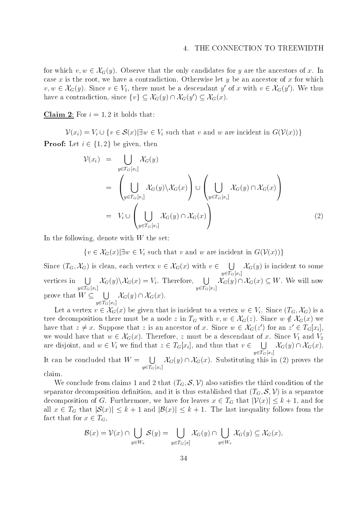4. THE CONNECTION TO TREEWIDTH<br>for which  $v, w \in \mathcal{X}_G(y)$ . Observe that the only candidates for y are the ancestors of x. In case x is the root, we have a contradiction. Otherwise let y be an ancestor of x for which which which which which which which we have a contradiction. Otherwise let y be an ancestor of  $\alpha$ for which  $v, w \in \mathcal{X}_G(y)$ . Observe that the only candidates for y are the ancestors of x. I case x is the root, we have a contradiction. Otherwise let y be an ancestor of x for whic  $v, w \in \mathcal{X}_G(y)$ . Since  $v \in V_1$ , ther  $0. x$  with  $v \in \mathcal{A}_{G}(u)$ . We thus case x is the root, we have a contradiction. Otherwise let y be an  $v, w \in \mathcal{X}_G(y)$ . Since  $v \in V_1$ , there must be a descendant y' of x with have a contradiction, since  $\{v\} \subseteq \mathcal{X}_G(y) \cap \mathcal{X}_G(y') \subseteq \mathcal{X}_G(x)$ .

Claim 2: For  $i = 1, 2$  it holds that:

2: For  $i = 1, 2$  it holds that:<br>  $\mathcal{V}(x_i) = V_i \cup \{v \in \mathcal{S}(x) | \exists w \in V_i \text{ such that } v \text{ and } w \text{ are incident in } G(\mathcal{V}(x))\}$  $\mathcal{V}(x_i) = V_i \cup \{v \in \mathcal{S}(x) | \exists w \in V_i \text{ such that}$ <br>**Proof:** Let  $i \in \{1, 2\}$  be given, then

$$
\mathcal{V}(x_i) = \bigcup_{y \in T_G[x_i]} \mathcal{X}_G(y)
$$
\n
$$
= \left( \bigcup_{y \in T_G[x_i]} \mathcal{X}_G(y) \backslash \mathcal{X}_G(x) \right) \cup \left( \bigcup_{y \in T_G[x_i]} \mathcal{X}_G(y) \cap \mathcal{X}_G(x) \right)
$$
\n
$$
= V_i \cup \left( \bigcup_{y \in T_G[x_i]} \mathcal{X}_G(y) \cap \mathcal{X}_G(x) \right) \tag{2}
$$

In the following, denote with  $W$  the set:

ing, denote with W the set:<br> $\{v \in \mathcal{X}_G(x) | \exists w \in V_i \text{ such that } v \text{ and } w \text{ are incident in } G(\mathcal{V}(x))\}$ 

 $\{v \in \mathcal{X}_G(x) | \exists w \in V_i \text{ such that } v \text{ and } w \text{ are incident in } G(\mathcal{V}(x))\}$ <br>Since  $(T_G, \mathcal{X}_G)$  is clean, each vertex  $v \in \mathcal{X}_G(x)$  with  $v \in \bigcup \mathcal{X}_G(y)$  is inc  $y \in T_G[x_i]$ vertices in  $\Box \mathcal{X}_G(y) \setminus \mathcal{X}_G(x) = V_i$ . Therefore,  $\Box \mathcal{X}_G(y) \cap \mathcal{X}_G$ Since  $(T_G, \mathcal{X}_G)$  is clean, each vertex  $v \in \mathcal{X}_G(x)$  with  $v \in \bigcup \mathcal{X}_G(y)$  is incident to some  $\sigma = 0$  and  $\sigma = 0$  $\mathcal{X}_G(y)\backslash\mathcal{X}_G(x) = V_i$ . Therefore,  $\Box$   $\mathcal{X}_G(y)\cap\mathcal{X}_G$  $\sigma$   $\sim$   $\sim$   $\sim$   $\sim$   $\sim$   $\sim$   $\sim$  $\bigcup_{y \in T_G[x_i]} \mathcal{X}_G(y)$  is incident to some<br>  $\mathcal{X}_G(y) \cap \mathcal{X}_G(x) \subseteq W$ . We will now vertices in  $\bigcup_{y \in T_G[x_i]} \mathcal{X}_G(y) \backslash \mathcal{X}_G(x) = V_i$ . Therefore<br>prove that  $W \subseteq \bigcup \mathcal{X}_G(y) \cap \mathcal{X}_G(x)$ .  $y \in T_G[x_i]$ ve that  $W \subseteq \bigcup_{y \in T_G[x_i]} \mathcal{X}_G(y) \cap \mathcal{X}_G(x)$ .<br>Let a vertex  $v \in \mathcal{X}_G(x)$  be given that is incident to a vertex  $w \in V_i$ . Since  $(T_G, \mathcal{X}_G)$  is a

Let a vertex  $v \in \mathcal{X}_G[x_i]$ <br>Let a vertex  $v \in \mathcal{X}_G(x)$  be given that is incident to a vertex  $w \in V_i$ . Since  $(T_G, \mathcal{X}_G)$  is a<br>tree decomposition there must be a node z in  $T_G$  with  $v, w \in \mathcal{X}_G(z)$ . Since  $w \notin \mathcal{X}_G(x)$ Let a vertex  $v \in \mathcal{X}_G(x)$  be given that is incident to a vertex  $w \in V_i$ . Since  $(T_i)$  tree decomposition there must be a node  $z$  in  $T_G$  with  $v, w \in \mathcal{X}_G(z)$ . Since  $w \notin$  have that  $z \neq x$ . Suppose that  $z$  is an ances ) for an  $z \in I_G[x_i],$ tree decomposition there must be a node z in  $T_G$  with  $v, w \in \mathcal{X}_G(z)$ . Since  $w \notin \mathcal{X}_G(x)$ <br>have that  $z \neq x$ . Suppose that z is an ancestor of x. Since  $w \in \mathcal{X}_G(z')$  for an  $z' \in T_G$ <br>we would have that  $w \in \mathcal{X}_G(x)$ . we would have that  $w \in \mathcal{X}_G(x)$ . Therefore, z must be a descendant of x. Since  $V_1$  and  $V_2$ are disjoint, and  $w \in V_i$  we find that  $z \in T_G[x_i]$ , and thus that  $v \in \bigcup \mathcal{X}_G(y) \cap \mathcal{X}_G$  $y \in T_G[x_i]$ It can be concluded that  $W = \prod_{\alpha} \chi_{\alpha}(y) \cap \chi_{\alpha}(x)$ . Substituting this in (2) an  $z' \in T_G[x_i],$ <br>Since  $V_1$  and  $V_2$ <br> $\mathcal{X}_G(y) \cap \mathcal{X}_G(x)$ .  $\in T_G[x_i]$ , and thus that  $v \in \bigcup_{y \in T_G[x_i]} \mathcal{X}_G(y) \cap \mathcal{X}_G(x)$ .<br> $\mathcal{X}_G(y) \cap \mathcal{X}_G(x)$ . Substituting this in (2) proves the

claim.

We conclude from claims 1 and 2 that  $(T_G, S, V)$  also satisfies the third condition of the arator decomposition definition, and it is thus established that  $(T_G, S, V)$  is a separator omposition of G. Furthermore, we have for separator decomposition definition, and it is thus established that  $(T_G, \mathcal{S}, \mathcal{V})$  is a separator decomposition of G. Furthermore, we have for leaves  $x \in T_G$  that  $|\mathcal{V}(x)| \leq k+1$ , and for all  $x \in I_G$  that  $|\mathcal{S}(x)| \leq \kappa + 1$  and  $|\mathcal{B}(x)| \leq \kappa + 1$ . The last inequality follows from the fact that for  $x \in T_G$ ,

 $\sigma$   $\sim$   $\sim$   $\sim$   $\sim$   $\sim$   $\sim$   $\sim$ 

$$
x \in T_G,
$$
  

$$
\mathcal{B}(x) = \mathcal{V}(x) \cap \bigcup_{y \in W_x} \mathcal{S}(y) = \bigcup_{y \in T_G[x]} \mathcal{X}_G(y) \cap \bigcup_{y \in W_x} \mathcal{X}_G(y) \subseteq \mathcal{X}_G(x),
$$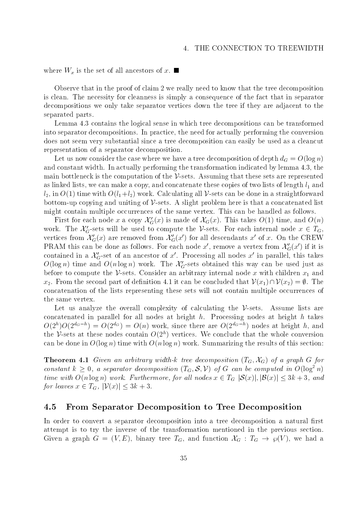where  $\alpha$  is the set of all ancestors of  $\alpha$  and  $\alpha$  and  $\alpha$ 

Observe that in the proof of claim 2 we really need to know that the tree decomposition is clean. The necessity for cleanness is simply a consequence of the fact that in separator decompositions we only take separator vertices down the tree ifthey are adjacent to the separated parts.

Lemma 4.3 contains the logical sense in which tree decompositions can be transformed into separator decompositions. In practice, the need for actually performing the conversion does not seem very substantial since a tree decomposition can easily be used as a cleancut representation of a separator decomposition.

Let us now consider the case where we have a tree decomposition of decomposition of  $\alpha$ and constant width. In actually performing the transformation indicated by lemma 4.3, the main bottleneck is the computation of the  $\mathcal V$ -sets. Assuming that these sets are represented as linked lists, we can make a copy, and concatenate these copies of two lists of two lists of length linked l  $l_2$ , in  $O(1)$  time with  $O(l_1+l_2)$  work. Calculating all V-sets can be done in a straightforward bottom-up copying and uniting of  $\mathcal V$ -sets. A slight problem here is that a concatenated list might contain multiple occurrences of the same vertex. This can be handled as follows.

First for each node x a copy  $\mathcal{X}'_G(x)$  is made of  $\mathcal{X}_G(x)$ . This takes  $O(1)$  time, and  $O(n)$ work. The  $\mathcal{X}'_G$ -sets will be used to compute the V-sets. For each internal node  $x \in T_G$ , vertices from  $\mathcal{X}'_G(x)$  are removed from  $\mathcal{X}'_G(x')$  for all descendants x' of x. On the CREW PRAM this can be done as follows. For each node x', remove a vertex from  $\mathcal{X}'_G(x')$  if it is contained in a  $\mathcal{X}'_G$ -set of an ancestor of x'. Processing all nodes x' in parallel, this takes  $O(\log n)$  time and  $O(n \log n)$  work. The  $\mathcal{X}'_G$ -sets obtained this way can be used just as before to compute the  $\nu$ -sets. Consider an arbitrary internal node x with children  $x_1$  and  $O(\log n)$  time and  $O(n \log n)$  work. The  $\mathcal{X}'_G$ -sets obtained this way can be used just as before to compute the  $\mathcal{V}$ -sets. Consider an arbitrary internal node x with children  $x_1$  and  $x_2$ . From the second part of d concatenation of the lists representing these sets will not contain multiple occurrences of the same vertex.

Let us analyze the overall complexity of calculating the  $\mathcal V$ -sets. Assume lists are concatenated in parallel for all nodes at height  $h$ . Processing nodes at height  $h$  takes  $O(Z^{\omega_0}$   $\omega_0$  =  $O(Z^{\omega_0})$  =  $O(n)$  work, since there are  $O(Z^{\omega_0-n})$  nodes at height h, and the  $\nu$ -sets at these nodes contain  $O(Z^*)$  vertices. We conclude that the whole conversion can be done in  $O(\log n)$  time with  $O(n \log n)$  work. Summarizing the results of this section:

**Theorem 4.1** Given an arbitrary width-k tree decomposition  $(T_G, \mathcal{X}_G)$  of a graph G for constant  $k \geq 0$ , a separator decomposition  $(T_G, \mathcal{S}, \mathcal{V})$  of G can be computed in  $O(\log^2 n)$  time with  $O(n \log n)$  work. Furtherm constant  $k \geq 0$ , a separator decomposition  $(T_G, S, V)$  of G can be computed in  $O(\log^2 n)$ <br>time with  $O(n \log n)$  work. Furthermore, for all nodes  $x \in T_G |S(x)|, |B(x)| \leq 3k + 3$ , and<br>for leaves  $x \in T_G$ ,  $|V(x)| \leq 3k + 3$ . time with  $O(n \log n)$  work. Furthermore, for all nodes  $x \in T_G |\mathcal{S}(x)|, |\mathcal{B}(x)| \leq 3k+3$ , and

### 4.5 From Separator Decomposition to Tree Decomposition

In order to convert a separator decomposition into a tree decomposition a natural first attempt is to try the inverse of the transformation mentioned in the previous section. Given a graph  $G = (V, E)$ , binary tree  $T_G$ , and function  $AG : T_G \rightarrow \wp(V)$ , we had a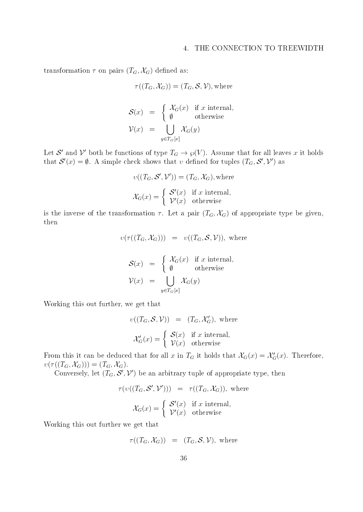transformation  $\tau$  on pairs  $(T_G, \mathcal{X}_G)$  defined as:

$$
\tau((T_G, \mathcal{X}_G)) = (T_G, \mathcal{S}, \mathcal{V}), \text{where}
$$

$$
\mathcal{S}(x) = \begin{cases} \mathcal{X}_G(x) & \text{if } x \text{ internal,} \\ \emptyset & \text{otherwise} \end{cases}
$$

$$
\mathcal{V}(x) = \bigcup_{y \in T_G[x]} \mathcal{X}_G(y)
$$

Let  $\mathcal S$  and  $V$  both be functions of type  $T_G \to \wp(V)$ . Assume that for all leaves x it holds that  $\mathcal{S}'(x) = \emptyset$ . A simple check shows that v defined for tuples  $(T_G, \mathcal{S}', \mathcal{V}')$  as

$$
v((T_G, S', V')) = (T_G, \mathcal{X}_G), \text{where}
$$

$$
\mathcal{X}_G(x) = \begin{cases} S'(x) & \text{if } x \text{ internal,} \\ V'(x) & \text{otherwise} \end{cases}
$$

is the inverse of the transformation  $\tau$ . Let a pair  $(T_G, \mathcal{X}_G)$  of appropriate type be given, then

$$
v(\tau((T_G, \mathcal{X}_G))) = v((T_G, \mathcal{S}, \mathcal{V})), \text{ where}
$$

$$
\mathcal{S}(x) = \begin{cases} \mathcal{X}_G(x) & \text{if } x \text{ internal,} \\ \emptyset & \text{otherwise} \end{cases}
$$

$$
\mathcal{V}(x) = \bigcup_{y \in T_G[x]} \mathcal{X}_G(y)
$$

Working this out further, we get that

$$
v((T_G, S, V)) = (T_G, \mathcal{X}'_G), \text{ where}
$$

$$
\mathcal{X}'_G(x) = \begin{cases} S(x) & \text{if } x \text{ internal,} \\ V(x) & \text{otherwise} \end{cases}
$$

From this it can be deduced that for all x in  $T_G$  it holds that  $\lambda_G(x) = \lambda_G(x)$ . Therefore,  $v(\tau((T_G, \mathcal{X}_G))) = (T_G, \mathcal{X}_G).$ 

Conversely, let  $(T_G, \mathcal{S}', \mathcal{V}')$  be an arbitrary tuple of appropriate type, then

$$
\tau(v((T_G, \mathcal{S}', \mathcal{V}'))) = \tau((T_G, \mathcal{X}_G)), \text{ where}
$$

$$
\mathcal{X}_G(x) = \begin{cases} \mathcal{S}'(x) & \text{if } x \text{ internal,} \\ \mathcal{V}'(x) & \text{otherwise} \end{cases}
$$

Working this out further we get that

$$
\tau((T_G,\mathcal{X}_G)) = (T_G,\mathcal{S},\mathcal{V}), \text{ where }
$$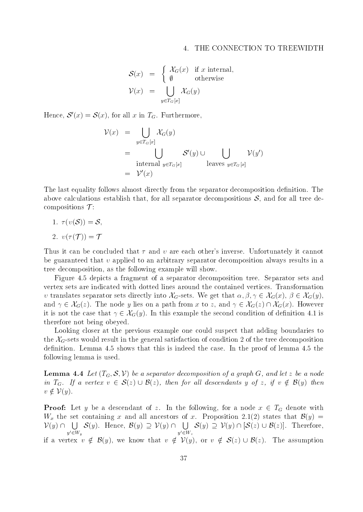$$
\mathcal{S}(x) = \begin{cases} \mathcal{X}_G(x) & \text{if } x \text{ internal,} \\ \emptyset & \text{otherwise} \end{cases}
$$
  

$$
\mathcal{V}(x) = \bigcup_{y \in T_G[x]} \mathcal{X}_G(y)
$$

Hence,  $S'(x) = S(x)$ , for all x in  $T_G$ . Furthermore,

$$
\mathcal{V}(x) = \bigcup_{y \in T_G[x]} \mathcal{X}_G(y)
$$
\n
$$
= \bigcup_{\text{internal } y \in T_G[x]} \mathcal{S}'(y) \cup \bigcup_{\text{leaves } y \in T_G[x]} \mathcal{V}(y')
$$
\n
$$
= \mathcal{V}'(x)
$$

The last equality follows almost directly from the separator decomposition definition. The above calculations establish that, for all separator decompositions  $S$ , and for all tree decompositions  $\mathcal{T}$ :

1.  $\tau(v(\mathcal{S})) = \mathcal{S}$ , 2.  $v(\tau(\mathcal{T})) = \mathcal{T}$ 

Thus it can be concluded that  $\tau$  and  $\nu$  are each other's inverse. Unfortunately it cannot be guaranteed that  $\nu$  applied to an arbitrary separator decomposition always results in a tree decomposition, as the following example will show.

Figure 4.5 depicts a fragment of a separator decomposition tree. Separator sets and vertex sets are indicated with dotted lines around the contained vertices. Transformation Figure 4.5 depicts a fragment of a separator decomposition tree. Separator sets and<br>vertex sets are indicated with dotted lines around the contained vertices. Transformation<br>v translates separator sets directly into  $\mathcal{$ vertex sets are indicated with dotted lines around the contained vertices. Transformation  $v$  translates separator sets directly into  $\mathcal{X}_G$ -sets. We get that  $\alpha, \beta, \gamma \in \mathcal{X}_G(x)$ ,  $\beta \in \mathcal{X}_G(y)$ , and  $\gamma \in \mathcal{X}_G(z)$ v translates separator sets directly into  $\mathcal{X}_G$ -sets. We get that  $\alpha, \beta, \gamma \in \mathcal{X}_G(x)$ ,  $\beta \in \mathcal{X}_G(y)$ ,<br>and  $\gamma \in \mathcal{X}_G(z)$ . The node y lies on a path from x to z, and  $\gamma \in \mathcal{X}_G(z) \cap \mathcal{X}_G(x)$ . However<br>it is not t therefore not being obeyed.

Looking closer at the previous example one could suspect that adding boundaries to the  $\mathcal{X}_G$ -sets would result in the general satisfaction of condition 2 of the tree decomposition definition. Lemma 4.5 shows that this is indeed the case. In the proof of lemma 4.5 the following lemma is used.

**Lemma 4.4** Let  $(T_G, \mathcal{S}, V)$  be a separator aecomposition of a graph  $G$ , and let  $z$  be a node **Lemma 4.4** Let  $(T_G, S, V)$  be a separator decomposition of a graph G, and let z be a node<br>in  $T_G$ . If a vertex  $v \in S(z) \cup B(z)$ , then for all descendants y of z, if  $v \notin B(y)$  then in  $T_G$ . If a vertex  $v \in S(z) \cup B(z)$ , then for all descendants y of z, if  $v \notin B(y)$  then  $v \notin V(y)$ .

**Proof:** Let y be a descendant of z. In the following, for a node  $x \in I_G$  denote with  $W_x$  the set containing x and all ancestors of x. Proposition 2.1(2) states that  $\mathcal{D}(y) =$ **Proof:** Let y be a descendant of z. In the following, for a node  $x \in T_G$  denote with  $W_x$  the set containing x and all ancestors of x. Proposition 2.1(2) states that  $\mathcal{B}(y) = \mathcal{V}(y) \cap \bigcup_{y' \in W_y} \mathcal{S}(y)$ . Hence,  $\mathcal{$  $y' \in W_y$  $y'\widetilde{\in}W$  $\mathcal{V}(y) \cap \bigcup_{y' \in W_y} \mathcal{S}(y)$ . Hence,  $\mathcal{B}(y) \supseteq \mathcal{V}(y) \cap \bigcup_{y' \in W_z} \mathcal{S}(y) \supseteq \mathcal{V}(y) \cap [\mathcal{S}(z) \cup \mathcal{B}(z)]$ . Therefore,<br>if a vertex  $v \notin \mathcal{B}(u)$ , we know that  $v \notin \mathcal{V}(u)$ , or  $v \notin \mathcal{S}(z) \cup \mathcal{B}(z)$ . The assump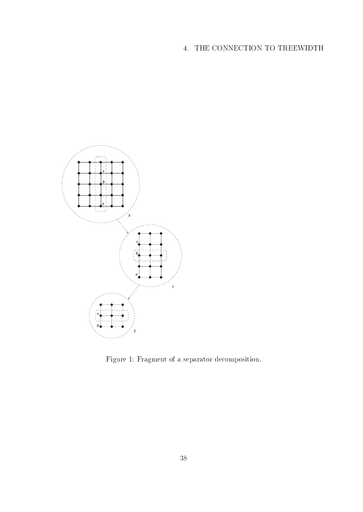

Figure 1: Fragment of a separator decomposition.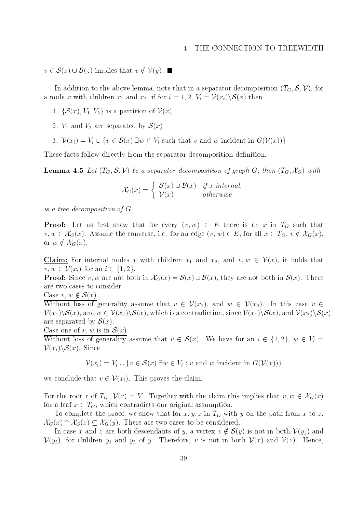$v \in \mathcal{S}(z) \cup \mathcal{B}(z)$  implies that  $v \notin \mathcal{V}(y)$ .

In addition to the above lemma, note that in a separator decomposition  $(T_G, \mathcal{S}, \mathcal{V})$ , for a node x with children  $x_1$  and  $x_2$ , if for  $i = 1, 2, V_i = V(x_i) \setminus \mathcal{S}(x)$  then

- 1.  $\{S(x), V_1, V_2\}$  is a partition of  $V(x)$
- 2.  $V_1$  and  $V_2$  are separated by  $\mathcal{O}(x)$
- 2.  $V_1$  and  $V_2$  are separated by  $\mathcal{S}(x)$ <br>3.  $\mathcal{V}(x_i) = V_i \cup \{v \in \mathcal{S}(x) | \exists w \in V_i \text{ such that } v \text{ and } w \text{ incident in } G(\mathcal{V}(x))\}$

These facts follow directly from the separator decomposition definition.

**Lemma 4.5** Let  $(T_G, \mathcal{S}, V)$  be a separator aecomposition of graph  $G$ , then  $(T_G, \mathcal{A}_G)$  with First decomposition of graph  $G$ <br> $\mathcal{S}(x) \cup \mathcal{B}(x)$  if x internal,

$$
\mathcal{X}_G(x) = \begin{cases} \mathcal{S}(x) \cup \mathcal{B}(x) & \text{if } x \text{ internal,} \\ \mathcal{V}(x) & otherwise \end{cases}
$$

is a tree decomposition of G.

**Proof:** Let us first show that for every  $(v, w) \in E$  there is an x in  $I_G$  such that **Proof:** Let us first show that for every  $(v, w) \in E$  there is an x in  $T_G$  such that  $v, w \in \mathcal{X}_G(x)$ . Assume the converse, i.e. for an edge  $(v, w) \in E$ , for all  $x \in T_G$ ,  $v \notin \mathcal{X}_G(x)$ , **Proof:** Let us first  $v, w \in \mathcal{X}_G(x)$ . Assume<br>or  $w \notin \mathcal{X}_G(x)$ . or  $w \notin \mathcal{X}_G(x)$ .

Claim: For internal nodes x with children  $x_1$  and  $x_2$ , and  $v, w \in V(x)$ , it holds that **Claim:** For internal nodes x with ch  $v, w \in \mathcal{V}(x_i)$  for an  $i \in \{1, 2\}$ . **Claim:** For internal nodes x with children  $x_1$  and  $x_2$ , and  $v, w \in \mathcal{V}(x)$ , it holds that  $v, w \in \mathcal{V}(x_i)$  for an  $i \in \{1, 2\}$ .<br>**Proof:** Since v, w are not both in  $\mathcal{X}_G(x) = \mathcal{S}(x) \cup \mathcal{B}(x)$ , they are not both

are two cases to consider. **Proof:** Since  $v, w$  are not b<br>are two cases to consider.<br>Case  $v, w \notin S(x)$ 

Without loss of generality assume that  $v \in V(x_1)$ , and  $w \in V(x_2)$ . In this case  $v \in V(x_2)$ . Case  $v, w \notin \mathcal{S}(x)$ <br>Without loss of generality assume that  $v \in \mathcal{V}(x_1)$ , and  $w \in \mathcal{V}(x_2)$ . In this case  $v \in \mathcal{V}(x_1) \setminus \mathcal{S}(x)$ , and  $w \in \mathcal{V}(x_2) \setminus \mathcal{S}(x)$ , which is a contradiction, since  $\mathcal{V}(x_1) \setminus \mathcal{$ are separated by  $\mathcal{S}(x)$ .

Case one of 
$$
v, w
$$
 is in  $\mathcal{S}(x)$ 

Without loss of generality assume that  $v \in \mathcal{S}(x)$ . We have for an  $i \in \{1,2\}, w \in V_i$  $V(x_i)\S(x)$ . Since  $[ \bigcup \{ v \in \mathcal{S}(x) | \exists w \in V_i : v \text{ and } w \text{ incident in } G(\mathcal{V}(x)) \}$ 

$$
\mathcal{V}(x_i) = V_i \cup \{v \in \mathcal{S}(x) | \exists w \in V_i : v \text{ and } w \text{ incident in } G(\mathcal{V}(x))\}
$$

we conclude that  $v \in \mathcal{V}(x_i)$ . This proves the claim.

For the root r of  $T_G$ ,  $V(r) = V$ . Together with the claim this implies that  $v, w \in \mathcal{X}_G(x)$ for a leaf  $x \in T_G$ , which contradicts our original assumption.

To complete the proof, we show that for the path  $\eta$  in TG with  $\eta$  in TG with path from  $\eta$  to  $\eta$ , for a leaf  $x \in T_G$ , which contradicts our original assumption.<br>To complete the proof, we show that for  $x, y, z$  in  $T_G$  with  $y$  on  $\mathcal{X}_G(x) \cap \mathcal{X}_G(z) \subseteq \mathcal{X}_G(y)$ . There are two cases to be considered. To complete the proof, we show that for  $x, y, z$  in  $T_G$  with y on the path from x to z,<br>  $(x) \cap \mathcal{X}_G(z) \subseteq \mathcal{X}_G(y)$ . There are two cases to be considered.<br>
In case x and z are both descendants of y, a vertex  $v \notin \mathcal{S}(y)$ 

 $V(y_2)$ , for children  $y_1$  and  $y_2$  of  $y$ . Therefore, v is not in both  $V(x)$  and  $V(z)$ . Hence,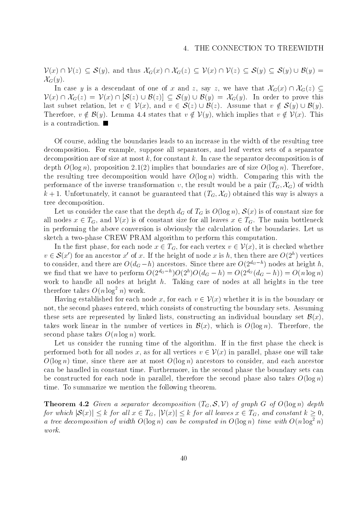$V(x) \cap V(z) \subseteq S(y)$ , and thus  $\mathcal{X}_G(x) \cap \mathcal{X}_G(z) \subseteq V(x) \cap V(z) \subseteq S(y) \subseteq S(y) \cup B(y) =$  $\mathcal{X}_G(y)$ .  $\mathcal{U}(z) \subseteq \mathcal{S}(y)$ , and thus  $\mathcal{X}_G(x) \cap \mathcal{X}_G(z) \subseteq \mathcal{V}(x) \cap \mathcal{V}(z) \subseteq \mathcal{S}(y) \subseteq \mathcal{S}(y) \cup \mathcal{B}(y) =$ <br>  $\mathcal{S}(y)$ .<br>
In case y is a descendant of one of x and z, say z, we have that  $\mathcal{X}_G(x) \cap \mathcal{X}_G(z) \subseteq \mathcal{S}(y)$ 

 $\mathcal{X}_G(y)$ .<br>In case y is a descendant of one of x and z, say z, we have that  $\mathcal{X}_G(x) \cap \mathcal{X}_G(z) \subseteq$ <br> $\mathcal{V}(x) \cap \mathcal{X}_G(z) = \mathcal{V}(x) \cap [\mathcal{S}(z) \cup \mathcal{B}(z)] \subset \mathcal{S}(y) \cup \mathcal{B}(y) = \mathcal{X}_G(y)$ . In order to prove this In case y is a descendant of one of x and z, say z, we have that  $\mathcal{X}_G(x) \cap \mathcal{X}_G(z) \subseteq$ <br> $\mathcal{V}(x) \cap \mathcal{X}_G(z) = \mathcal{V}(x) \cap [\mathcal{S}(z) \cup \mathcal{B}(z)] \subseteq \mathcal{S}(y) \cup \mathcal{B}(y) = \mathcal{X}_G(y)$ . In order to prove this<br>last subset relation, let  $\mathcal{V}(x) \cap \mathcal{X}_G(z) = \mathcal{V}(x) \cap [\mathcal{S}(z) \cup \mathcal{B}(z)] \subseteq \mathcal{S}(y) \cup \mathcal{B}(y) = \mathcal{X}_G(y)$ . In order to prove this last subset relation, let  $v \in \mathcal{V}(x)$ , and  $v \in \mathcal{S}(z) \cup \mathcal{B}(z)$ . Assume that  $v \notin \mathcal{S}(y) \cup \mathcal{B}(y)$ .<br>Therefore is a contradiction.

Of course, adding the boundaries leads to an increase in the width of the resulting tree decomposition. For example, suppose all separators, and leaf vertex sets of a separator decomposition are of size at most k, for constant k. In case the separator decomposition is of depth  $O(\log n)$ , proposition 2.1(2) implies that boundaries are of size  $O(\log n)$ . Therefore, the resulting tree decomposition would have  $O(\log n)$  width. Comparing this with the performance of the inverse transformation v, the result would be a pair  $(T_G, \mathcal{X}_G)$  of width k + 1. Unfortunately, it cannot be guaranteed that  $(T_G, \mathcal{X}_G)$  obtained this way is always a tree decomposition.

Let us consider the case that the depth  $a_G$  of  $I_G$  is  $O(\log n)$ ,  $\mathcal{O}(x)$  is of constant size for all nodes  $x \in T_G$ , and  $V(x)$  is of constant size for all leaves  $x \in T_G$ . The main bottleneck in performing the above conversion is obviously the calculation of the boundaries. Let us sketch a two-phase CREW PRAM algorithm to perform this computation. berforming the above conversion is obviously the calculation of the boundaries. Let us<br>tch a two-phase CREW PRAM algorithm to perform this computation.<br>In the first phase, for each node  $x \in T_G$ , for each vertex  $v \in \mathcal{V}($ 

sketch a two-phase CREW PRAM algorithm to perform this computation.<br>In the first phase, for each node  $x \in T_G$ , for each vertex  $v \in \mathcal{V}(x)$ , it is checked wheth  $v \in \mathcal{S}(x')$  for an ancestor  $x'$  of x. If the height of n  $v \in \mathcal{S}(x')$  for an ancestor x' of x. If the height of node x is h, then there are  $O(2<sup>h</sup>)$  vertices to consider, and there are  $O(a_G - h)$  ancestors. Since there are  $O(2^{\omega_G - \epsilon})$  nodes at height  $h$ , we find that we have to perform  $O(2^{n\sigma-1})O(2^{n})O(a_G - n) = O(2^{n\sigma}(a_G - n)) = O(n \log n)$ work to handle all nodes at height h. Taking care of nodes at all heights in the trees at all  $\alpha$ therefore takes  $O(n \log^2 n)$  work. k to handle all nodes at height *h*. Taking care of nodes at all heights in the tree<br>refore takes  $O(n \log^2 n)$  work.<br>Having established for each node *x*, for each  $v \in V(x)$  whether it is in the boundary or

not, the second phases entered, which consists of constructing the boundary sets. Assuming these sets are represented by linked lists, constructing an individual boundary set  $\mathcal{B}(x)$ , takes work linear in the number of vertices in  $\mathcal{B}(x)$ , which is  $O(\log n)$ . Therefore, the second phase takes  $O(n \log n)$  work.

Let us consider the running time of the algorithm. If in the first phase the check is performed both for all nodes x, as for all vertices  $v \in V(x)$  in parallel, phase one will take  $O(\log n)$  time, since there are at most  $O(\log n)$  ancestors to consider, and each ancestor can be handled in constant time. Furthermore, in the second phase the boundary sets can be constructed for each node in parallel, therefore the second phase also takes  $O(\log n)$ time. To summarize we mention the following theorem.

**Theorem 4.2** Given a separator decomposition  $(T_G, \mathcal{S}, \mathcal{V})$  of graph G of  $O(\log n)$  depth for which  $|\mathcal{S}(x)| \leq k$  for all  $x \in T_G$ ,  $|\mathcal{V}(x)| \leq k$  for all leaves  $x \in T_G$ , and constant  $k \geq 0$ , a tree decomposition of width  $O(\log n)$  can be computed in  $O(\log n)$  time with  $O(n \log^2 n)$ work.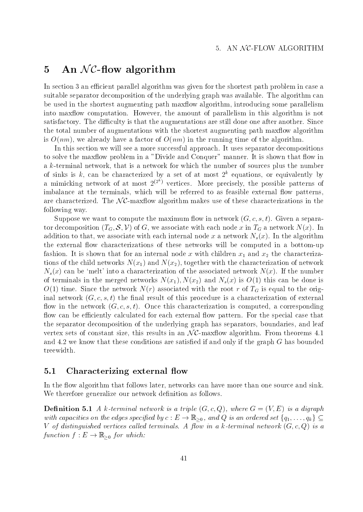## 5 An  $\mathcal{NC}$ -flow algorithm

In section 3 an efficient parallel algorithm was given for the shortest path problem in case a suitable separator decomposition of the underlying graph was available. The algorithm can be used in the shortest augmenting path maxflow algorithm, introducing some parallelism into maxflow computation. However, the amount of parallelism in this algorithm is not satisfactory. The difficulty is that the augmentations are still done one after another. Since the total number of augmentations with the shortest augmenting path maxflow algorithm is  $O(nm)$ , we already have a factor of  $O(nm)$  in the running time of the algorithm.

In this section we will see a more successful approach. It uses separator decompositions to solve the maxflow problem in a "Divide and Conquer" manner. It is shown that flow in a k-terminal network, that is a network for which the number of sources plus the number of sinks is k, can be characterized by a set of at most  $2^k$  equations, or equivalently by a mimicking network of at most  $2^{(2^n)}$  vertices. More precisely, the possible patterns of imbalance at the terminals, which will be referred to as feasible external flow patterns, a mimicking network of at most  $2^{(2^k)}$  vertices. More precisely, the possible patterns of<br>imbalance at the terminals, which will be referred to as feasible external flow patterns,<br>are characterized. The  $\mathcal{NC}\text{-}\mathrm{max}$ f following way.

Suppose we want to compute the maximum flow in network  $(G, c, s, t)$ . Given a separator decomposition ( $T_G, S, V$ ) of G, we associate with each node x in  $T_G$  a network  $N(x)$ . In addition to that, we associate with each internal node x a network  $N_s(x)$ . In the algorithm the external flow characterizations of these networks will be computed in a bottom-up fashion. It is shown that for an internal node  $\Delta$ tions of the child networks  $N(x_1)$  and  $N(x_2)$ , together with the characterization of network  $N_s(x)$  can be 'melt' into a characterization of the associated network  $N(x)$ . If the number of terminals in the merged networks  $N(x_1), N(x_2)$  and  $N_s(x)$  is  $O(1)$  this can be done is  $\overline{N}$  time. Since the network  $\overline{N}$  associated with the original to the original to the original to the original to the original to the original to the original to the original to the original to the original to the inal network  $(G, c, s, t)$  the final result of this procedure is a characterization of external flow in the network  $(G, c, s, t)$ . Once this characterization is computed, a corresponding flow can be efficiently calculated for each external flow pattern. For the special case that the separator decomposition of the underlying graph has separators, boundaries, and leaf flow can be efficiently calculated for each external flow pattern. For the special case that<br>the separator decomposition of the underlying graph has separators, boundaries, and leaf<br>vertex sets of constant size, this resu and 4.2 we know that these conditions are satisfied if and only if the graph  $G$  has bounded treewidth.

### 5.1 Characterizing external flow

In the flow algorithm that follows later, networks can have more than one source and sink. We therefore generalize our network definition as follows.

 $\mathbb D$  becomes is a triple (G;  $\mathbb D$ ), where  $\mathbb D$  is a triple (G;  $\mathbb D$ ), where  $\mathbb D$  is a digraph  $\mathbb D$ **Definition 5.1** A k-terminal network is a triple  $(G, c, Q)$ , where  $G = (V, E)$  is a digraph with capacities on the edges specified by  $c : E \to \mathbb{R}_{>0}$ , and Q is an ordered set  $\{q_1, \ldots, q_k\} \subseteq$ V of distinguished vertices called terminals. A flow in a k-terminal network  $(G, c, Q)$  is a function  $f : E \to \mathbb{R}_{\geq 0}$  for which: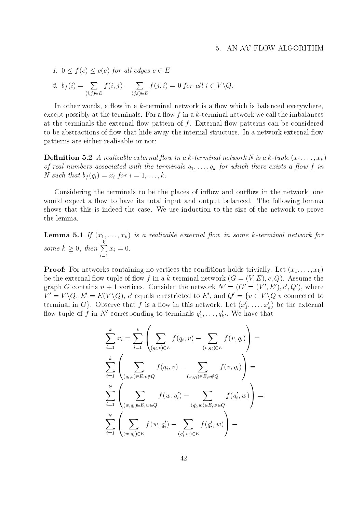1.  $0 \le f(e) \le c(e)$  for all edges  $e \in E$ 

2. 
$$
b_f(i) = \sum_{(i,j)\in E} f(i,j) - \sum_{(j,i)\in E} f(j,i) = 0
$$
 for all  $i \in V \setminus Q$ .

In other words, a flow in a k-terminal network is a flow which is balanced everywhere, except possibly at the terminals. For a flow  $f$  in a  $k$ -terminal network we call the imbalances at the terminals the external flow pattern of  $f$ . External flow patterns can be considered to be abstractions of flow that hide away the internal structure. In a network external flow patterns are either realisable or not:

**Definition 5.2** A realizable external flow in a k-terminal network N is a k-tuple  $(x_1,...,x_k)$ of real numbers associated with the terminals q1;::;;qk for which there exists a strike a form for a  $N \cdot 1$  for intervals for intervals for intervals for intervals for intervals for intervals for intervals for intervals for intervals for intervals for intervals for intervals for intervals for intervals for intervals for

Considering the terminals to be the places of inflow and outflow in the network, one would expect a flow to have its total input and output balanced. The following lemma shows that this is indeed the case. We use induction to the size of the network to prove the lemma.

**Lemma 5.1** If  $(x_1,...,x_k)$  is a realizable external flow in some k-terminal network for some  $k > 0$ , then  $\sum x_i = 0$ .  $\cdots$  ,  $\cdots$  .  $\cdots$ 

**Proof:** For networks containing no vertices the conditions holds trivially. Let  $(x_1, \ldots, x_k)$ be the external flow tuple of flow f in a k-terminal network  $(G = (V, E), c, Q)$ . Assume the graph G contains  $n + 1$  vertices. Consider the network  $N' = (G' = (V', E'), c', Q')$ , where  $V = V \setminus Q, E = E(V \setminus Q), c$  equals c restricted to Equal  $Q = \{v \in V \setminus Q | v \text{ connected to } \mathbb{R}\}$ terminal in G. Observe that f is a flow in this network. Let  $(x'_1,\ldots,x'_k)$  be the external how tuple of f in N corresponding to terminals  $q_1,\ldots,q_{k'}$ . We have that

$$
\sum_{i=1}^{k} x_i = \sum_{i=1}^{k} \left( \sum_{(q_i, v) \in E} f(q_i, v) - \sum_{(v, q_i) \in E} f(v, q_i) \right) =
$$
\n
$$
\sum_{i=1}^{k} \left( \sum_{(q_i, v) \in E, v \notin Q} f(q_i, v) - \sum_{(v, q_i) \in E, v \notin Q} f(v, q_i) \right) =
$$
\n
$$
\sum_{i=1}^{k'} \left( \sum_{(w, q_i') \in E, w \in Q} f(w, q_i') - \sum_{(q_i', w) \in E, w \in Q} f(q_i', w) \right) =
$$
\n
$$
\sum_{i=1}^{k'} \left( \sum_{(w, q_i') \in E} f(w, q_i') - \sum_{(q_i', w) \in E} f(q_i', w) \right) -
$$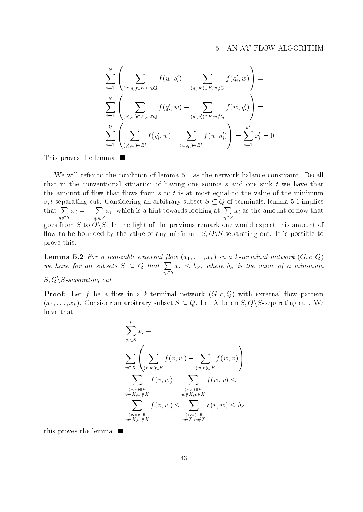$$
\sum_{i=1}^{k'} \left( \sum_{(w,q_i') \in E, w \notin Q} f(w, q_i') - \sum_{(q_i',w) \in E, w \notin Q} f(q_i', w) \right) =
$$
\n
$$
\sum_{i=1}^{k'} \left( \sum_{(q_i',w) \in E, w \notin Q} f(q_i',w) - \sum_{(w,q_i') \in E, w \notin Q} f(w, q_i') \right) =
$$
\n
$$
\sum_{i=1}^{k'} \left( \sum_{(q_i',w) \in E'} f(q_i',w) - \sum_{(w,q_i') \in E'} f(w, q_i') \right) = \sum_{i=1}^{k'} x_i' = 0
$$

This proves the lemma.

We will refer to the condition of lemma 5.1 as the network balance constraint. Recall that in the conventional situation of having one source  $s$  and one sink  $t$  we have that the amount of flow that flows from  $s$  to  $t$  is at most equal to the value of the minimum s, t-separating cut. Considering an arbitrary subset  $S \subseteq Q$  of terminals, lemma 5.1 implies that  $\sum x_i = -\sum x_i$ , wh  $\overline{\mathcal{A}}$  is  $\overline{\mathcal{A}}$  such that  $\overline{\mathcal{A}}$  is  $\overline{\mathcal{A}}$  is  $\overline{\mathcal{A}}$  is  $\overline{\mathcal{A}}$  is  $\overline{\mathcal{A}}$  is  $\overline{\mathcal{A}}$  is  $\overline{\mathcal{A}}$  is  $\overline{\mathcal{A}}$  is  $\overline{\mathcal{A}}$  is  $\overline{\mathcal{A}}$  is  $\overline{\mathcal{A}}$  is  $\overline{\mathcal{A}}$  is  $\overline$  $x_i = -\sum x_i$ , which is a hint questions in the set of  $\mathcal{L}$  $x_i$ , which is a hint towards looking at  $\sum x_i$  as the amount  $\overline{\phantom{a}}$  $\ldots$  , and a second of amount of  $\alpha$  amount of  $\alpha$ goes from S to  $Q \backslash S$ . In the light of the previous remark one would expect this amount of flow to be bounded by the value of any minimum  $S, Q \setminus S$ -separating cut. It is possible to prove this.

**Lemma 5.2** For a realizable external flow  $(x_1,...,x_k)$  in a k-terminal network  $(G, c, Q)$ we have for all subsets  $S \subseteq Q$  that  $\sum x_i \leq b_S$ , where i qi2S  $x_i \leq v_S$ , where  $v_S$  is the value of a minimum  $S, Q \backslash S$ -separating cut.

**Proof:** Let f be a flow in a k-terminal network  $(G, c, Q)$  with external flow pattern  $(x_1,\ldots,x_k)$ . Consider an arbitrary subset  $S \subseteq Q$ . Let X be an  $S,Q \setminus S$ -separating cut. We have that

$$
\sum_{q_i \in S}^{k} x_i =
$$
\n
$$
\sum_{v \in X} \left( \sum_{(v,w) \in E} f(v,w) - \sum_{(w,v) \in E} f(w,v) \right) =
$$
\n
$$
\sum_{\substack{(v,w) \in E \\ v \in X, w \notin X}} f(v,w) - \sum_{\substack{(w,v) \in E \\ w \notin X, v \in X}} f(w,v) \le
$$
\n
$$
\sum_{\substack{(v,w) \in E \\ v \in X, w \notin X}} f(v,w) \le \sum_{\substack{(v,w) \in E \\ v \in X, w \notin X}} c(v,w) \le b_S
$$

this proves the lemma.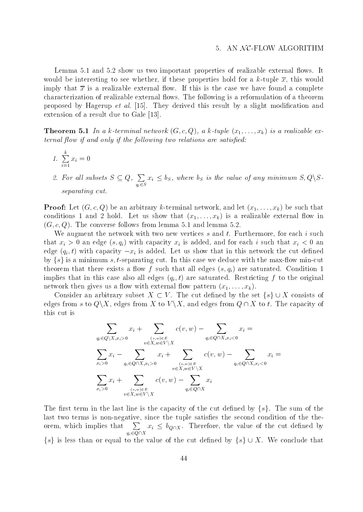Lemma 5.1 and 5.2 show us two important properties of realizable external flows. It would be interesting to see whether, if these properties hold for a k-tuple  $\overline{x}$ , this would imply that  $\bar{x}$  is a realizable external flow. If this is the case we have found a complete characterization of realizable external flows. The following is a reformulation of a theorem proposed by Hagerup *et al.* [15]. They derived this result by a slight modification and extension of a result due to Gale [13].

**Theorem 5.1** In a k-terminal network  $(G, c, Q)$ , a k-tuple  $(x_1, \ldots, x_k)$  is a realizable external flow if and only if the following two relations are satisfied:

$$
1. \sum_{i=1}^{k} x_i = 0
$$

2. For all subsets  $S \subseteq Q$ ,  $\sum x_i \leq b_S$ , where by qi2S  $x_i \leq v_S$ , where  $v_S$  is the value of any minimum  $S, Q \setminus S$ separating cut.

**Proof:** Let  $(G, c, Q)$  be an arbitrary k-terminal network, and let  $(x_1, \ldots, x_k)$  be such that conditions 1 and 2 hold. Let us show that  $(x_1,...,x_k)$  is a realizable external flow in  $(G, c, Q)$ . The converse follows from lemma 5.1 and lemma 5.2.

We augment the network with two new vertices s and t. Furthermore, for each i such that xi  $\alpha$  and  $\alpha$  and for each interval is added, and for each interval that  $\alpha$ edge  $(q_i, t)$  with capacity  $-x_i$  is added. Let us show that in this network the cut defined by  $\{s\}$  is a minimum s, t-separating cut. In this case we deduce with the max-flow min-cut theorem that there exists a flow f such that all edges  $(s, q_i)$  are saturated. Condition 1 implies that in this case all edges (qin  $\alpha$  ; the original f to the original f to the original f to the original f to the original f to the original f to the original f to the original f to the original f to the origina network then gives us a flow with external flow pattern  $(x_1, \ldots, x_k)$ . blies that in this case also all edges  $(q_i, t)$  are saturated. Restricting f to the original work then gives us a flow with external flow pattern  $(x_1, \ldots, x_k)$ .<br>Consider an arbitrary subset  $X \subset V$ . The cut defined by the s

edges from s to  $Q\backslash X$ , edges from X to  $V\backslash X$ , and edges from  $Q\cap X$  to t. The capacity of this cut is

$$
\sum_{q_i \in Q \setminus X, x_i > 0} x_i + \sum_{\substack{(v,w) \in E \\ v \in X, w \in V \setminus X}} c(v,w) - \sum_{q_i \in Q \cap X, x_i < 0} x_i =
$$
\n
$$
\sum_{x_i > 0} x_i - \sum_{q_i \in Q \cap X, x_i > 0} x_i + \sum_{\substack{(v,w) \in E \\ v \in X, w \in V \setminus X}} c(v,w) - \sum_{q_i \in Q \cap X, x_i < 0} x_i =
$$
\n
$$
\sum_{x_i > 0} x_i + \sum_{\substack{(v,w) \in E \\ v \in X, w \in V \setminus X}} c(v,w) - \sum_{q_i \in Q \cap X} x_i
$$

The first term in the last line is the capacity of the cut defined by  $\{s\}$ . The sum of the  $\sum x_i \leq b_{\text{OQX}}$ . Therefore, the value of the cut defined by  $\mathcal{A}$  ,  $\mathcal{A}$  ,  $\mathcal{A}$  ,  $\mathcal{A}$  ,  $\mathcal{A}$  ,  $\mathcal{A}$  ,  $\mathcal{A}$  ,  $\mathcal{A}$  ,  $\mathcal{A}$  ,  $\mathcal{A}$  ,  $\mathcal{A}$  ,  $\mathcal{A}$  ,  $\mathcal{A}$  ,  $\mathcal{A}$  ,  $\mathcal{A}$  ,  $\mathcal{A}$  ,  $\mathcal{A}$  ,  $\mathcal{A}$  ,  $\mathcal{A}$  ,  $\mathcal{A}$  ,  $x_i \geq v_{Q \cap X}$ . Therefore, the value of the cut defined by for the value of the value of the value of the cut defined by<br>  $\{s\}$  is less than or equal to the value of the cut defined by  $\{s\} \cup X$ . We conclude that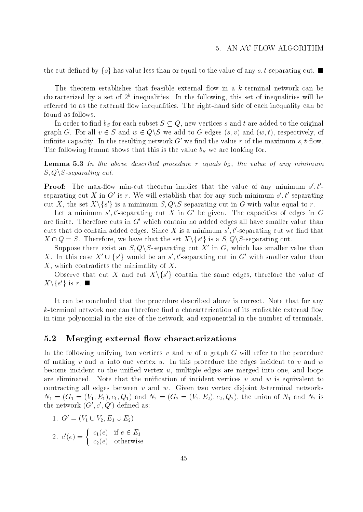the cut defined by  $\{s\}$  has value less than or equal to the value of any s, t-separating cut.

The theorem establishes that feasible external flow in a  $k$ -terminal network can be characterized by a set of  $2^\circ$  inequalities. In the following, this set of inequalities will be referred to as the external flow inequalities. The right-hand side of each inequality can be found as follows.

In order to find  $v_S$  for each subset  $S \subseteq Q$ , hew vertices s and t are added to the original graph G. For all  $v \in S$  and  $w \in Q \backslash S$  we add to G edges  $(s, v)$  and  $(w, t)$ , respectively, of infinite capacity. In the resulting network  $G'$  we find the value r of the maximum s, t-flow. The following lemma shows that the value  $\sim$  the value  $\sim$  we are locating for  $\sim$ 

 $-$  ------- In the above described procedure r equals  $\{g\}$  , the value of any minimum minimum minimum minimum  $S, Q \ S$ -separating cut.

**Proof:** The max-now min-cut theorem implies that the value of any minimum  $s$ , $t$ - $\cdot$ separating cut  $\Lambda$  in G is r. We will establish that for any such minimum s  $\iota$  -separating cut  $\Lambda$ , the set  $\Lambda \backslash \{s\}$  is a minimum  $S,Q \backslash S$ -separating cut in G with value equal to r.

Let a minimum  $s$ ,  $t$ -separating cut  $\Lambda$  in G  $\,$  be given. The capacities of edges in G  $\,$ are finite. Therefore cuts in  $G'$  which contain no added edges all have smaller value than cuts that do contain added edges. Since  $\Lambda$  is a minimum  $s$  ,  $\iota$  -separating cut we find that

 $X \cap Q = S$ . Therefore, we have that the set  $X \setminus \{s'\}$  is a  $S, Q \setminus S$ -separating cut.<br>Suppose there exist an  $S, Q \setminus S$ -separating cut  $X'$  in  $G$ , which has smaller value  $X$ . In this case  $X' \cup \{s'\}$  would be an  $s', t'$ -se Suppose there exist an  $S, Q \backslash S$ -separating cut X' in G, which has smaller value than  $\rightarrow$  would be an  $s$ , t-separating cut in G with smaller value than X, which contradicts the minimality of X.

Observe that cut  $\Lambda$  and cut  $\Lambda\setminus\set{s}$  contain the same edges, therefore the value of  $\Lambda \setminus \{S\}$  is  $T$ .  $\blacksquare$ 

It can be concluded that the procedure described above is correct. Note that for any  $k$ -terminal network one can therefore find a characterization of its realizable external flow in time polynomial in the size of the network, and exponential in the number of terminals.

### 5.2 Merging external flow characterizations

In the following unifying two vertices  $v$  and  $w$  of a graph  $G$  will refer to the procedure of making  $v$  and  $w$  into one vertex  $u$ . In this procedure the edges incident to  $v$  and  $w$ become incident to the unified vertex  $u$ , multiple edges are merged into one, and loops are eliminated. Note that the unification of incident vertices  $v$  and  $w$  is equivalent to contracting all edges between  $v$  and  $w$ . Given two vertex disjoint  $k$ -terminal networks  $N$  is (G1  $N$  - (V1  $N$  ); can and  $N$  and  $N$  and  $N$  and  $N$  of  $N$  is  $N$  of  $N$  is  $N$  is  $N$  is  $N$  is  $N$  is  $N$  is  $N$  is  $N$  is  $N$  is  $N$  is  $N$  is  $N$  is  $N$  is  $N$  is  $N$  is  $N$  is  $N$  is  $N$  is  $N$  is  $N$  is the network  $(G', c', Q')$  defined as:

1. 
$$
G' = (V_1 \cup V_2, E_1 \cup E_2)
$$

2. 
$$
c'(e) = \begin{cases} c_1(e) & \text{if } e \in E_1 \\ c_2(e) & \text{otherwise} \end{cases}
$$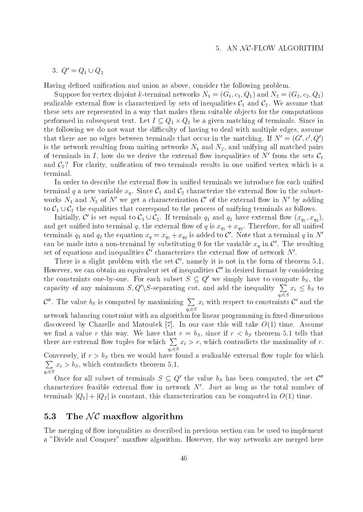#### 3.  $Q = Q_1 \cup Q_2$

Having defined unification and union as above, consider the following problem.

 $S$  suppose for vertex disjoint  $\alpha$  , and  $\alpha$  is the second distoired networks  $\alpha$ ;  $\alpha$  ,  $\alpha$  ,  $\alpha$  ,  $\alpha$  ,  $\alpha$  ,  $\alpha$  ,  $\alpha$  ,  $\alpha$ realizable external now is characterized by sets of inequalities  ${\mathcal C}_1$  and  ${\mathcal C}_2.$  We assume that these sets are represented in a way that makes them suitable ob jects for the computations performed in subsequent text. Let  $I\subseteq Q_1\times Q_2$  be a given matching of terminals. Since in the following we do not want the difficulty of having to deal with multiple edges, assume that there are no edges between terminals that occur in the matching. If  $N' = (G', c', Q')$ is the network resulting from uniting networks N1 and N2, and unifying all matched pairs of terminals in I, how do we derive the external flow inequalities of  $N'$  from the sets  $\mathcal{C}_1$ and  $C_2$ ? For clarity, unification of two terminals results in one unified vertex which is a terminal.

In order to describe the external flow in unified terminals we introduce for each unified terminal  $q$  a new variable  $x_q$ . Since  $C_1$  and  $C_2$  characterize the external now in the subnetworks  $N_1$  and  $N_2$  of N we get a characterization C of the external now in N by adding to  $C_1 \cup C_2$  the equalities that correspond to the process of unifying terminals as follows. nal q a new variable  $x_q$ . Since  $C_1$  and  $C_2$  characterize the external flow in the subnet-<br>  $N_1$  and  $N_2$  of  $N'$  we get a characterization  $C'$  of the external flow in  $N'$  by adding<br>  $\cup C_2$  the equalities that co characterization  $\mathcal{C}'$  of the external flow in  $N'$  by adding<br>respond to the process of unifying terminals as follows.<br> $\cup C_2$ . If terminals  $q_1$  and  $q_2$  have external flow  $(x_{q_1}, x_{q_2})$ ,

Initially, C is set equal to  $C_1 \cup C_2$ . If terminals  $q_1$  and  $q_2$  have external flow  $(x_{q_1}, x_{q_2})$ ,  $\alpha$  and  $\alpha$  is the external q, the external q, the external q, the external  $\alpha$ terminals  $q_1$  and  $q_2$  the equation  $x_q = x_{q_1} + x_{q_2}$  is added to  $C$  . Note that a terminal  $q$  in N can be made into a non-terminal by substituting 0 for the variable  $x_q$  in  $C$  . The resulting set of equations and inequalities  $\mathcal{C}'$  characterizes the external flow of network  $N'$ .

There is a slight problem with the set  $\mathcal{C}'$ , namely it is not in the form of theorem 5.1. However, we can obtain an equivalent set of inequalities  $\mathcal{C}''$  in desired format by considering the constraints one-by-one. For each subset  $S \subseteq Q$  we simply have to compute  $v_S$ , the capacity of any minimum  $S, Q' \ S$ -separating cut, and add the inequality  $\sum x_i \leq b_S$  to qi2S  $x_i \leq v_S$  to  $\mathcal{C}''$ . The value  $b_S$  is computed by maximizing  $\sum x_i$  with respect to qi2S  $x_i$  with respect to constraints  $c$  and the network balancing constraint with an algorithm for linear programming in fixed dimensions discovered by Chazelle and Matousek [7]. In our case this will take  $O(1)$  time. Assume we have the value  $\alpha$  value  $\alpha$  , the first control tells that  $\beta$  , since if  $\beta$  theorem 5.1 tells that the state  $\beta$ there are external flow tuples for which  $\sum x_i > r$ , which con qi2S  $\iota$  -form and the maximality of r. which contradicts the maximality of r. which contradicts the maximality of r.  $\mathcal{N}$  if realizable external a realizable external and  $\mathcal{N}$  realizable external and  $\mathcal{N}$ **Property** and the contract of the contract of the contract of the contract of the contract of the contract of the contract of the contract of the contract of the contract of the contract of the contract of the contract of xi > bS , which contradicts theorem 5.1.

Once for all subset of terminals  $S \subseteq Q$  the value  $\iota_S$  has been computed, the set  $C^\circ$ characterizes feasible external flow in network  $N'$ . Just as long as the total number of terminals  $|Q_1| + |Q_2|$  is constant, this characterization can be computed in  $O(1)$  time.

### 5.3 The  $\mathcal{NC}$  maxflow algorithm

qi2S

The merging of flow inequalities as described in previous section can be used to implement a "Divide and Conquer" maxflow algorithm. However, the way networks are merged here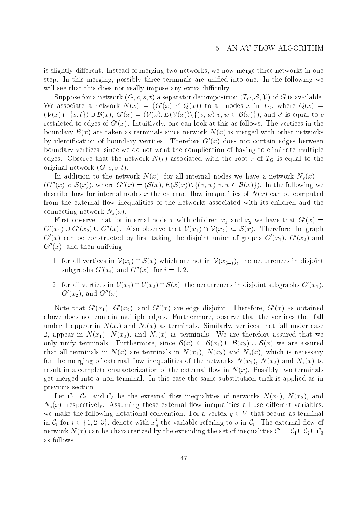is slightly different. Instead of merging two networks, we now merge three networks in one step. In this merging, possibly three terminals are unified into one. In the following we will see that this does not really impose any extra difficulty.

Suppose for a network  $(G, c, s, t)$  a separator decomposition  $(T_G, S, V)$  of G is available.<br>We associate a network  $N(x) = (G'(x), c', Q(x))$  to all nodes x in  $T_G$ , where  $Q(x) =$ <br> $(\mathcal{V}(x) \cap \{s, t\}) \cup \mathcal{B}(x), G'(x) = (\mathcal{V}(x), E(\mathcal{V}(x)))\{(v, w)|$ We associate a network  $N(x) = (G'(x), c', Q(x))$  to all nodes x in  $T_G$ , where  $Q(x)$ is equal to  $c$ restricted to edges of  $G'(x)$ . Intuitively, one can look at this as follows. The vertices in the boundary  $\mathcal{B}(x)$  are taken as terminals since network  $N(x)$  is merged with other networks by identification of boundary vertices. Therefore  $G'(x)$  does not contain edges between boundary vertices, since we do not want the complication of having to eliminate multiple edges. Observe that the network  $\mathcal{N}(r)$  associated with the root root root r of TG is equal to the root r of TG is equal to the root r of TG is equal to the root r of TG is equal to the root r of TG is equal to the roo original network  $(G, c, s, t)$ .

 $\Box$ original network  $(G, c, s, t)$ .<br>In addition to the network  $N(x)$ , for all internal nodes we have a network  $N_s(x) =$ <br> $(G''(x), c, S(x))$ , where  $G''(x) = (S(x), E(S(x)))\{(v, w)|v, w \in B(x)\})$ . In the following we describe how for internal nodes x the external flow inequalities of  $N(x)$  can be computed from the external flow inequalities of the networks associated with its children and the connecting network  $N_s(x)$ .

First observe that for internal node x with children  $x_1$  and  $x_2$  we have that  $G(x) =$  $G'(x_1) \cup G'(x_2) \cup G''(x)$ . Also observe that  $V(x_1) \cap V(x_2) \subseteq S(x)$ . Therefore the graph  $G'(x)$  can be constructed by first taking the disjoint union of graphs  $G'(x_1)$ ,  $G'(x_2)$  and  $G''(x)$ , and then unifying:

- 1. for all vertices in  $\mathcal{V}(x_i) \cap \mathcal{S}(x)$  which are not in  $\mathcal{V}(x_{3-i})$ , the occurrences in disjoint subgraphs  $G'(x_i)$  and  $G''(x)$ , for  $i = 1, 2$ .
- 2. for all vertices in  $V(x_1) \cap V(x_2) \cap S(x)$ , the occurrences in disjoint subgraphs  $G'(x_1)$ .  $G'(x_2)$ , and  $G''(x)$ .

Note that  $G'(x_1)$ ,  $G'(x_2)$ , and  $G''(x)$  are edge disjoint. Therefore,  $G'(x)$  as obtained above does not contain multiple edges. Furthermore, observe that the vertices that fall under 1 appear in  $N(x_i)$  and  $N_s(x)$  as terminals. Similarly, vertices that fall under case 2, appear in N(x1), N(x2), and Ns(x) as terminals. We are therefore assured that we under 1 appear in  $N(x_i)$  and  $N_s(x)$  as terminals. Similarly, vertices that fall under case<br>2, appear in  $N(x_1)$ ,  $N(x_2)$ , and  $N_s(x)$  as terminals. We are therefore assured that we<br>only unify terminals. Furthermore, since that all terminals in  $N(x)$  are terminals in  $N(x_1)$ ,  $N(x_2)$  and  $N_s(x)$ , which is necessary for the merging of external flow inequalities of the networks  $N(x_1)$ ,  $N(x_2)$  and  $N_s(x)$  to result in a complete characterization of the external flow in  $N(x)$ . Possibly two terminals get merged into a non-terminal. In this case the same substitution trick is applied as in previous section.

Let  $C_1$ ,  $C_2$ , and  $C_3$  be the external now inequalities of networks  $N(x_1)$ ,  $N(x_2)$ , and  $N_s(x)$ , respectively. Assuming these external flow inequalities all use different variables, we make the following notational convention. For a vertex  $q \in V$  that occurs as terminal  $N_s(x)$ , respectively. Assuming these external flow inequalities all use different variables,<br>we make the following notational convention. For a vertex  $q \in V$  that occurs as terminal<br>in  $C_i$  for  $i \in \{1, 2, 3\}$ , denote wi network  $N(x)$  can be characterized by the extending the set of inequalities  $C' = C_1 \cup C_2 \cup C_3$ terminal<br>1 flow of<br> $\cup\, {\cal C}_2 \cup {\cal C}_3$ as follows.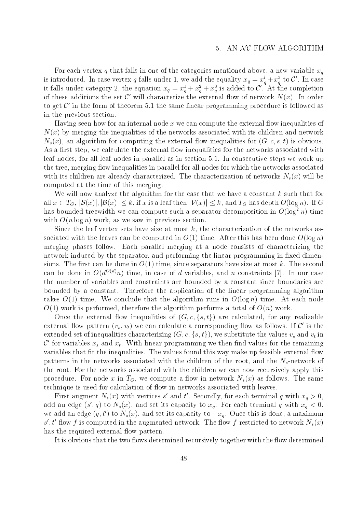For each vertex q that falls in one of the categories mentioned above, a new variable  $x_q$ is introduced. In case vertex q fails under 1, we add the equality  $x_q = x_q + x_{\bar q}$  to  $c$  . In case it falls under category 2, the equation  $x_q = x_q^* + x_q^* + x_q^*$  is added to  $C$  . At the completion of these additions the set  $\mathcal{C}'$  will characterize the external flow of network  $N(x)$ . In order to get  $\mathcal{C}'$  in the form of theorem 5.1 the same linear programming procedure is followed as in the previous section.

Having seen how for an internal node  $x$  we can compute the external flow inequalities of  $N(x)$  by merging the inequalities of the networks associated with its children and network  $N_s(x)$ , an algorithm for computing the external flow inequalities for  $(G, c, s, t)$  is obvious. As a first step, we calculate the external flow inequalities for the networks associated with leaf nodes, for all leaf nodes in parallel as in section 5.1. In consecutive steps we work up the tree, merging flow inequalities in parallel for all nodes for which the networks associated with its children are already characterized. The characterization of networks  $N_s(x)$  will be computed at the time of this merging.

We will now analyze the algorithm for the case that we have a constant  $k$  such that for computed at the time of this merging.<br>We will now analyze the algorithm for the case that we have a constant k such that for<br>all  $x \in T_G$ ,  $|S(x)|, |B(x)| \le k$ , if x is a leaf then  $|\mathcal{V}(x)| \le k$ , and  $T_G$  has depth  $O(\log n)$ . If G has bounded treewidth we can compute such a separator decomposition in  $O(\log^2 n)$ -time with  $O(n \log n)$  work, as we saw in previous section.

Since the leaf vertex sets have size at most  $k$ , the characterization of the networks associated with the leaves can be computed in  $O(1)$  time. After this has been done  $O(\log n)$ merging phases follow. Each parallel merging at a node consists of characterizing the network induced by the separator, and performing the linear programming in fixed dimensions. The first can be done in  $O(1)$  time, since separators have size at most k. The second can be done in  $O(d^{O(d)}n)$  time, in case of d variables, and n constraints [7]. In our case the number of variables and constraints are bounded by a constant since boundaries are bounded by a constant. Therefore the application of the linear programming algorithm takes  $O(1)$  time. We conclude that the algorithm runs in  $O(\log n)$  time. At each node  $O(1)$  work is performed, therefore the algorithm performs a total of  $O(n)$  work.

Once the external flow inequalities of  $(G, c, \{s, t\})$  are calculated, for any realizable external flow pattern  $(v_s, v_t)$  we can calculate a corresponding flow as follows. If C' is the extended set of inequalities characterizing  $(G, c, \{s, t\})$ , we substitute the values  $v_s$  and  $v_t$  in  ${\mathcal C}$  for variables  $x_s$  and  $x_t.$  With linear programming we then find values for the remaining variables that fit the inequalities. The values found this way make up feasible external flow patterns in the networks associated with the children of the root, and the  $N_s$ -network of the root. For the networks associated with the children we can now recursively apply this procedure. For node x in  $T_G$ , we compute a flow in network  $N_s(x)$  as follows. The same technique is used for calculation of flow in networks associated with leaves.

First augment  $N_s(x)$  with vertices s and t. Secondly, for each terminal q with  $x_q > 0$ , add an edge (s, q) to  $N_s(x)$ , and set its capacity to  $x_q$ . For each terminal q with  $x_q < 0$ , we add an edge  $(q, t_0)$  to  $N_s(x)$ , and set its capacity to  $-x_q$ . Once this is done, a maximum  $s$  ,  $t$  -now f is computed in the augmented network. The now f restricted to network  $N_s(x)$ has the required external flow pattern.

It is obvious that the two flows determined recursively together with the flow determined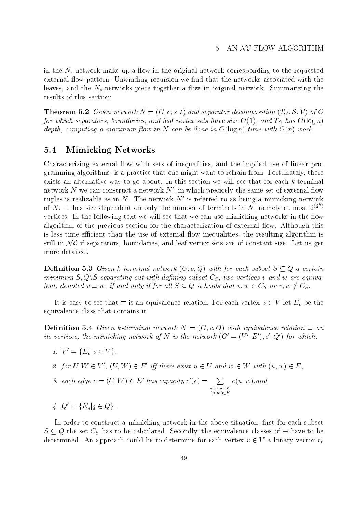in the  $N_{s}$ -network make up a flow in the original network corresponding to the requested external flow pattern. Unwinding recursion we find that the networks associated with the leaves, and the  $N_s$ -networks piece together a flow in original network. Summarizing the results of this section:

**Theorem 5.2** Given network  $N = (G, c, s, t)$  and separator decomposition  $(T_G, S, V)$  of G for which separators, boundaries, and leaf vertex sets have size O(1), and TG has O(log n) depth, computing a maximum flow in N can be done in  $O(\log n)$  time with  $O(n)$  work.

### 5.4 Mimicking Networks

Characterizing external flow with sets of inequalities, and the implied use of linear programming algorithms, is a practice that one might want to refrain from. Fortunately, there exists an alternative way to go about. In this section we will see that for each k-terminal network N we can construct a network  $N'$ , in which precicely the same set of external flow tuples is realizable as in  $N$ . The network  $N'$  is referred to as being a mimicking network of N. It has size dependent on only the number of terminals in N, namely at most  $2^{(2^n)}$ vertices. In the following text we will see that we can use mimicking networks in the flow algorithm of the characterization for the characterization for the characterization of  $\mathbf{A}$ is less time-efficient than the use of external flow inequalities, the resulting algorithm is algorithm of the previous section for the characterization of external flow. Although this<br>is less time-efficient than the use of external flow inequalities, the resulting algorithm is<br>still in  $\mathcal{NC}$  if separators, bou more detailed.

**Definition 5.3** Given k-terminal network  $(G, c, Q)$  with for each subset  $S \subseteq Q$  a certain minimum  $S, Q \backslash S$ -separating cut with defining subset  $C_S$ , two vertices v and w are equivalent, denoted  $v = w$ , if and only if for all  $S \subseteq Q$  it holds that  $v, w \in C_S$  or  $v, w \notin C_S$ .

It is easy to see that  $\equiv$  is an equivalence relation. For each vertex  $v \in V$  let  $E_v$  be the equivalence class that contains it.

**Definition 5.4** Given k-terminal network  $N = (G, c, Q)$  with equivalence relation  $\equiv$  on its vertices, the mimicking network of N is the network  $(G' = (V', E'), c', Q')$  for which:

1.  $V = \{E_v | v \in V \},$ 

2. for  $U, W \in V'$ ,  $(U, W) \in E'$  iff there exist  $u \in U$  and  $w \in W$  with  $(u, w) \in E$ ,

- 3. each edge  $e = (U, W) \in E'$  has capacity  $c'(e) = \sum_{u \in E} c(u, w)$ , and  $\sim$  U/U  $\sim$  U/U  $\sim$  U/U  $\sim$  U/U  $\sim$  U/U  $\sim$  U/U  $\sim$  U/U  $\sim$  U/U  $\sim$  U/U  $\sim$  U/U  $\sim$  U/U  $\sim$  U/U  $\sim$  U/U  $\sim$  U/U  $\sim$  U/U  $\sim$  U/U  $\sim$  U/U  $\sim$  U/U  $\sim$  U/U  $\sim$  U/U  $\sim$  U/U  $\sim$  U/U  $\sim$  U/U  $\sim$  U/U  $\sim$  (u;w)2E contract the contract of the contract of the contract of the contract of the contract of the contract of the contract of the contract of the contract of the contract of the contract of the contract of the contract of the
- 4.  $Q = \{E_q | q \in Q\}.$

In order to construct a mimicking network in the above situation, first for each subset  $S \subseteq Q$  the set  $C_S$  has to be calculated. Secondly, the equivalence classes of  $\equiv$  have to be determined. An approach could be to determine for each vertex  $v \in V$  a binary vector  $\vec{r}_v$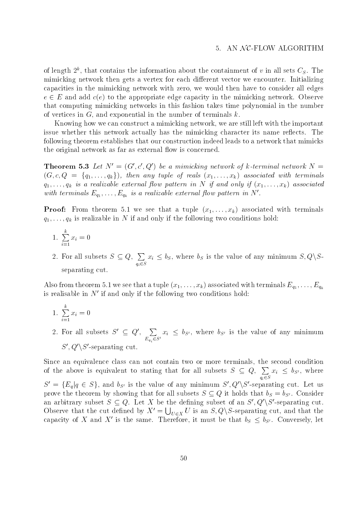of length  $2^\circ$ , that contains the information about the containment of  $v$  in all sets  $C_S.$  The mimicking network then gets a vertex for each different vector we encounter. Initializing capacities in the mimicking network with zero, we would then have to consider all edges  $e \in E$  and add  $c(e)$  to the appropriate edge capacity in the mimicking network. Observe that computing mimicking networks in this fashion takes time polynomial in the number of vertices in  $G$ , and exponential in the number of terminals  $k$ .

Knowing how we can construct a mimicking network, we are still left with the important issue whether this network actually has the mimicking character its name reflects. The following theorem establishes that our construction indeed leads to a network that mimicks the original network as far as external flow is concerned.

**Theorem 5.3** Let  $N' = (G', c', Q')$  be a mimicking network of k-terminal network  $N =$  $(G, c, Q = \{q_1, \ldots, q_k\})$ , then any tuple of reals  $(x_1, \ldots, x_k)$  associated with terminals  $\gamma$  is a real in the realistic externion of  $\gamma$  is a realistic extension of  $\gamma$  and  $\gamma$  as a real only if  $\gamma$  associated associated associated associated associated associated associated associated associated as  $\gamma$ with terminals  $E_{q_1},\ldots,E_{q_k}$  is a realizable external flow pattern in N .

**Proof:** From theorem 5.1 we see that a tuple  $(x_1, \ldots, x_k)$  associated with terminals  $\gamma$  ) ; ; ;  $\gamma$   $\alpha$  is realizable in N if  $\alpha$  is the following the following two conditions holds:

- 1.  $\sum x_i = 0$  $\overline{a}$  is a contract of  $\overline{a}$
- 2. For all subsets  $S \subseteq Q$ ,  $\sum x_i \leq b_s$ , where b. qi2S  $x_i \leq v_S$ , where  $v_S$  is the value of any minimum  $S, Q \setminus S$ separating cut.

Also from theorem 5.1 we see that a tuple (x1;:::;xk) associated with terminals Eq1 ;:::;Eqkis realisable in  $N'$  if and only if the following two conditions hold:

- 1.  $\sum x_i = 0$  $\overline{a}$  is a contract of  $\overline{a}$
- 2. For all subsets  $S' \subseteq Q'$ ,  $\sum x_i \leq b_{S'}$ , where  $\sum_{E_{q_i} \in S'} x_i \leq 0_{S'}$ , where  $\theta_{S'}$  is the value of any minimum  $S', Q' \backslash S'$ -separating cut.

Since an equivalence class can not contain two or more terminals, the second condition of the above is equivalent to stating that for all subsets  $S \subseteq Q$ ,  $\sum x_i \leq b_{S'}$ , where  $\overline{\phantom{a}}$  $x_i ~\leq~ v_{S'} , ~$  where  $S^0 = {\lbrace E_q | q \in S \rbrace}$ , and  $\theta_{S^0}$  is the value of any minimum  $S^0, Q^0 \setminus S^0$ -separating cut. Let us prove the theorem by showing that for all subsets  $S \subseteq Q$  it holds that  $v_S = v_{S'}$ . Consider an arbitrary subset  $S \subseteq Q$ . Let X be the defining subset of an  $S', Q'\backslash S'$ -separating cut. Observe that the cut defined by  $X' = \bigcup_{U \in X} U$  is an  $S, Q \backslash S$ -separating cut, and that the capacity of  $X$  and  $X$  is the same. Therefore, it must be that  $\theta_S \leq \theta_{S^t}$ . Conversely, let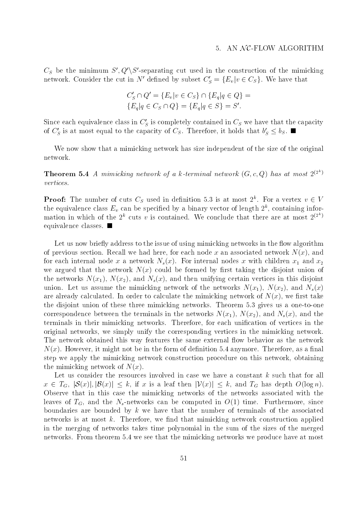$C_{S}$  be the minimum  $S$  ,  $Q\setminus S$  -separating cut used in the construction of the mimicking network. Consider the cut in *iv* defined by subset  $C_S = \{E_v | v \in C_S\}$ . We have that

$$
C'_{S} \cap Q' = \{E_v | v \in C_S\} \cap \{E_q | q \in Q\} = \{E_q | q \in C_S \cap Q\} = \{E_q | q \in S\} = S'.
$$

Since each equivalence class in  $C_S$  is completely contained in  $C_S$  we have that the capacity of  $C_S$  is at most equal to the capacity of  $C_S$ . Therefore, it holds that  $\theta_S \leq \theta_S$ .  $\blacksquare$ 

We now show that a mimicking network has size independent of the size of the original network.

**Theorem 5.4** A mimicking network of a k-terminal network  $(G, c, Q)$  has at most  $2^{(27)}$ vertices.

**Prooi:** The number of cuts  $C_S$  used in definition 5.3 is at most 2°. For a vertex  $v \in V$ the equivalence class  $E_v$  can be specified by a binary vector of length  $Z^\ast$ , containing information in which of the  $2^k$  cuts v is contained. We conclude that there are at most  $2^{(2k)}$ equivalence classes.

Let us now briefly address to the issue of using mimicking networks in the flow algorithm of previous section. Recall we had here, for each node x an associated network  $N(x)$ , and for each internal nodes  $\alpha$  and  $\alpha$  internal nodes  $\alpha$  with children  $\alpha$ we argued that the network  $N(x)$  could be formed by first taking the disjoint union of the networks  $N(x_1)$ ,  $N(x_2)$ , and  $N_s(x)$ , and then unifying certain vertices in this disjoint union. Let us assume the mimicking network of the networks  $N(x_1)$ ,  $N(x_2)$ , and  $N_s(x)$ are already calculated. In order to calculate the mimicking network of  $N(x)$ , we first take the disjoint union of these three mimicking networks. Theorem 5.3 gives us a one-to-one correspondence between the terminals in the networks  $N(x_1)$ ,  $N(x_2)$ , and  $N_s(x)$ , and the terminals in their mimicking networks. Therefore, for each unification of vertices in the original networks, we simply unify the corresponding vertices in the mimicking network. The network obtained this way features the same external flow behavior as the network  $N(x)$ . However, it might not be in the form of definition 5.4 anymore. Therefore, as a final step we apply the mimicking network construction procedure on this network, obtaining the mimicking network of  $N(x)$ .

Let us consider the resources involved in case we have a constant k such that for all  $x \in I_G$ ,  $|\mathcal{S}(x)|, |\mathcal{B}(x)| \leq \kappa$ , if x is a leaf then  $|\mathcal{V}(x)| \leq \kappa$ , and  $I_G$  has depth  $O(\log n)$ . Observe that in this case the mimicking networks of the networks associated with the leaves of  $T_G$ , and the N<sub>s</sub>-networks can be computed in  $O(1)$  time. Furthermore, since boundaries are bounded by  $k$  we have that the number of terminals of the associated networks is at most  $k$ . Therefore, we find that mimicking network construction applied in the merging of networks takes time polynomial in the sum of the sizes of the merged networks. From theorem 5.4 we see that the mimicking networks we produce have at most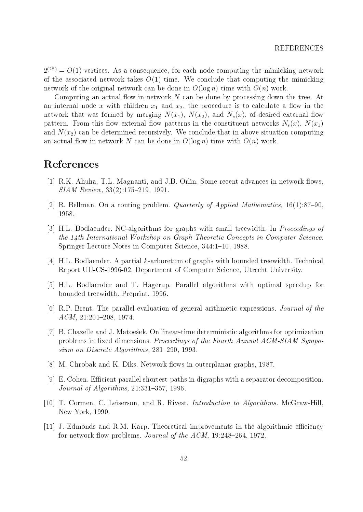$2^{(2^n)} = O(1)$  vertices. As a consequence, for each node computing the mimicking network of the associated network takes  $O(1)$  time. We conclude that computing the mimicking network of the original network can be done in  $O(\log n)$  time with  $O(n)$  work.

Computing an actual flow in network  $N$  can be done by processing down the tree. At and internal description  $\cdots$  and  $\cdots$  and  $\cdots$   $\cdots$  and  $\cdots$   $\cdots$   $\cdots$  is to calculate a  $\cdots$  in the  $\cdots$ network that was formed by merging  $N(x_1)$ ,  $N(x_2)$ , and  $N_s(x)$ , of desired external flow pattern. From this flow external flow patterns in the constituent networks  $N_s(x)$ ,  $N(x_1)$ and  $N(x_2)$  can be determined recursively. We conclude that in above situation computing an actual flow in network N can be done in  $O(\log n)$  time with  $O(n)$  work.

## References

- [1] R.K. Ahuha, T.L. Magnanti, and J.B. Orlin. Some recent advances in network flows.  $SIAM$  Review,  $33(2):175{-}219$ , 1991.
- [2] R. Bellman. On a routing problem. *Quarterly of Applied Mathematics*,  $16(1):87{-}90$ , 1958.
- [3] H.L. Bodlaender. NC-algorithms for graphs with small treewidth. In Proceedings of the 14th International Workshop on Graph-Theoretic Concepts in Computer Science. Springer Lecture Notes in Computer Science, 344:1-10, 1988.
- [4] H.L. Bodlaender. A partial k-arboretum of graphs with bounded treewidth. Technical Report UU-CS-1996-02, Department of Computer Science, Utrecht University.
- [5] H.L. Bodlaender and T. Hagerup. Parallel algorithms with optimal speedup for bounded treewidth. Preprint, 1996.
- [6] R.P. Brent. The parallel evaluation of general arithmetic expressions. Journal of the  $ACM$ ,  $21:201-208$ , 1974.
- [7] B. Chazelle and J. Matoesek. On linear-time deterministic algorithms for optimization problems in fixed dimensions. Proceedings of the Fourth Annual ACM-SIAM Symposium on Discrete Algorithms,  $281-290$ , 1993.
- [8] M. Chrobak and K. Diks. Network flows in outerplanar graphs, 1987.
- [9] E. Cohen. Efficient parallel shortest-paths in digraphs with a separator decomposition. Journal of Algorithms,  $21:331-357$ , 1996.
- [10] T. Cormen, C. Leiserson, and R. Rivest. Introduction to Algorithms. McGraw-Hill, New York, 1990.
- [11] J. Edmonds and R.M. Karp. Theoretical improvements in the algorithmic efficiency for network flow problems. Journal of the  $ACM$ , 19:248-264, 1972.